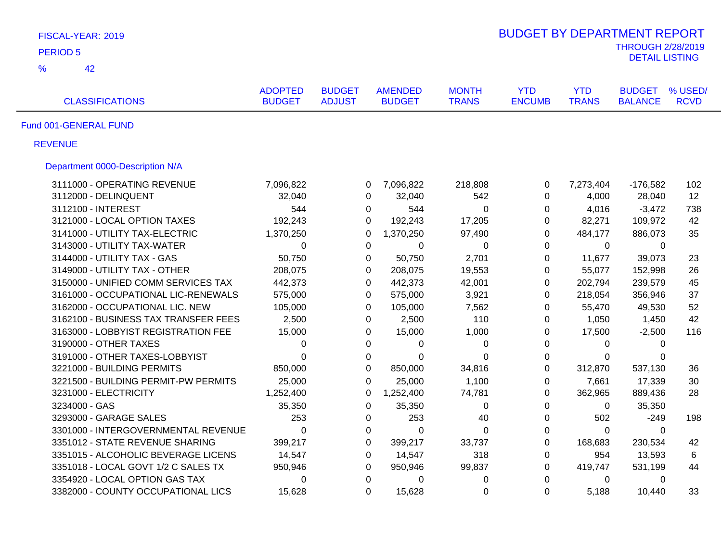| FISCAL-YEAR: 2019                    |                                 |                                |                                 |                              | <b>BUDGET BY DEPARTMENT REPORT</b> |                            |                                                   |                        |
|--------------------------------------|---------------------------------|--------------------------------|---------------------------------|------------------------------|------------------------------------|----------------------------|---------------------------------------------------|------------------------|
| <b>PERIOD 5</b>                      |                                 |                                |                                 |                              |                                    |                            | <b>THROUGH 2/28/2019</b><br><b>DETAIL LISTING</b> |                        |
| $\frac{9}{6}$<br>42                  |                                 |                                |                                 |                              |                                    |                            |                                                   |                        |
| <b>CLASSIFICATIONS</b>               | <b>ADOPTED</b><br><b>BUDGET</b> | <b>BUDGET</b><br><b>ADJUST</b> | <b>AMENDED</b><br><b>BUDGET</b> | <b>MONTH</b><br><b>TRANS</b> | <b>YTD</b><br><b>ENCUMB</b>        | <b>YTD</b><br><b>TRANS</b> | <b>BUDGET</b><br><b>BALANCE</b>                   | % USED/<br><b>RCVD</b> |
| Fund 001-GENERAL FUND                |                                 |                                |                                 |                              |                                    |                            |                                                   |                        |
| <b>REVENUE</b>                       |                                 |                                |                                 |                              |                                    |                            |                                                   |                        |
| Department 0000-Description N/A      |                                 |                                |                                 |                              |                                    |                            |                                                   |                        |
| 3111000 - OPERATING REVENUE          | 7,096,822                       | 0                              | 7,096,822                       | 218,808                      | $\pmb{0}$                          | 7,273,404                  | $-176,582$                                        | 102                    |
| 3112000 - DELINQUENT                 | 32,040                          | $\Omega$                       | 32,040                          | 542                          | 0                                  | 4,000                      | 28,040                                            | 12                     |
| 3112100 - INTEREST                   | 544                             | 0                              | 544                             | $\mathbf 0$                  | $\mathbf 0$                        | 4,016                      | $-3,472$                                          | 738                    |
| 3121000 - LOCAL OPTION TAXES         | 192,243                         | $\Omega$                       | 192,243                         | 17,205                       | $\pmb{0}$                          | 82,271                     | 109,972                                           | 42                     |
| 3141000 - UTILITY TAX-ELECTRIC       | 1,370,250                       | $\Omega$                       | 1,370,250                       | 97,490                       | $\Omega$                           | 484,177                    | 886,073                                           | 35                     |
| 3143000 - UTILITY TAX-WATER          | 0                               | 0                              | 0                               | 0                            | 0                                  | 0                          | 0                                                 |                        |
| 3144000 - UTILITY TAX - GAS          | 50,750                          | 0                              | 50,750                          | 2,701                        | $\mathbf 0$                        | 11,677                     | 39,073                                            | 23                     |
| 3149000 - UTILITY TAX - OTHER        | 208,075                         | 0                              | 208,075                         | 19,553                       | $\mathbf 0$                        | 55,077                     | 152,998                                           | 26                     |
| 3150000 - UNIFIED COMM SERVICES TAX  | 442,373                         | $\Omega$                       | 442,373                         | 42,001                       | $\mathbf 0$                        | 202,794                    | 239,579                                           | 45                     |
| 3161000 - OCCUPATIONAL LIC-RENEWALS  | 575,000                         | 0                              | 575,000                         | 3,921                        | $\mathbf 0$                        | 218,054                    | 356,946                                           | 37                     |
| 3162000 - OCCUPATIONAL LIC. NEW      | 105,000                         | 0                              | 105,000                         | 7,562                        | $\mathbf 0$                        | 55,470                     | 49,530                                            | 52                     |
| 3162100 - BUSINESS TAX TRANSFER FEES | 2,500                           | 0                              | 2,500                           | 110                          | 0                                  | 1,050                      | 1,450                                             | 42                     |
| 3163000 - LOBBYIST REGISTRATION FEE  | 15,000                          | 0                              | 15,000                          | 1,000                        | 0                                  | 17,500                     | $-2,500$                                          | 116                    |
| 3190000 - OTHER TAXES                | 0                               | $\Omega$                       | 0                               | 0                            | $\Omega$                           | $\Omega$                   | $\Omega$                                          |                        |
| 3191000 - OTHER TAXES-LOBBYIST       | $\Omega$                        | 0                              | 0                               | 0                            | $\mathbf 0$                        | 0                          | 0                                                 |                        |
| 3221000 - BUILDING PERMITS           | 850,000                         | $\Omega$                       | 850,000                         | 34,816                       | $\pmb{0}$                          | 312,870                    | 537,130                                           | 36                     |
| 3221500 - BUILDING PERMIT-PW PERMITS | 25,000                          | $\Omega$                       | 25,000                          | 1,100                        | 0                                  | 7,661                      | 17,339                                            | 30                     |
| 3231000 - ELECTRICITY                | 1,252,400                       | 0                              | 1,252,400                       | 74,781                       | $\pmb{0}$                          | 362,965                    | 889,436                                           | 28                     |
| 3234000 - GAS                        | 35,350                          | 0                              | 35,350                          | $\mathbf 0$                  | 0                                  | 0                          | 35,350                                            |                        |
| 3293000 - GARAGE SALES               | 253                             | $\mathbf 0$                    | 253                             | 40                           | $\boldsymbol{0}$                   | 502                        | $-249$                                            | 198                    |
| 3301000 - INTERGOVERNMENTAL REVENUE  | $\mathbf 0$                     | $\mathbf 0$                    | $\mathbf 0$                     | $\pmb{0}$                    | $\pmb{0}$                          | $\mathbf 0$                | $\Omega$                                          |                        |
| 3351012 - STATE REVENUE SHARING      | 399,217                         | $\mathbf 0$                    | 399,217                         | 33,737                       | $\pmb{0}$                          | 168,683                    | 230,534                                           | 42                     |
| 3351015 - ALCOHOLIC BEVERAGE LICENS  | 14,547                          | $\mathbf 0$                    | 14,547                          | 318                          | $\pmb{0}$                          | 954                        | 13,593                                            | 6                      |
| 3351018 - LOCAL GOVT 1/2 C SALES TX  | 950,946                         | 0                              | 950,946                         | 99,837                       | $\pmb{0}$                          | 419,747                    | 531,199                                           | 44                     |
| 3354920 - LOCAL OPTION GAS TAX       | 0                               | 0                              | 0                               | $\mathbf 0$                  | $\pmb{0}$                          | 0                          | 0                                                 |                        |
| 3382000 - COUNTY OCCUPATIONAL LICS   | 15,628                          | $\Omega$                       | 15,628                          | 0                            | $\Omega$                           | 5,188                      | 10,440                                            | 33                     |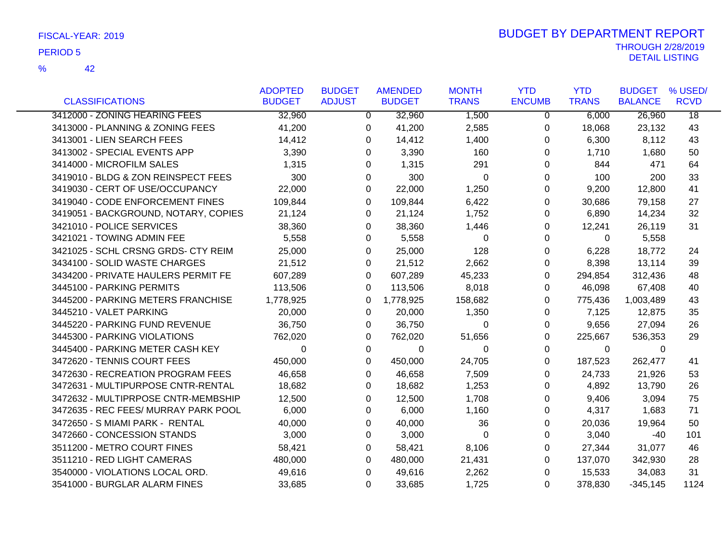|                                      | <b>ADOPTED</b> | <b>BUDGET</b>  | <b>AMENDED</b> | <b>MONTH</b> | <b>YTD</b>    | <b>YTD</b>   | <b>BUDGET</b>  | % USED/         |
|--------------------------------------|----------------|----------------|----------------|--------------|---------------|--------------|----------------|-----------------|
| <b>CLASSIFICATIONS</b>               | <b>BUDGET</b>  | <b>ADJUST</b>  | <b>BUDGET</b>  | <b>TRANS</b> | <b>ENCUMB</b> | <b>TRANS</b> | <b>BALANCE</b> | <b>RCVD</b>     |
| 3412000 - ZONING HEARING FEES        | 32,960         | $\overline{0}$ | 32,960         | 1,500        | 0             | 6,000        | 26,960         | $\overline{18}$ |
| 3413000 - PLANNING & ZONING FEES     | 41,200         | 0              | 41,200         | 2,585        | 0             | 18,068       | 23,132         | 43              |
| 3413001 - LIEN SEARCH FEES           | 14,412         | $\Omega$       | 14,412         | 1,400        | 0             | 6,300        | 8,112          | 43              |
| 3413002 - SPECIAL EVENTS APP         | 3,390          | 0              | 3,390          | 160          | 0             | 1,710        | 1,680          | 50              |
| 3414000 - MICROFILM SALES            | 1,315          | 0              | 1,315          | 291          | 0             | 844          | 471            | 64              |
| 3419010 - BLDG & ZON REINSPECT FEES  | 300            | $\Omega$       | 300            | $\Omega$     | $\Omega$      | 100          | 200            | 33              |
| 3419030 - CERT OF USE/OCCUPANCY      | 22,000         | $\Omega$       | 22,000         | 1,250        | 0             | 9,200        | 12,800         | 41              |
| 3419040 - CODE ENFORCEMENT FINES     | 109,844        | 0              | 109,844        | 6,422        | 0             | 30,686       | 79,158         | 27              |
| 3419051 - BACKGROUND, NOTARY, COPIES | 21,124         | 0              | 21,124         | 1,752        | 0             | 6,890        | 14,234         | 32              |
| 3421010 - POLICE SERVICES            | 38,360         | 0              | 38,360         | 1,446        | 0             | 12,241       | 26,119         | 31              |
| 3421021 - TOWING ADMIN FEE           | 5,558          | 0              | 5,558          | 0            | 0             | $\Omega$     | 5,558          |                 |
| 3421025 - SCHL CRSNG GRDS- CTY REIM  | 25,000         | 0              | 25,000         | 128          | 0             | 6,228        | 18,772         | 24              |
| 3434100 - SOLID WASTE CHARGES        | 21,512         | 0              | 21,512         | 2,662        | 0             | 8,398        | 13,114         | 39              |
| 3434200 - PRIVATE HAULERS PERMIT FE  | 607,289        | $\Omega$       | 607,289        | 45,233       | 0             | 294,854      | 312,436        | 48              |
| 3445100 - PARKING PERMITS            | 113,506        | 0              | 113,506        | 8,018        | 0             | 46,098       | 67,408         | 40              |
| 3445200 - PARKING METERS FRANCHISE   | 1,778,925      | 0              | 1,778,925      | 158,682      | 0             | 775,436      | 1,003,489      | 43              |
| 3445210 - VALET PARKING              | 20,000         | $\Omega$       | 20,000         | 1,350        | 0             | 7,125        | 12,875         | 35              |
| 3445220 - PARKING FUND REVENUE       | 36,750         | $\Omega$       | 36,750         | $\Omega$     | 0             | 9,656        | 27,094         | 26              |
| 3445300 - PARKING VIOLATIONS         | 762,020        | 0              | 762,020        | 51,656       | 0             | 225,667      | 536,353        | 29              |
| 3445400 - PARKING METER CASH KEY     | 0              | 0              | $\Omega$       | $\Omega$     | 0             | 0            | 0              |                 |
| 3472620 - TENNIS COURT FEES          | 450,000        | $\Omega$       | 450,000        | 24,705       | $\Omega$      | 187,523      | 262,477        | 41              |
| 3472630 - RECREATION PROGRAM FEES    | 46,658         | $\Omega$       | 46,658         | 7,509        | 0             | 24,733       | 21,926         | 53              |
| 3472631 - MULTIPURPOSE CNTR-RENTAL   | 18,682         | 0              | 18,682         | 1,253        | 0             | 4,892        | 13,790         | 26              |
| 3472632 - MULTIPRPOSE CNTR-MEMBSHIP  | 12,500         | 0              | 12,500         | 1,708        | 0             | 9,406        | 3,094          | 75              |
| 3472635 - REC FEES/ MURRAY PARK POOL | 6,000          | $\Omega$       | 6,000          | 1,160        | 0             | 4,317        | 1,683          | 71              |
| 3472650 - S MIAMI PARK - RENTAL      | 40,000         | 0              | 40,000         | 36           | 0             | 20,036       | 19,964         | 50              |
| 3472660 - CONCESSION STANDS          | 3,000          | 0              | 3,000          | 0            | 0             | 3,040        | -40            | 101             |
| 3511200 - METRO COURT FINES          | 58,421         | $\Omega$       | 58,421         | 8,106        | 0             | 27,344       | 31,077         | 46              |
| 3511210 - RED LIGHT CAMERAS          | 480,000        | 0              | 480,000        | 21,431       | 0             | 137,070      | 342,930        | 28              |
| 3540000 - VIOLATIONS LOCAL ORD.      | 49,616         | 0              | 49,616         | 2,262        | 0             | 15,533       | 34,083         | 31              |
| 3541000 - BURGLAR ALARM FINES        | 33,685         | $\Omega$       | 33,685         | 1,725        | $\Omega$      | 378,830      | $-345,145$     | 1124            |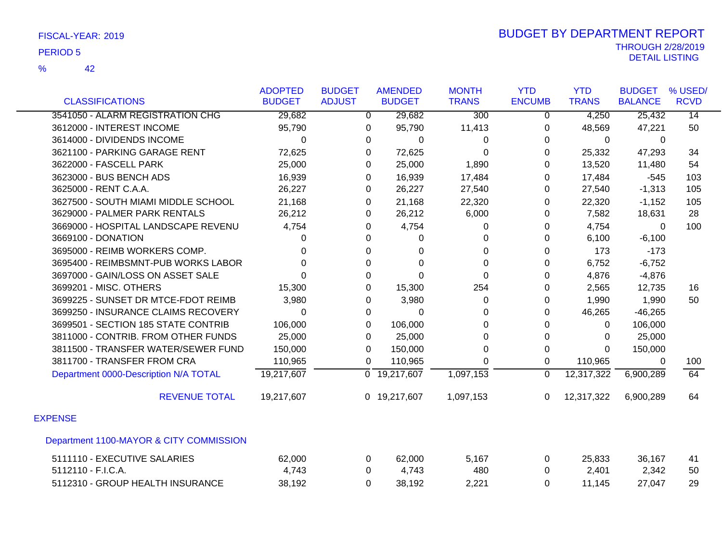|                                         | <b>ADOPTED</b> | <b>BUDGET</b>  | <b>AMENDED</b>            | <b>MONTH</b>     | <b>YTD</b>     | <b>YTD</b>   | <b>BUDGET</b>  | % USED/         |
|-----------------------------------------|----------------|----------------|---------------------------|------------------|----------------|--------------|----------------|-----------------|
| <b>CLASSIFICATIONS</b>                  | <b>BUDGET</b>  | <b>ADJUST</b>  | <b>BUDGET</b>             | <b>TRANS</b>     | <b>ENCUMB</b>  | <b>TRANS</b> | <b>BALANCE</b> | <b>RCVD</b>     |
| 3541050 - ALARM REGISTRATION CHG        | 29,682         | $\overline{0}$ | 29,682                    | $\overline{300}$ | $\overline{0}$ | 4,250        | 25,432         | $\overline{14}$ |
| 3612000 - INTEREST INCOME               | 95,790         | 0              | 95,790                    | 11,413           | 0              | 48,569       | 47,221         | 50              |
| 3614000 - DIVIDENDS INCOME              | $\Omega$       | 0              | $\Omega$                  | 0                | 0              | 0            | $\Omega$       |                 |
| 3621100 - PARKING GARAGE RENT           | 72,625         | 0              | 72,625                    | 0                | 0              | 25,332       | 47,293         | 34              |
| 3622000 - FASCELL PARK                  | 25,000         | 0              | 25,000                    | 1,890            | 0              | 13,520       | 11,480         | 54              |
| 3623000 - BUS BENCH ADS                 | 16,939         | $\Omega$       | 16,939                    | 17,484           | $\Omega$       | 17,484       | $-545$         | 103             |
| 3625000 - RENT C.A.A.                   | 26,227         | 0              | 26,227                    | 27,540           | 0              | 27,540       | $-1,313$       | 105             |
| 3627500 - SOUTH MIAMI MIDDLE SCHOOL     | 21,168         | 0              | 21,168                    | 22,320           | 0              | 22,320       | $-1,152$       | 105             |
| 3629000 - PALMER PARK RENTALS           | 26,212         | 0              | 26,212                    | 6,000            | 0              | 7,582        | 18,631         | 28              |
| 3669000 - HOSPITAL LANDSCAPE REVENU     | 4,754          | 0              | 4,754                     | 0                | 0              | 4,754        | $\Omega$       | 100             |
| 3669100 - DONATION                      | 0              | 0              | 0                         | 0                | 0              | 6,100        | $-6,100$       |                 |
| 3695000 - REIMB WORKERS COMP.           | 0              | 0              | 0                         | 0                | 0              | 173          | $-173$         |                 |
| 3695400 - REIMBSMNT-PUB WORKS LABOR     | $\Omega$       | $\Omega$       | $\Omega$                  | 0                | $\Omega$       | 6,752        | $-6,752$       |                 |
| 3697000 - GAIN/LOSS ON ASSET SALE       | $\Omega$       | 0              | $\Omega$                  | 0                | $\Omega$       | 4,876        | $-4,876$       |                 |
| 3699201 - MISC. OTHERS                  | 15,300         | 0              | 15,300                    | 254              | 0              | 2,565        | 12,735         | 16              |
| 3699225 - SUNSET DR MTCE-FDOT REIMB     | 3,980          | 0              | 3,980                     | 0                | 0              | 1,990        | 1,990          | 50              |
| 3699250 - INSURANCE CLAIMS RECOVERY     | $\Omega$       | $\Omega$       | 0                         | 0                | 0              | 46,265       | $-46,265$      |                 |
| 3699501 - SECTION 185 STATE CONTRIB     | 106,000        | $\Omega$       | 106,000                   | 0                | 0              | $\mathbf{0}$ | 106,000        |                 |
| 3811000 - CONTRIB. FROM OTHER FUNDS     | 25,000         | 0              | 25,000                    | 0                | 0              | 0            | 25,000         |                 |
| 3811500 - TRANSFER WATER/SEWER FUND     | 150,000        | $\Omega$       | 150,000                   | 0                | $\Omega$       | $\Omega$     | 150,000        |                 |
| 3811700 - TRANSFER FROM CRA             | 110,965        | 0              | 110,965                   | 0                | $\mathbf 0$    | 110,965      | 0              | 100             |
| Department 0000-Description N/A TOTAL   | 19,217,607     |                | $\overline{0}$ 19,217,607 | 1,097,153        | $\Omega$       | 12,317,322   | 6,900,289      | 64              |
| <b>REVENUE TOTAL</b>                    | 19,217,607     |                | 0 19,217,607              | 1,097,153        | $\mathbf{0}$   | 12,317,322   | 6,900,289      | 64              |
| <b>EXPENSE</b>                          |                |                |                           |                  |                |              |                |                 |
| Department 1100-MAYOR & CITY COMMISSION |                |                |                           |                  |                |              |                |                 |
| 5111110 - EXECUTIVE SALARIES            | 62,000         | 0              | 62,000                    | 5,167            | 0              | 25,833       | 36,167         | 41              |
| 5112110 - F.I.C.A.                      | 4,743          | 0              | 4,743                     | 480              | 0              | 2,401        | 2,342          | 50              |
| 5112310 - GROUP HEALTH INSURANCE        | 38,192         | 0              | 38,192                    | 2,221            | 0              | 11,145       | 27,047         | 29              |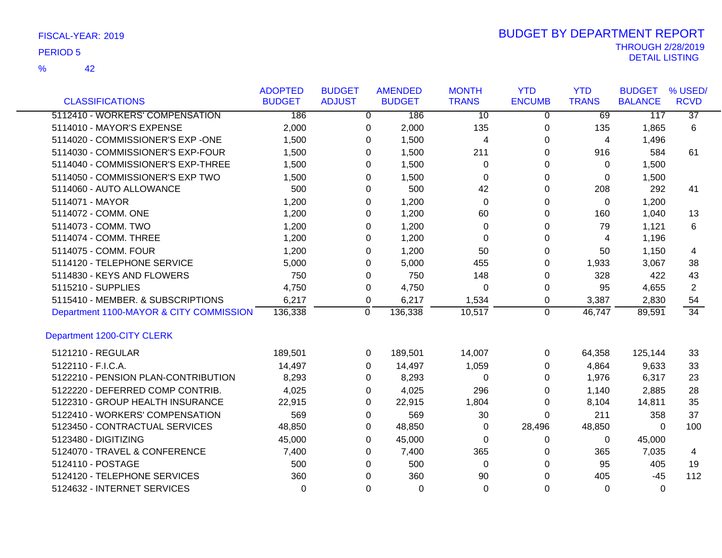42 %

| <b>CLASSIFICATIONS</b>                  | <b>ADOPTED</b><br><b>BUDGET</b> | <b>BUDGET</b><br><b>ADJUST</b> |             | <b>AMENDED</b><br><b>BUDGET</b> | <b>MONTH</b><br><b>TRANS</b> | <b>YTD</b><br><b>ENCUMB</b> | <b>YTD</b><br><b>TRANS</b> | <b>BUDGET</b><br><b>BALANCE</b> | % USED/<br><b>RCVD</b> |
|-----------------------------------------|---------------------------------|--------------------------------|-------------|---------------------------------|------------------------------|-----------------------------|----------------------------|---------------------------------|------------------------|
| 5112410 - WORKERS' COMPENSATION         | 186                             |                                | 0           | 186                             | $\overline{10}$              | 0                           | 69                         | 117                             | $\overline{37}$        |
| 5114010 - MAYOR'S EXPENSE               | 2,000                           |                                | 0           | 2,000                           | 135                          | 0                           | 135                        | 1,865                           | 6                      |
| 5114020 - COMMISSIONER'S EXP -ONE       | 1,500                           |                                | 0           | 1,500                           | 4                            | 0                           | 4                          | 1,496                           |                        |
| 5114030 - COMMISSIONER'S EXP-FOUR       | 1,500                           |                                | 0           | 1,500                           | 211                          | 0                           | 916                        | 584                             | 61                     |
| 5114040 - COMMISSIONER'S EXP-THREE      | 1,500                           |                                | 0           | 1,500                           | 0                            | 0                           | 0                          | 1,500                           |                        |
| 5114050 - COMMISSIONER'S EXP TWO        | 1,500                           |                                | 0           | 1,500                           | 0                            | 0                           | 0                          | 1,500                           |                        |
| 5114060 - AUTO ALLOWANCE                | 500                             |                                | 0           | 500                             | 42                           | 0                           | 208                        | 292                             | 41                     |
| 5114071 - MAYOR                         | 1,200                           |                                |             | 1,200                           | $\Omega$                     |                             | $\Omega$                   | 1,200                           |                        |
| 5114072 - COMM. ONE                     | 1,200                           |                                | 0           | 1,200                           | 60                           | 0<br>0                      | 160                        | 1,040                           | 13                     |
| 5114073 - COMM. TWO                     |                                 |                                | 0           |                                 |                              |                             |                            |                                 |                        |
| 5114074 - COMM. THREE                   | 1,200                           |                                | 0           | 1,200                           | 0                            | 0                           | 79                         | 1,121                           | 6                      |
|                                         | 1,200                           |                                | 0           | 1,200                           | 0                            | 0                           | 4                          | 1,196                           |                        |
| 5114075 - COMM. FOUR                    | 1,200                           |                                | 0           | 1,200                           | 50                           | 0                           | 50                         | 1,150                           | 4                      |
| 5114120 - TELEPHONE SERVICE             | 5,000                           |                                | 0           | 5,000                           | 455                          | 0                           | 1,933                      | 3,067                           | 38                     |
| 5114830 - KEYS AND FLOWERS              | 750                             |                                | 0           | 750                             | 148                          | 0                           | 328                        | 422                             | 43                     |
| 5115210 - SUPPLIES                      | 4,750                           |                                | 0           | 4,750                           | $\Omega$                     | 0                           | 95                         | 4,655                           | $\overline{2}$         |
| 5115410 - MEMBER. & SUBSCRIPTIONS       | 6,217                           |                                | 0           | 6,217                           | 1,534                        | 0                           | 3,387                      | 2,830                           | 54                     |
| Department 1100-MAYOR & CITY COMMISSION | 136,338                         |                                | $\mathbf 0$ | 136,338                         | 10,517                       | $\mathbf 0$                 | 46,747                     | 89,591                          | $\overline{34}$        |
| Department 1200-CITY CLERK              |                                 |                                |             |                                 |                              |                             |                            |                                 |                        |
| 5121210 - REGULAR                       | 189,501                         |                                | 0           | 189,501                         | 14,007                       | 0                           | 64,358                     | 125,144                         | 33                     |
| 5122110 - F.I.C.A.                      | 14,497                          |                                | 0           | 14,497                          | 1,059                        | 0                           | 4,864                      | 9,633                           | 33                     |
| 5122210 - PENSION PLAN-CONTRIBUTION     | 8,293                           |                                | 0           | 8,293                           | 0                            | 0                           | 1,976                      | 6,317                           | 23                     |
| 5122220 - DEFERRED COMP CONTRIB.        | 4,025                           |                                | 0           | 4,025                           | 296                          | 0                           | 1,140                      | 2,885                           | 28                     |
| 5122310 - GROUP HEALTH INSURANCE        | 22,915                          |                                | 0           | 22,915                          | 1,804                        | 0                           | 8,104                      | 14,811                          | 35                     |
| 5122410 - WORKERS' COMPENSATION         | 569                             |                                | 0           | 569                             | 30                           | $\Omega$                    | 211                        | 358                             | 37                     |
| 5123450 - CONTRACTUAL SERVICES          | 48,850                          |                                | 0           | 48,850                          | 0                            | 28,496                      | 48,850                     | $\Omega$                        | 100                    |
| 5123480 - DIGITIZING                    | 45,000                          |                                | 0           | 45,000                          | 0                            | 0                           | 0                          | 45,000                          |                        |
| 5124070 - TRAVEL & CONFERENCE           | 7,400                           |                                | 0           | 7,400                           | 365                          | 0                           | 365                        | 7,035                           | 4                      |
| 5124110 - POSTAGE                       | 500                             |                                | 0           | 500                             | $\Omega$                     | 0                           | 95                         | 405                             | 19                     |
| 5124120 - TELEPHONE SERVICES            | 360                             |                                | $\Omega$    | 360                             | 90                           | $\Omega$                    | 405                        | $-45$                           | 112                    |
| 5124632 - INTERNET SERVICES             | $\Omega$                        |                                | $\Omega$    | $\Omega$                        | $\Omega$                     | $\Omega$                    | $\Omega$                   | $\Omega$                        |                        |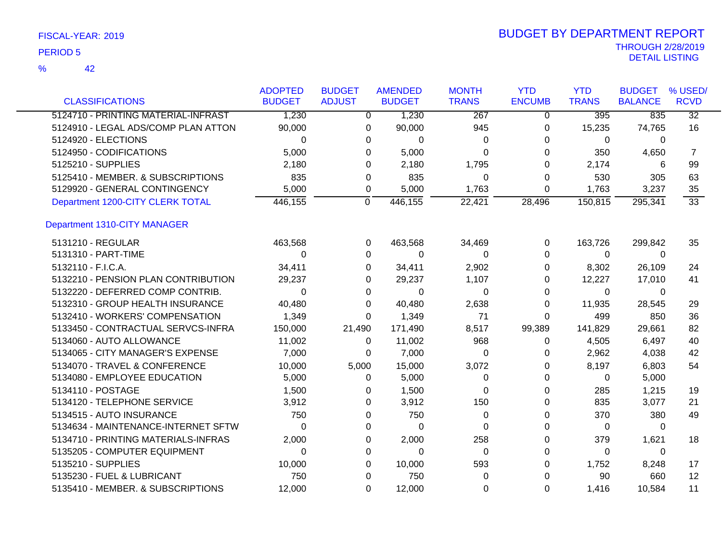| <b>CLASSIFICATIONS</b>              | <b>ADOPTED</b><br><b>BUDGET</b> | <b>BUDGET</b><br><b>ADJUST</b> | <b>AMENDED</b><br><b>BUDGET</b> | <b>MONTH</b><br><b>TRANS</b> | <b>YTD</b><br><b>ENCUMB</b> | <b>YTD</b><br><b>TRANS</b> | <b>BUDGET</b><br><b>BALANCE</b> | % USED/<br><b>RCVD</b> |
|-------------------------------------|---------------------------------|--------------------------------|---------------------------------|------------------------------|-----------------------------|----------------------------|---------------------------------|------------------------|
|                                     |                                 |                                |                                 |                              |                             |                            |                                 |                        |
| 5124710 - PRINTING MATERIAL-INFRAST | 1,230                           |                                | 1,230<br>$\overline{0}$         | 267                          | $\overline{0}$              | 395                        | 835                             | $\overline{32}$        |
| 5124910 - LEGAL ADS/COMP PLAN ATTON | 90,000                          |                                | 90,000<br>0                     | 945                          | 0                           | 15,235                     | 74,765                          | 16                     |
| 5124920 - ELECTIONS                 | $\Omega$                        |                                | $\Omega$<br>0                   | 0                            | 0                           | 0                          | $\Omega$                        |                        |
| 5124950 - CODIFICATIONS             | 5,000                           |                                | 5,000<br>0                      | $\Omega$                     | 0                           | 350                        | 4,650                           | 7                      |
| 5125210 - SUPPLIES                  | 2,180                           |                                | 2,180<br>0                      | 1,795                        | 0                           | 2,174                      | 6                               | 99                     |
| 5125410 - MEMBER. & SUBSCRIPTIONS   | 835                             |                                | 835<br>0                        | 0                            | 0                           | 530                        | 305                             | 63                     |
| 5129920 - GENERAL CONTINGENCY       | 5,000                           |                                | 5,000<br>0                      | 1,763                        | 0                           | 1,763                      | 3,237                           | 35                     |
| Department 1200-CITY CLERK TOTAL    | 446,155                         | 0                              | 446,155                         | 22,421                       | 28,496                      | 150,815                    | 295,341                         | $\overline{33}$        |
| Department 1310-CITY MANAGER        |                                 |                                |                                 |                              |                             |                            |                                 |                        |
| 5131210 - REGULAR                   | 463,568                         |                                | 463,568<br>0                    | 34,469                       | 0                           | 163,726                    | 299,842                         | 35                     |
| 5131310 - PART-TIME                 | $\Omega$                        |                                | $\Omega$<br>0                   | 0                            | 0                           | $\mathbf{0}$               | $\Omega$                        |                        |
| 5132110 - F.I.C.A.                  | 34,411                          |                                | 34,411<br>0                     | 2,902                        | 0                           | 8,302                      | 26,109                          | 24                     |
| 5132210 - PENSION PLAN CONTRIBUTION | 29,237                          |                                | 29,237<br>0                     | 1,107                        | 0                           | 12,227                     | 17,010                          | 41                     |
| 5132220 - DEFERRED COMP CONTRIB.    | 0                               |                                | 0<br>0                          | 0                            | 0                           | 0                          | 0                               |                        |
| 5132310 - GROUP HEALTH INSURANCE    | 40,480                          |                                | 40,480<br>0                     | 2,638                        | 0                           | 11,935                     | 28,545                          | 29                     |
| 5132410 - WORKERS' COMPENSATION     | 1,349                           |                                | 1,349<br>0                      | 71                           | 0                           | 499                        | 850                             | 36                     |
| 5133450 - CONTRACTUAL SERVCS-INFRA  | 150,000                         | 21,490                         | 171,490                         | 8,517                        | 99,389                      | 141,829                    | 29,661                          | 82                     |
| 5134060 - AUTO ALLOWANCE            | 11,002                          |                                | 11,002<br>0                     | 968                          | 0                           | 4,505                      | 6,497                           | 40                     |
| 5134065 - CITY MANAGER'S EXPENSE    | 7,000                           |                                | 7,000<br>0                      | $\Omega$                     | 0                           | 2,962                      | 4,038                           | 42                     |
| 5134070 - TRAVEL & CONFERENCE       | 10,000                          | 5,000                          | 15,000                          | 3,072                        | 0                           | 8,197                      | 6,803                           | 54                     |
| 5134080 - EMPLOYEE EDUCATION        | 5,000                           |                                | 5,000<br>0                      | 0                            | 0                           | 0                          | 5,000                           |                        |
| 5134110 - POSTAGE                   | 1,500                           |                                | 1,500<br>0                      | 0                            | 0                           | 285                        | 1,215                           | 19                     |
| 5134120 - TELEPHONE SERVICE         | 3,912                           |                                | 3,912<br>0                      | 150                          | 0                           | 835                        | 3,077                           | 21                     |
| 5134515 - AUTO INSURANCE            | 750                             |                                | 750<br>0                        | 0                            | 0                           | 370                        | 380                             | 49                     |
| 5134634 - MAINTENANCE-INTERNET SFTW | 0                               |                                | $\Omega$<br>0                   | $\Omega$                     | 0                           | 0                          | 0                               |                        |
| 5134710 - PRINTING MATERIALS-INFRAS | 2,000                           |                                | 2,000<br>0                      | 258                          | 0                           | 379                        | 1,621                           | 18                     |
| 5135205 - COMPUTER EQUIPMENT        | 0                               |                                | 0<br>0                          | 0                            | 0                           | 0                          | 0                               |                        |
| 5135210 - SUPPLIES                  | 10,000                          |                                | 10,000<br>0                     | 593                          | 0                           | 1,752                      | 8,248                           | 17                     |
| 5135230 - FUEL & LUBRICANT          | 750                             |                                | 750<br>0                        | 0                            | 0                           | 90                         | 660                             | 12                     |
| 5135410 - MEMBER. & SUBSCRIPTIONS   | 12,000                          |                                | 12,000<br>0                     | 0                            | 0                           | 1,416                      | 10,584                          | 11                     |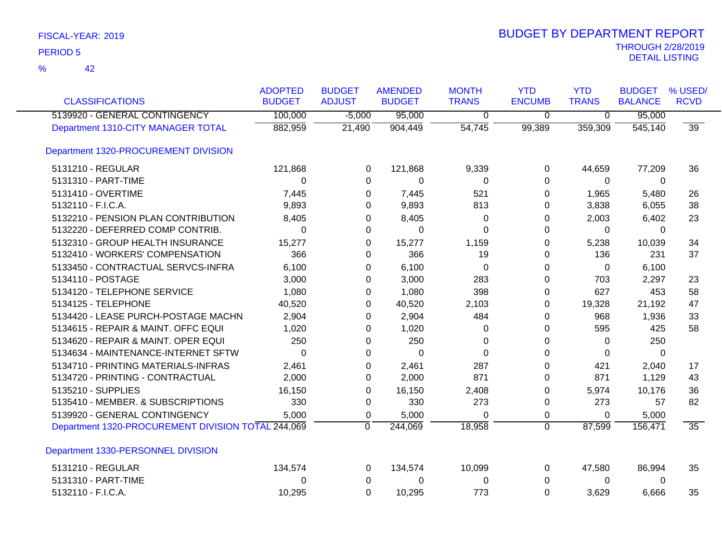| <b>CLASSIFICATIONS</b>                             | <b>ADOPTED</b><br><b>BUDGET</b> | <b>BUDGET</b><br><b>ADJUST</b> | <b>AMENDED</b><br><b>BUDGET</b> | <b>MONTH</b><br><b>TRANS</b> | <b>YTD</b><br><b>ENCUMB</b> | <b>YTD</b><br><b>TRANS</b> | <b>BUDGET</b><br><b>BALANCE</b> | % USED/<br><b>RCVD</b> |
|----------------------------------------------------|---------------------------------|--------------------------------|---------------------------------|------------------------------|-----------------------------|----------------------------|---------------------------------|------------------------|
| 5139920 - GENERAL CONTINGENCY                      | 100,000                         | $-5,000$                       | 95,000                          | 0                            | $\overline{0}$              | $\overline{0}$             | 95,000                          |                        |
| Department 1310-CITY MANAGER TOTAL                 | 882,959                         | 21,490                         | 904,449                         | 54,745                       | 99,389                      | 359,309                    | $\overline{545,140}$            | 39                     |
| Department 1320-PROCUREMENT DIVISION               |                                 |                                |                                 |                              |                             |                            |                                 |                        |
| 5131210 - REGULAR                                  | 121,868                         | 0                              | 121,868                         | 9,339                        | 0                           | 44,659                     | 77,209                          | 36                     |
| 5131310 - PART-TIME                                | 0                               | 0                              | 0                               | 0                            | $\Omega$                    | 0                          | 0                               |                        |
| 5131410 - OVERTIME                                 | 7,445                           | 0                              | 7,445                           | 521                          | 0                           | 1,965                      | 5,480                           | 26                     |
| 5132110 - F.I.C.A.                                 | 9,893                           | 0                              | 9,893                           | 813                          | 0                           | 3,838                      | 6,055                           | 38                     |
| 5132210 - PENSION PLAN CONTRIBUTION                | 8,405                           | 0                              | 8,405                           | 0                            | 0                           | 2,003                      | 6,402                           | 23                     |
| 5132220 - DEFERRED COMP CONTRIB.                   | 0                               | 0                              | $\Omega$                        | $\Omega$                     | 0                           | $\Omega$                   | $\Omega$                        |                        |
| 5132310 - GROUP HEALTH INSURANCE                   | 15,277                          | 0                              | 15,277                          | 1,159                        | 0                           | 5,238                      | 10,039                          | 34                     |
| 5132410 - WORKERS' COMPENSATION                    | 366                             | 0                              | 366                             | 19                           | 0                           | 136                        | 231                             | 37                     |
| 5133450 - CONTRACTUAL SERVCS-INFRA                 | 6,100                           | 0                              | 6,100                           | $\Omega$                     | 0                           | 0                          | 6,100                           |                        |
| 5134110 - POSTAGE                                  | 3,000                           | 0                              | 3,000                           | 283                          | $\Omega$                    | 703                        | 2,297                           | 23                     |
| 5134120 - TELEPHONE SERVICE                        | 1,080                           | 0                              | 1,080                           | 398                          | 0                           | 627                        | 453                             | 58                     |
| 5134125 - TELEPHONE                                | 40,520                          | 0                              | 40,520                          | 2,103                        | 0                           | 19,328                     | 21,192                          | 47                     |
| 5134420 - LEASE PURCH-POSTAGE MACHN                | 2,904                           | 0                              | 2,904                           | 484                          | 0                           | 968                        | 1,936                           | 33                     |
| 5134615 - REPAIR & MAINT. OFFC EQUI                | 1,020                           | 0                              | 1,020                           | 0                            | 0                           | 595                        | 425                             | 58                     |
| 5134620 - REPAIR & MAINT. OPER EQUI                | 250                             | 0                              | 250                             | 0                            | 0                           | 0                          | 250                             |                        |
| 5134634 - MAINTENANCE-INTERNET SFTW                | 0                               | 0                              | 0                               | $\Omega$                     | 0                           | 0                          | $\Omega$                        |                        |
| 5134710 - PRINTING MATERIALS-INFRAS                | 2,461                           | 0                              | 2,461                           | 287                          | 0                           | 421                        | 2,040                           | 17                     |
| 5134720 - PRINTING - CONTRACTUAL                   | 2,000                           | 0                              | 2,000                           | 871                          | 0                           | 871                        | 1,129                           | 43                     |
| 5135210 - SUPPLIES                                 | 16,150                          | 0                              | 16,150                          | 2,408                        | 0                           | 5,974                      | 10,176                          | 36                     |
| 5135410 - MEMBER. & SUBSCRIPTIONS                  | 330                             | 0                              | 330                             | 273                          | 0                           | 273                        | 57                              | 82                     |
| 5139920 - GENERAL CONTINGENCY                      | 5,000                           | 0                              | 5,000                           | $\Omega$                     | 0                           | 0                          | 5,000                           |                        |
| Department 1320-PROCUREMENT DIVISION TOTAL 244,069 |                                 | $\Omega$                       | 244,069                         | 18,958                       | $\overline{0}$              | 87,599                     | 156,471                         | $\overline{35}$        |
| Department 1330-PERSONNEL DIVISION                 |                                 |                                |                                 |                              |                             |                            |                                 |                        |
| 5131210 - REGULAR                                  | 134,574                         | 0                              | 134,574                         | 10,099                       | 0                           | 47,580                     | 86,994                          | 35                     |
| 5131310 - PART-TIME                                | 0                               | 0                              | 0                               | 0                            | 0                           | 0                          | 0                               |                        |
| 5132110 - F.I.C.A.                                 | 10,295                          | $\Omega$                       | 10,295                          | 773                          | $\Omega$                    | 3,629                      | 6,666                           | 35                     |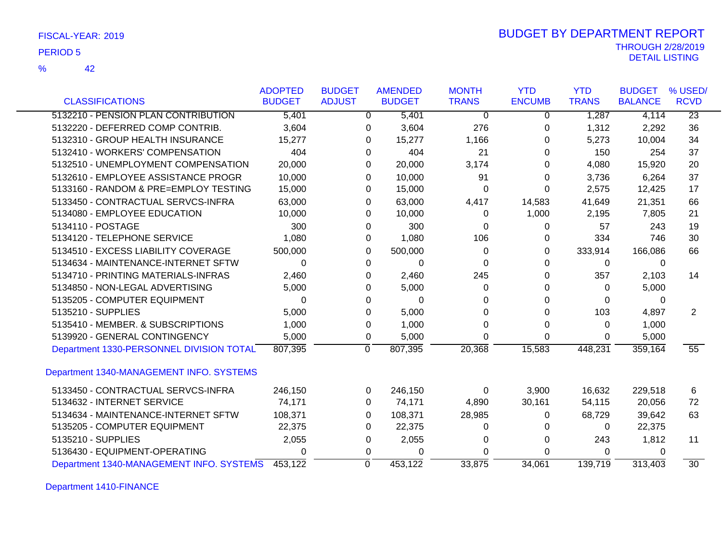| FISCAL-YEAR: 2019 |  |
|-------------------|--|
|-------------------|--|

42 %

### THROUGH 2/28/2019<br>DETAIL LISTING DETAIL LISTING PERIOD <sup>5</sup> BUDGET BY DEPARTMENT REPORT

|                                          | <b>ADOPTED</b> | <b>BUDGET</b> | <b>AMENDED</b> |               | <b>MONTH</b> | <b>YTD</b>    | <b>YTD</b>   | <b>BUDGET</b>  | % USED/         |
|------------------------------------------|----------------|---------------|----------------|---------------|--------------|---------------|--------------|----------------|-----------------|
| <b>CLASSIFICATIONS</b>                   | <b>BUDGET</b>  | <b>ADJUST</b> |                | <b>BUDGET</b> | <b>TRANS</b> | <b>ENCUMB</b> | <b>TRANS</b> | <b>BALANCE</b> | <b>RCVD</b>     |
| 5132210 - PENSION PLAN CONTRIBUTION      | 5,401          |               | $\Omega$       | 5,401         | $\Omega$     | 0             | 1,287        | 4,114          | $\overline{23}$ |
| 5132220 - DEFERRED COMP CONTRIB.         | 3,604          |               | 0              | 3,604         | 276          | 0             | 1,312        | 2,292          | 36              |
| 5132310 - GROUP HEALTH INSURANCE         | 15,277         |               | 0              | 15,277        | 1,166        | 0             | 5,273        | 10,004         | 34              |
| 5132410 - WORKERS' COMPENSATION          | 404            |               | 0              | 404           | 21           | 0             | 150          | 254            | 37              |
| 5132510 - UNEMPLOYMENT COMPENSATION      | 20,000         |               | 0              | 20,000        | 3,174        | 0             | 4,080        | 15,920         | 20              |
| 5132610 - EMPLOYEE ASSISTANCE PROGR      | 10,000         |               | 0              | 10,000        | 91           | 0             | 3,736        | 6,264          | 37              |
| 5133160 - RANDOM & PRE=EMPLOY TESTING    | 15,000         |               | 0              | 15,000        | 0            | 0             | 2,575        | 12,425         | 17              |
| 5133450 - CONTRACTUAL SERVCS-INFRA       | 63,000         |               | 0              | 63,000        | 4,417        | 14,583        | 41,649       | 21,351         | 66              |
| 5134080 - EMPLOYEE EDUCATION             | 10,000         |               | 0              | 10,000        | 0            | 1,000         | 2,195        | 7,805          | 21              |
| 5134110 - POSTAGE                        | 300            |               | 0              | 300           | 0            | 0             | 57           | 243            | 19              |
| 5134120 - TELEPHONE SERVICE              | 1,080          |               | 0              | 1,080         | 106          | 0             | 334          | 746            | 30              |
| 5134510 - EXCESS LIABILITY COVERAGE      | 500,000        |               | 0              | 500,000       | 0            | 0             | 333,914      | 166,086        | 66              |
| 5134634 - MAINTENANCE-INTERNET SFTW      | 0              |               | 0              | 0             | $\Omega$     | $\Omega$      | 0            | 0              |                 |
| 5134710 - PRINTING MATERIALS-INFRAS      | 2,460          |               | 0              | 2,460         | 245          | 0             | 357          | 2,103          | 14              |
| 5134850 - NON-LEGAL ADVERTISING          | 5,000          |               | 0              | 5,000         | 0            | 0             | 0            | 5,000          |                 |
| 5135205 - COMPUTER EQUIPMENT             | 0              |               | 0              | 0             | 0            | 0             | 0            | 0              |                 |
| 5135210 - SUPPLIES                       | 5,000          |               | 0              | 5,000         | 0            | 0             | 103          | 4,897          | 2               |
| 5135410 - MEMBER. & SUBSCRIPTIONS        | 1,000          |               | 0              | 1,000         | $\Omega$     | 0             | 0            | 1,000          |                 |
| 5139920 - GENERAL CONTINGENCY            | 5,000          |               | 0              | 5,000         | 0            | $\Omega$      | 0            | 5,000          |                 |
| Department 1330-PERSONNEL DIVISION TOTAL | 807,395        |               | 0              | 807,395       | 20,368       | 15,583        | 448,231      | 359,164        | $\overline{55}$ |
| Department 1340-MANAGEMENT INFO. SYSTEMS |                |               |                |               |              |               |              |                |                 |
| 5133450 - CONTRACTUAL SERVCS-INFRA       | 246,150        |               | 0              | 246,150       | 0            | 3,900         | 16,632       | 229,518        | 6               |
| 5134632 - INTERNET SERVICE               | 74,171         |               | 0              | 74,171        | 4,890        | 30,161        | 54,115       | 20,056         | 72              |
| 5134634 - MAINTENANCE-INTERNET SFTW      | 108,371        |               | 0              | 108,371       | 28,985       | 0             | 68,729       | 39,642         | 63              |
| 5135205 - COMPUTER EQUIPMENT             | 22,375         |               | 0              | 22,375        | 0            | $\Omega$      | 0            | 22,375         |                 |
| 5135210 - SUPPLIES                       | 2,055          |               | 0              | 2,055         | 0            | 0             | 243          | 1,812          | 11              |
| 5136430 - EQUIPMENT-OPERATING            | $\Omega$       |               | 0              | 0             | 0            | 0             | 0            | $\Omega$       |                 |
| Department 1340-MANAGEMENT INFO. SYSTEMS | 453,122        |               | $\mathbf{0}$   | 453,122       | 33,875       | 34,061        | 139,719      | 313,403        | $\overline{30}$ |

Department 1410-FINANCE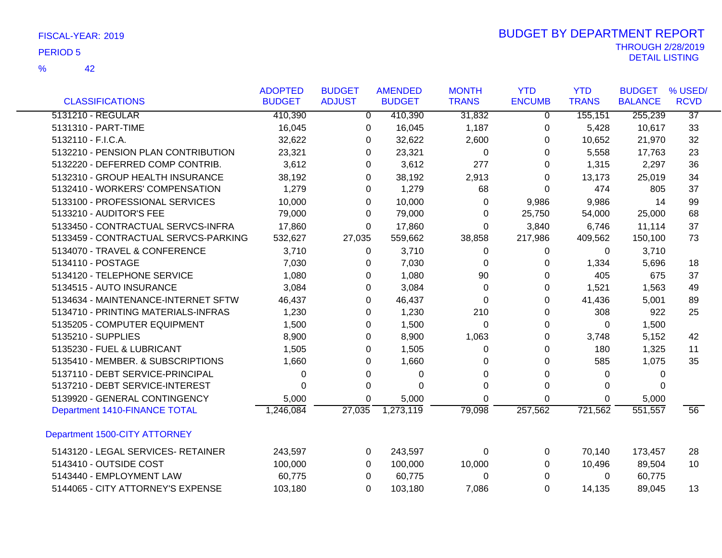|                                      | <b>ADOPTED</b> | <b>BUDGET</b> | <b>AMENDED</b> | <b>MONTH</b> | <b>YTD</b>    | <b>YTD</b>   | <b>BUDGET</b>  | % USED/         |
|--------------------------------------|----------------|---------------|----------------|--------------|---------------|--------------|----------------|-----------------|
| <b>CLASSIFICATIONS</b>               | <b>BUDGET</b>  | <b>ADJUST</b> | <b>BUDGET</b>  | <b>TRANS</b> | <b>ENCUMB</b> | <b>TRANS</b> | <b>BALANCE</b> | <b>RCVD</b>     |
| 5131210 - REGULAR                    | 410,390        | $\mathbf{0}$  | 410,390        | 31,832       | 0             | 155,151      | 255,239        | $\overline{37}$ |
| 5131310 - PART-TIME                  | 16,045         | 0             | 16,045         | 1,187        | 0             | 5,428        | 10,617         | 33              |
| 5132110 - F.I.C.A.                   | 32,622         | 0             | 32,622         | 2,600        | 0             | 10,652       | 21,970         | 32              |
| 5132210 - PENSION PLAN CONTRIBUTION  | 23,321         | 0             | 23,321         | 0            | 0             | 5,558        | 17,763         | 23              |
| 5132220 - DEFERRED COMP CONTRIB.     | 3,612          | $\Omega$      | 3,612          | 277          | 0             | 1,315        | 2,297          | 36              |
| 5132310 - GROUP HEALTH INSURANCE     | 38,192         | 0             | 38,192         | 2,913        | 0             | 13,173       | 25,019         | 34              |
| 5132410 - WORKERS' COMPENSATION      | 1,279          | 0             | 1,279          | 68           | $\Omega$      | 474          | 805            | 37              |
| 5133100 - PROFESSIONAL SERVICES      | 10,000         | 0             | 10,000         | 0            | 9,986         | 9,986        | 14             | 99              |
| 5133210 - AUDITOR'S FEE              | 79,000         | 0             | 79,000         | 0            | 25,750        | 54,000       | 25,000         | 68              |
| 5133450 - CONTRACTUAL SERVCS-INFRA   | 17,860         | 0             | 17,860         | 0            | 3,840         | 6,746        | 11,114         | 37              |
| 5133459 - CONTRACTUAL SERVCS-PARKING | 532,627        | 27,035        | 559,662        | 38,858       | 217,986       | 409,562      | 150,100        | 73              |
| 5134070 - TRAVEL & CONFERENCE        | 3,710          | 0             | 3,710          | 0            | 0             | 0            | 3,710          |                 |
| 5134110 - POSTAGE                    | 7,030          | 0             | 7,030          | 0            | 0             | 1,334        | 5,696          | 18              |
| 5134120 - TELEPHONE SERVICE          | 1,080          | 0             | 1,080          | 90           | 0             | 405          | 675            | 37              |
| 5134515 - AUTO INSURANCE             | 3,084          | 0             | 3,084          | $\Omega$     | 0             | 1,521        | 1,563          | 49              |
| 5134634 - MAINTENANCE-INTERNET SFTW  | 46,437         | 0             | 46,437         | 0            | 0             | 41,436       | 5,001          | 89              |
| 5134710 - PRINTING MATERIALS-INFRAS  | 1,230          | 0             | 1,230          | 210          | 0             | 308          | 922            | 25              |
| 5135205 - COMPUTER EQUIPMENT         | 1,500          | 0             | 1,500          | 0            | 0             | 0            | 1,500          |                 |
| 5135210 - SUPPLIES                   | 8,900          | 0             | 8,900          | 1,063        | 0             | 3,748        | 5,152          | 42              |
| 5135230 - FUEL & LUBRICANT           | 1,505          | $\Omega$      | 1,505          | 0            | 0             | 180          | 1,325          | 11              |
| 5135410 - MEMBER. & SUBSCRIPTIONS    | 1,660          | 0             | 1,660          | 0            | 0             | 585          | 1,075          | 35              |
| 5137110 - DEBT SERVICE-PRINCIPAL     | 0              | 0             | 0              | 0            | 0             | 0            | 0              |                 |
| 5137210 - DEBT SERVICE-INTEREST      | 0              | 0             | 0              | 0            | 0             | 0            | $\Omega$       |                 |
| 5139920 - GENERAL CONTINGENCY        | 5,000          | 0             | 5,000          | 0            | 0             | $\Omega$     | 5,000          |                 |
| Department 1410-FINANCE TOTAL        | 1,246,084      | 27,035        | 1,273,119      | 79,098       | 257,562       | 721,562      | 551,557        | $\overline{56}$ |
| Department 1500-CITY ATTORNEY        |                |               |                |              |               |              |                |                 |
| 5143120 - LEGAL SERVICES- RETAINER   | 243,597        | 0             | 243,597        | 0            | 0             | 70,140       | 173,457        | 28              |
| 5143410 - OUTSIDE COST               | 100,000        | 0             | 100,000        | 10,000       | 0             | 10,496       | 89,504         | 10              |
| 5143440 - EMPLOYMENT LAW             | 60,775         | 0             | 60,775         | 0            | 0             | 0            | 60,775         |                 |
| 5144065 - CITY ATTORNEY'S EXPENSE    | 103,180        | 0             | 103,180        | 7,086        | $\Omega$      | 14,135       | 89,045         | 13              |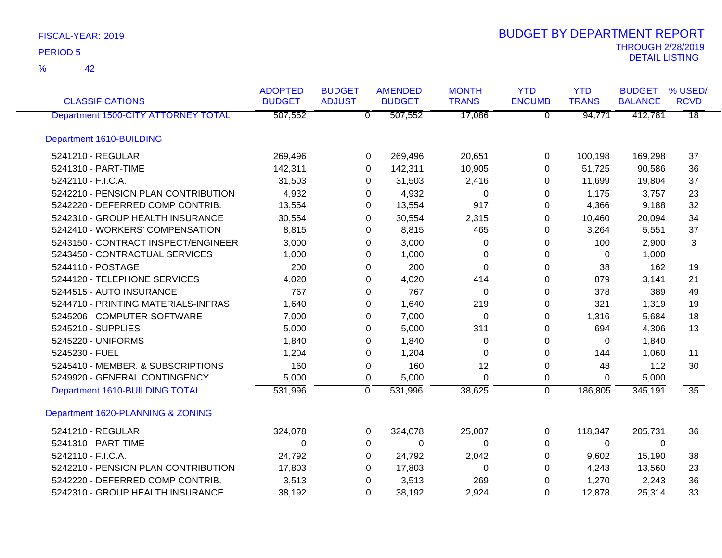| <b>CLASSIFICATIONS</b>              | <b>ADOPTED</b><br><b>BUDGET</b> | <b>BUDGET</b><br><b>ADJUST</b> | <b>AMENDED</b><br><b>BUDGET</b> | <b>MONTH</b><br><b>TRANS</b> | <b>YTD</b><br><b>ENCUMB</b> | <b>YTD</b><br><b>TRANS</b> | <b>BUDGET</b><br><b>BALANCE</b> | % USED/<br><b>RCVD</b> |
|-------------------------------------|---------------------------------|--------------------------------|---------------------------------|------------------------------|-----------------------------|----------------------------|---------------------------------|------------------------|
| Department 1500-CITY ATTORNEY TOTAL | 507,552                         |                                | 507,552<br>$\overline{0}$       | 17,086                       | $\overline{0}$              | 94,771                     | 412,781                         | $\overline{18}$        |
| Department 1610-BUILDING            |                                 |                                |                                 |                              |                             |                            |                                 |                        |
| 5241210 - REGULAR                   | 269,496                         |                                | 269,496<br>0                    | 20,651                       | 0                           | 100,198                    | 169,298                         | 37                     |
| 5241310 - PART-TIME                 | 142,311                         |                                | 142,311<br>0                    | 10,905                       | $\Omega$                    | 51,725                     | 90,586                          | 36                     |
| 5242110 - F.I.C.A.                  | 31,503                          |                                | 31,503<br>0                     | 2,416                        | $\Omega$                    | 11,699                     | 19,804                          | 37                     |
| 5242210 - PENSION PLAN CONTRIBUTION | 4,932                           |                                | 4,932<br>0                      | 0                            | 0                           | 1,175                      | 3,757                           | 23                     |
| 5242220 - DEFERRED COMP CONTRIB.    | 13,554                          |                                | 13,554<br>0                     | 917                          | 0                           | 4,366                      | 9,188                           | 32                     |
| 5242310 - GROUP HEALTH INSURANCE    | 30,554                          |                                | 30,554<br>0                     | 2,315                        | 0                           | 10,460                     | 20,094                          | 34                     |
| 5242410 - WORKERS' COMPENSATION     | 8,815                           |                                | 8,815<br>0                      | 465                          | $\Omega$                    | 3,264                      | 5,551                           | 37                     |
| 5243150 - CONTRACT INSPECT/ENGINEER | 3,000                           |                                | 3,000<br>0                      | 0                            | $\pmb{0}$                   | 100                        | 2,900                           | 3                      |
| 5243450 - CONTRACTUAL SERVICES      | 1,000                           |                                | 1,000<br>0                      | 0                            | 0                           | 0                          | 1,000                           |                        |
| 5244110 - POSTAGE                   | 200                             |                                | 200<br>0                        | $\Omega$                     | $\Omega$                    | 38                         | 162                             | 19                     |
| 5244120 - TELEPHONE SERVICES        | 4,020                           |                                | 4,020<br>0                      | 414                          | 0                           | 879                        | 3,141                           | 21                     |
| 5244515 - AUTO INSURANCE            | 767                             |                                | 767<br>0                        | 0                            | 0                           | 378                        | 389                             | 49                     |
| 5244710 - PRINTING MATERIALS-INFRAS | 1,640                           |                                | 1,640<br>0                      | 219                          | 0                           | 321                        | 1,319                           | 19                     |
| 5245206 - COMPUTER-SOFTWARE         | 7,000                           |                                | 7,000<br>0                      | 0                            | 0                           | 1,316                      | 5,684                           | 18                     |
| 5245210 - SUPPLIES                  | 5,000                           |                                | 5,000<br>0                      | 311                          | 0                           | 694                        | 4,306                           | 13                     |
| 5245220 - UNIFORMS                  | 1,840                           |                                | 1,840<br>0                      | 0                            | 0                           | $\Omega$                   | 1,840                           |                        |
| 5245230 - FUEL                      | 1,204                           |                                | 1,204<br>0                      | $\Omega$                     | 0                           | 144                        | 1,060                           | 11                     |
| 5245410 - MEMBER. & SUBSCRIPTIONS   | 160                             |                                | 160<br>0                        | 12                           | $\pmb{0}$                   | 48                         | 112                             | 30                     |
| 5249920 - GENERAL CONTINGENCY       | 5,000                           |                                | 5,000<br>0                      | $\Omega$                     | 0                           | $\Omega$                   | 5,000                           |                        |
| Department 1610-BUILDING TOTAL      | 531,996                         |                                | $\mathbf 0$<br>531,996          | 38,625                       | $\mathbf 0$                 | 186,805                    | 345,191                         | 35                     |
| Department 1620-PLANNING & ZONING   |                                 |                                |                                 |                              |                             |                            |                                 |                        |
| 5241210 - REGULAR                   | 324,078                         |                                | 0<br>324,078                    | 25,007                       | 0                           | 118,347                    | 205,731                         | 36                     |
| 5241310 - PART-TIME                 | 0                               |                                | 0<br>0                          | 0                            | 0                           | $\Omega$                   | $\Omega$                        |                        |
| 5242110 - F.I.C.A.                  | 24,792                          |                                | 24,792<br>0                     | 2,042                        | $\Omega$                    | 9,602                      | 15,190                          | 38                     |
| 5242210 - PENSION PLAN CONTRIBUTION | 17,803                          |                                | 17,803<br>0                     | 0                            | 0                           | 4,243                      | 13,560                          | 23                     |
| 5242220 - DEFERRED COMP CONTRIB.    | 3,513                           |                                | 3,513<br>0                      | 269                          | 0                           | 1,270                      | 2,243                           | 36                     |
| 5242310 - GROUP HEALTH INSURANCE    | 38,192                          |                                | $\Omega$<br>38,192              | 2,924                        | 0                           | 12,878                     | 25,314                          | 33                     |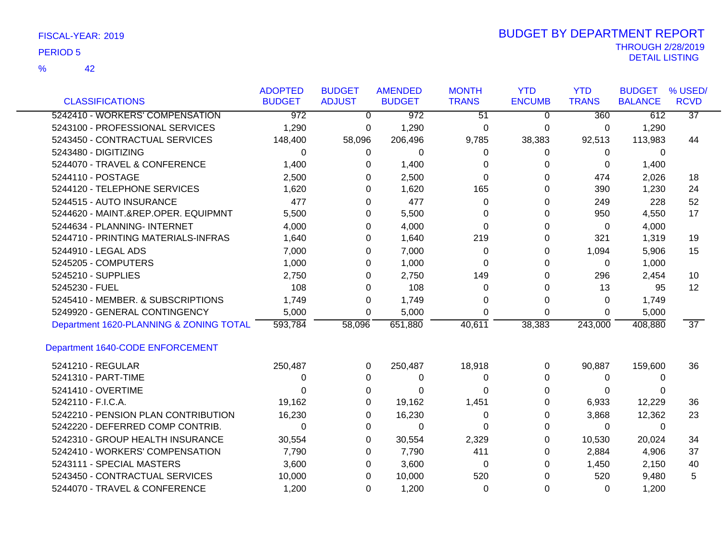42 %

| <b>CLASSIFICATIONS</b>                  | <b>ADOPTED</b><br><b>BUDGET</b> | <b>BUDGET</b><br><b>ADJUST</b> | <b>AMENDED</b><br><b>BUDGET</b> | <b>MONTH</b><br><b>TRANS</b> | <b>YTD</b><br><b>ENCUMB</b> | <b>YTD</b><br><b>TRANS</b> | <b>BUDGET</b><br><b>BALANCE</b> | % USED/<br><b>RCVD</b> |
|-----------------------------------------|---------------------------------|--------------------------------|---------------------------------|------------------------------|-----------------------------|----------------------------|---------------------------------|------------------------|
| 5242410 - WORKERS' COMPENSATION         |                                 |                                |                                 |                              |                             |                            |                                 | $\overline{37}$        |
|                                         | $\overline{972}$                | $\mathbf 0$                    | 972                             | $\overline{51}$              | 0                           | 360                        | 612                             |                        |
| 5243100 - PROFESSIONAL SERVICES         | 1,290                           | 0                              | 1,290                           | 0                            | 0                           | 0                          | 1,290                           |                        |
| 5243450 - CONTRACTUAL SERVICES          | 148,400                         | 58,096                         | 206,496                         | 9,785                        | 38,383                      | 92,513                     | 113,983                         | 44                     |
| 5243480 - DIGITIZING                    | $\Omega$                        | 0                              | 0                               | $\Omega$                     | 0                           | 0                          | $\Omega$                        |                        |
| 5244070 - TRAVEL & CONFERENCE           | 1,400                           | 0                              | 1,400                           | $\Omega$                     | 0                           | 0                          | 1,400                           |                        |
| 5244110 - POSTAGE                       | 2,500                           | 0                              | 2,500                           | $\Omega$                     | 0                           | 474                        | 2,026                           | 18                     |
| 5244120 - TELEPHONE SERVICES            | 1,620                           | $\Omega$                       | 1,620                           | 165                          | $\Omega$                    | 390                        | 1,230                           | 24                     |
| 5244515 - AUTO INSURANCE                | 477                             | 0                              | 477                             | $\Omega$                     | 0                           | 249                        | 228                             | 52                     |
| 5244620 - MAINT.&REP.OPER. EQUIPMNT     | 5,500                           | $\Omega$                       | 5,500                           | $\Omega$                     | $\Omega$                    | 950                        | 4,550                           | 17                     |
| 5244634 - PLANNING- INTERNET            | 4,000                           | 0                              | 4,000                           | 0                            | 0                           | 0                          | 4,000                           |                        |
| 5244710 - PRINTING MATERIALS-INFRAS     | 1,640                           | 0                              | 1,640                           | 219                          | 0                           | 321                        | 1,319                           | 19                     |
| 5244910 - LEGAL ADS                     | 7,000                           | 0                              | 7,000                           | 0                            | 0                           | 1,094                      | 5,906                           | 15                     |
| 5245205 - COMPUTERS                     | 1,000                           | 0                              | 1,000                           | $\Omega$                     | 0                           | 0                          | 1,000                           |                        |
| 5245210 - SUPPLIES                      | 2,750                           | 0                              | 2,750                           | 149                          | 0                           | 296                        | 2,454                           | 10                     |
| 5245230 - FUEL                          | 108                             | $\Omega$                       | 108                             | $\Omega$                     | 0                           | 13                         | 95                              | 12                     |
| 5245410 - MEMBER. & SUBSCRIPTIONS       | 1,749                           | $\Omega$                       | 1,749                           | $\Omega$                     | 0                           | $\Omega$                   | 1,749                           |                        |
| 5249920 - GENERAL CONTINGENCY           | 5,000                           | 0                              | 5,000                           | $\Omega$                     | 0                           | $\Omega$                   | 5,000                           |                        |
| Department 1620-PLANNING & ZONING TOTAL | 593,784                         | 58,096                         | 651,880                         | 40,611                       | 38,383                      | 243,000                    | 408,880                         | $\overline{37}$        |
| Department 1640-CODE ENFORCEMENT        |                                 |                                |                                 |                              |                             |                            |                                 |                        |
| 5241210 - REGULAR                       | 250,487                         | 0                              | 250,487                         | 18,918                       | 0                           | 90,887                     | 159,600                         | 36                     |
| 5241310 - PART-TIME                     | 0                               | 0                              | 0                               | 0                            | 0                           | 0                          | 0                               |                        |
| 5241410 - OVERTIME                      | 0                               | 0                              | 0                               | 0                            | 0                           | 0                          | 0                               |                        |
| 5242110 - F.I.C.A.                      | 19,162                          | 0                              | 19,162                          | 1,451                        | 0                           | 6,933                      | 12,229                          | 36                     |
| 5242210 - PENSION PLAN CONTRIBUTION     | 16,230                          | 0                              | 16,230                          | 0                            | 0                           | 3,868                      | 12,362                          | 23                     |
| 5242220 - DEFERRED COMP CONTRIB.        | $\Omega$                        | 0                              | $\Omega$                        | $\Omega$                     | 0                           | 0                          | $\overline{0}$                  |                        |
| 5242310 - GROUP HEALTH INSURANCE        | 30,554                          | 0                              | 30,554                          | 2,329                        | 0                           | 10,530                     | 20,024                          | 34                     |
| 5242410 - WORKERS' COMPENSATION         | 7,790                           | 0                              | 7,790                           | 411                          | 0                           | 2,884                      | 4,906                           | 37                     |
| 5243111 - SPECIAL MASTERS               | 3,600                           | $\Omega$                       | 3,600                           | 0                            | 0                           | 1,450                      | 2,150                           | 40                     |
| 5243450 - CONTRACTUAL SERVICES          | 10,000                          | 0                              | 10,000                          | 520                          | $\Omega$                    | 520                        | 9,480                           | 5                      |
| 5244070 - TRAVEL & CONFERENCE           | 1,200                           | $\Omega$                       | 1,200                           | $\Omega$                     | $\Omega$                    | $\Omega$                   | 1,200                           |                        |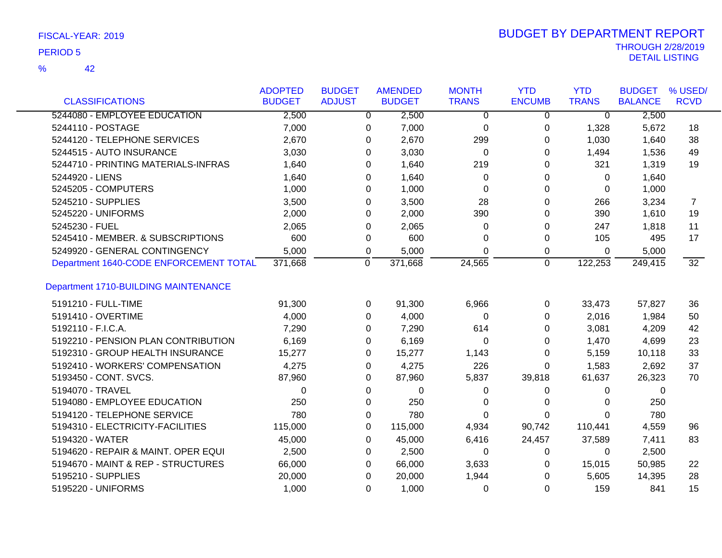42 %

| <b>CLASSIFICATIONS</b>                      | <b>ADOPTED</b><br><b>BUDGET</b> | <b>BUDGET</b><br><b>ADJUST</b> | <b>AMENDED</b><br><b>BUDGET</b> | <b>MONTH</b><br><b>TRANS</b> | <b>YTD</b><br><b>ENCUMB</b> | <b>YTD</b><br><b>TRANS</b> | <b>BUDGET</b><br><b>BALANCE</b> | % USED/<br><b>RCVD</b> |
|---------------------------------------------|---------------------------------|--------------------------------|---------------------------------|------------------------------|-----------------------------|----------------------------|---------------------------------|------------------------|
| 5244080 - EMPLOYEE EDUCATION                | 2,500                           | $\overline{0}$                 | 2,500                           | $\Omega$                     | $\Omega$                    | $\overline{0}$             | 2,500                           |                        |
| 5244110 - POSTAGE                           | 7,000                           | 0                              | 7,000                           | 0                            | 0                           | 1,328                      | 5,672                           | 18                     |
| 5244120 - TELEPHONE SERVICES                | 2,670                           | 0                              | 2,670                           | 299                          | 0                           | 1,030                      | 1,640                           | 38                     |
| 5244515 - AUTO INSURANCE                    | 3,030                           | 0                              | 3,030                           | 0                            | 0                           | 1,494                      | 1,536                           | 49                     |
| 5244710 - PRINTING MATERIALS-INFRAS         | 1,640                           | 0                              | 1,640                           | 219                          | 0                           | 321                        | 1,319                           | 19                     |
| 5244920 - LIENS                             | 1,640                           | 0                              | 1,640                           | 0                            | 0                           | 0                          | 1,640                           |                        |
| 5245205 - COMPUTERS                         | 1,000                           | 0                              | 1,000                           | 0                            | 0                           | 0                          | 1,000                           |                        |
| 5245210 - SUPPLIES                          | 3,500                           | $\Omega$                       | 3,500                           | 28                           | 0                           | 266                        | 3,234                           | $\overline{7}$         |
| 5245220 - UNIFORMS                          | 2,000                           | $\Omega$                       | 2,000                           | 390                          | 0                           | 390                        | 1,610                           | 19                     |
| 5245230 - FUEL                              | 2,065                           | 0                              | 2,065                           | 0                            | 0                           | 247                        | 1,818                           | 11                     |
| 5245410 - MEMBER. & SUBSCRIPTIONS           | 600                             | 0                              | 600                             | 0                            | 0                           | 105                        | 495                             | 17                     |
| 5249920 - GENERAL CONTINGENCY               | 5,000                           | 0                              | 5,000                           | $\Omega$                     | 0                           | 0                          | 5,000                           |                        |
| Department 1640-CODE ENFORCEMENT TOTAL      | 371,668                         | 0                              | 371,668                         | 24,565                       | $\mathbf 0$                 | 122,253                    | 249,415                         | $\overline{32}$        |
| <b>Department 1710-BUILDING MAINTENANCE</b> |                                 |                                |                                 |                              |                             |                            |                                 |                        |
| 5191210 - FULL-TIME                         | 91,300                          | 0                              | 91,300                          | 6,966                        | 0                           | 33,473                     | 57,827                          | 36                     |
| 5191410 - OVERTIME                          | 4,000                           | $\Omega$                       | 4,000                           | $\Omega$                     | 0                           | 2,016                      | 1,984                           | 50                     |
| 5192110 - F.I.C.A.                          | 7,290                           | $\Omega$                       | 7,290                           | 614                          | 0                           | 3,081                      | 4,209                           | 42                     |
| 5192210 - PENSION PLAN CONTRIBUTION         | 6,169                           | 0                              | 6,169                           | 0                            | 0                           | 1,470                      | 4,699                           | 23                     |
| 5192310 - GROUP HEALTH INSURANCE            | 15,277                          | 0                              | 15,277                          | 1,143                        | 0                           | 5,159                      | 10,118                          | 33                     |
| 5192410 - WORKERS' COMPENSATION             | 4,275                           | 0                              | 4,275                           | 226                          | 0                           | 1,583                      | 2,692                           | 37                     |
| 5193450 - CONT. SVCS.                       | 87,960                          | 0                              | 87,960                          | 5,837                        | 39,818                      | 61,637                     | 26,323                          | 70                     |
| 5194070 - TRAVEL                            | $\Omega$                        | 0                              | 0                               | 0                            | 0                           | 0                          | 0                               |                        |
| 5194080 - EMPLOYEE EDUCATION                | 250                             | 0                              | 250                             | 0                            | 0                           | 0                          | 250                             |                        |
| 5194120 - TELEPHONE SERVICE                 | 780                             | 0                              | 780                             | $\Omega$                     | 0                           | $\Omega$                   | 780                             |                        |
| 5194310 - ELECTRICITY-FACILITIES            | 115,000                         | 0                              | 115,000                         | 4,934                        | 90,742                      | 110,441                    | 4,559                           | 96                     |
| 5194320 - WATER                             | 45,000                          | 0                              | 45,000                          | 6,416                        | 24,457                      | 37,589                     | 7,411                           | 83                     |
| 5194620 - REPAIR & MAINT. OPER EQUI         | 2,500                           | 0                              | 2,500                           | 0                            | 0                           | 0                          | 2,500                           |                        |
| 5194670 - MAINT & REP - STRUCTURES          | 66,000                          | 0                              | 66,000                          | 3,633                        | 0                           | 15,015                     | 50,985                          | 22                     |
| 5195210 - SUPPLIES                          | 20,000                          | 0                              | 20,000                          | 1,944                        | 0                           | 5,605                      | 14,395                          | 28                     |
| 5195220 - UNIFORMS                          | 1,000                           | 0                              | 1,000                           | 0                            | $\Omega$                    | 159                        | 841                             | 15                     |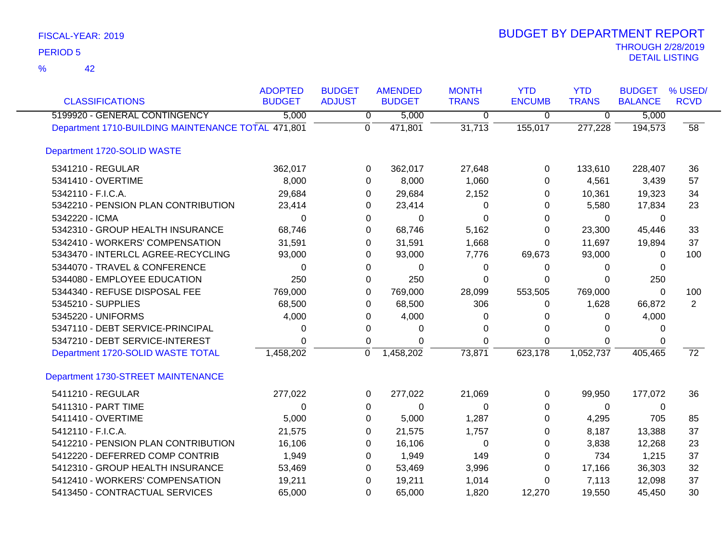| <b>CLASSIFICATIONS</b>                             | <b>ADOPTED</b><br><b>BUDGET</b> | <b>BUDGET</b><br><b>ADJUST</b> | <b>AMENDED</b><br><b>BUDGET</b> | <b>MONTH</b><br><b>TRANS</b> | <b>YTD</b><br><b>ENCUMB</b> | <b>YTD</b><br><b>TRANS</b> | <b>BUDGET</b><br><b>BALANCE</b> | % USED/<br><b>RCVD</b> |
|----------------------------------------------------|---------------------------------|--------------------------------|---------------------------------|------------------------------|-----------------------------|----------------------------|---------------------------------|------------------------|
| 5199920 - GENERAL CONTINGENCY                      | 5,000                           | $\overline{0}$                 | 5,000                           | 0                            | $\mathbf 0$                 | $\overline{0}$             | 5,000                           |                        |
| Department 1710-BUILDING MAINTENANCE TOTAL 471,801 |                                 | $\Omega$                       | 471,801                         | 31,713                       | 155,017                     | 277,228                    | 194,573                         | $\overline{58}$        |
| Department 1720-SOLID WASTE                        |                                 |                                |                                 |                              |                             |                            |                                 |                        |
| 5341210 - REGULAR                                  | 362,017                         | 0                              | 362,017                         | 27,648                       | 0                           | 133,610                    | 228,407                         | 36                     |
| 5341410 - OVERTIME                                 | 8,000                           | 0                              | 8,000                           | 1,060                        | 0                           | 4,561                      | 3,439                           | 57                     |
| 5342110 - F.I.C.A.                                 | 29,684                          | 0                              | 29,684                          | 2,152                        | 0                           | 10,361                     | 19,323                          | 34                     |
| 5342210 - PENSION PLAN CONTRIBUTION                | 23,414                          | 0                              | 23,414                          | 0                            | 0                           | 5,580                      | 17,834                          | 23                     |
| 5342220 - ICMA                                     | 0                               | 0                              | 0                               | 0                            | 0                           | 0                          | 0                               |                        |
| 5342310 - GROUP HEALTH INSURANCE                   | 68,746                          | 0                              | 68,746                          | 5,162                        | 0                           | 23,300                     | 45,446                          | 33                     |
| 5342410 - WORKERS' COMPENSATION                    | 31,591                          | 0                              | 31,591                          | 1,668                        | $\Omega$                    | 11,697                     | 19,894                          | 37                     |
| 5343470 - INTERLCL AGREE-RECYCLING                 | 93,000                          | 0                              | 93,000                          | 7,776                        | 69,673                      | 93,000                     | 0                               | 100                    |
| 5344070 - TRAVEL & CONFERENCE                      | $\Omega$                        | $\Omega$                       | $\Omega$                        | 0                            | 0                           | $\Omega$                   | $\Omega$                        |                        |
| 5344080 - EMPLOYEE EDUCATION                       | 250                             | 0                              | 250                             | 0                            | 0                           | $\Omega$                   | 250                             |                        |
| 5344340 - REFUSE DISPOSAL FEE                      | 769,000                         | 0                              | 769,000                         | 28,099                       | 553,505                     | 769,000                    | 0                               | 100                    |
| 5345210 - SUPPLIES                                 | 68,500                          | 0                              | 68,500                          | 306                          | 0                           | 1,628                      | 66,872                          | 2                      |
| 5345220 - UNIFORMS                                 | 4,000                           | 0                              | 4,000                           | 0                            | 0                           | 0                          | 4,000                           |                        |
| 5347110 - DEBT SERVICE-PRINCIPAL                   | 0                               | 0                              | 0                               | 0                            | 0                           | 0                          | $\Omega$                        |                        |
| 5347210 - DEBT SERVICE-INTEREST                    | $\Omega$                        | 0                              | 0                               | $\Omega$                     | 0                           | $\Omega$                   | 0                               |                        |
| Department 1720-SOLID WASTE TOTAL                  | 1,458,202                       | $\mathbf 0$                    | 1,458,202                       | 73,871                       | 623,178                     | 1,052,737                  | 405,465                         | $\overline{72}$        |
| Department 1730-STREET MAINTENANCE                 |                                 |                                |                                 |                              |                             |                            |                                 |                        |
| 5411210 - REGULAR                                  | 277,022                         | 0                              | 277,022                         | 21,069                       | 0                           | 99,950                     | 177,072                         | 36                     |
| 5411310 - PART TIME                                | 0                               | 0                              | $\Omega$                        | 0                            | 0                           | $\Omega$                   | $\Omega$                        |                        |
| 5411410 - OVERTIME                                 | 5,000                           | 0                              | 5,000                           | 1,287                        | 0                           | 4,295                      | 705                             | 85                     |
| 5412110 - F.I.C.A.                                 | 21,575                          | 0                              | 21,575                          | 1,757                        | 0                           | 8,187                      | 13,388                          | 37                     |
| 5412210 - PENSION PLAN CONTRIBUTION                | 16,106                          | 0                              | 16,106                          | 0                            | 0                           | 3,838                      | 12,268                          | 23                     |
| 5412220 - DEFERRED COMP CONTRIB                    | 1,949                           | 0                              | 1,949                           | 149                          | 0                           | 734                        | 1,215                           | 37                     |
| 5412310 - GROUP HEALTH INSURANCE                   | 53,469                          | 0                              | 53,469                          | 3,996                        | 0                           | 17,166                     | 36,303                          | 32                     |
| 5412410 - WORKERS' COMPENSATION                    | 19,211                          | 0                              | 19,211                          | 1,014                        | 0                           | 7,113                      | 12,098                          | 37                     |
| 5413450 - CONTRACTUAL SERVICES                     | 65,000                          | $\Omega$                       | 65,000                          | 1,820                        | 12,270                      | 19,550                     | 45,450                          | 30                     |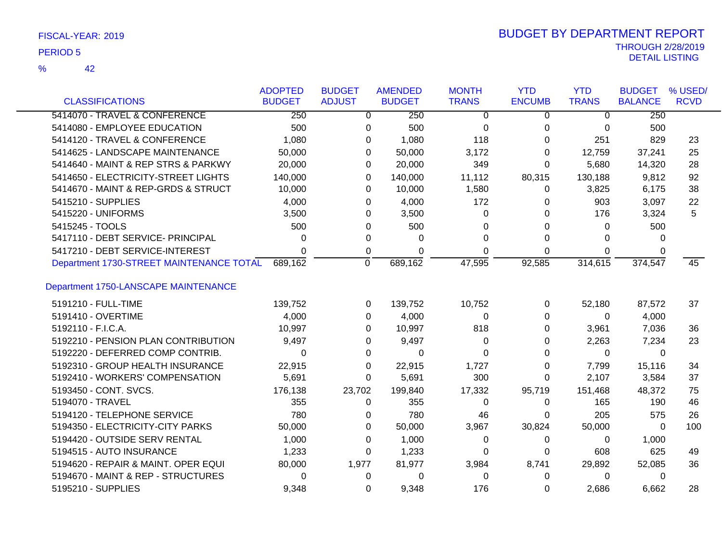| FISCAL-YEAR: 2019 |
|-------------------|
| <b>DEDIAD E</b>   |

|                                          | <b>ADOPTED</b> | <b>BUDGET</b>  | <b>AMENDED</b> | <b>MONTH</b>   | <b>YTD</b>     | <b>YTD</b>     | <b>BUDGET</b>  | % USED/     |
|------------------------------------------|----------------|----------------|----------------|----------------|----------------|----------------|----------------|-------------|
| <b>CLASSIFICATIONS</b>                   | <b>BUDGET</b>  | <b>ADJUST</b>  | <b>BUDGET</b>  | <b>TRANS</b>   | <b>ENCUMB</b>  | <b>TRANS</b>   | <b>BALANCE</b> | <b>RCVD</b> |
| 5414070 - TRAVEL & CONFERENCE            | 250            | $\overline{0}$ | 250            | $\overline{0}$ | $\overline{0}$ | $\overline{0}$ | 250            |             |
| 5414080 - EMPLOYEE EDUCATION             | 500            | 0              | 500            | 0              | 0              | 0              | 500            |             |
| 5414120 - TRAVEL & CONFERENCE            | 1,080          | 0              | 1,080          | 118            | $\Omega$       | 251            | 829            | 23          |
| 5414625 - LANDSCAPE MAINTENANCE          | 50,000         | 0              | 50,000         | 3,172          | $\Omega$       | 12,759         | 37,241         | 25          |
| 5414640 - MAINT & REP STRS & PARKWY      | 20,000         | 0              | 20,000         | 349            | $\Omega$       | 5,680          | 14,320         | 28          |
| 5414650 - ELECTRICITY-STREET LIGHTS      | 140,000        | 0              | 140,000        | 11,112         | 80,315         | 130,188        | 9,812          | 92          |
| 5414670 - MAINT & REP-GRDS & STRUCT      | 10,000         | 0              | 10,000         | 1,580          | 0              | 3,825          | 6,175          | 38          |
| 5415210 - SUPPLIES                       | 4,000          | 0              | 4,000          | 172            | 0              | 903            | 3,097          | 22          |
| 5415220 - UNIFORMS                       | 3,500          | 0              | 3,500          | 0              | 0              | 176            | 3,324          | 5           |
| 5415245 - TOOLS                          | 500            | 0              | 500            | 0              | 0              | 0              | 500            |             |
| 5417110 - DEBT SERVICE- PRINCIPAL        | 0              | 0              | 0              | 0              | 0              | $\Omega$       | 0              |             |
| 5417210 - DEBT SERVICE-INTEREST          | $\Omega$       | 0              | 0              | 0              | 0              | $\Omega$       | 0              |             |
| Department 1730-STREET MAINTENANCE TOTAL | 689,162        | $\mathbf 0$    | 689,162        | 47,595         | 92,585         | 314,615        | 374,547        | 45          |
| Department 1750-LANSCAPE MAINTENANCE     |                |                |                |                |                |                |                |             |
| 5191210 - FULL-TIME                      | 139,752        | 0              | 139,752        | 10,752         | 0              | 52,180         | 87,572         | 37          |
| 5191410 - OVERTIME                       | 4,000          | $\Omega$       | 4,000          | 0              | 0              | 0              | 4,000          |             |
| 5192110 - F.I.C.A.                       | 10,997         | 0              | 10,997         | 818            | 0              | 3,961          | 7,036          | 36          |
| 5192210 - PENSION PLAN CONTRIBUTION      | 9,497          | 0              | 9,497          | 0              | 0              | 2,263          | 7,234          | 23          |
| 5192220 - DEFERRED COMP CONTRIB.         | 0              | 0              | 0              | 0              | 0              | 0              | $\Omega$       |             |
| 5192310 - GROUP HEALTH INSURANCE         | 22,915         | 0              | 22,915         | 1,727          | 0              | 7,799          | 15,116         | 34          |
| 5192410 - WORKERS' COMPENSATION          | 5,691          | 0              | 5,691          | 300            | 0              | 2,107          | 3,584          | 37          |
| 5193450 - CONT. SVCS.                    | 176,138        | 23,702         | 199,840        | 17,332         | 95,719         | 151,468        | 48,372         | 75          |
| 5194070 - TRAVEL                         | 355            | 0              | 355            | 0              | 0              | 165            | 190            | 46          |
| 5194120 - TELEPHONE SERVICE              | 780            | 0              | 780            | 46             | 0              | 205            | 575            | 26          |
| 5194350 - ELECTRICITY-CITY PARKS         | 50,000         | 0              | 50,000         | 3,967          | 30,824         | 50,000         | $\mathbf{0}$   | 100         |
| 5194420 - OUTSIDE SERV RENTAL            | 1,000          | 0              | 1,000          | 0              | 0              | 0              | 1,000          |             |
| 5194515 - AUTO INSURANCE                 | 1,233          | 0              | 1,233          | 0              | 0              | 608            | 625            | 49          |
| 5194620 - REPAIR & MAINT. OPER EQUI      | 80,000         | 1,977          | 81,977         | 3,984          | 8,741          | 29,892         | 52,085         | 36          |
| 5194670 - MAINT & REP - STRUCTURES       | 0              | 0              | 0              | 0              | 0              | 0              | 0              |             |
| 5195210 - SUPPLIES                       | 9,348          | 0              | 9,348          | 176            | 0              | 2,686          | 6,662          | 28          |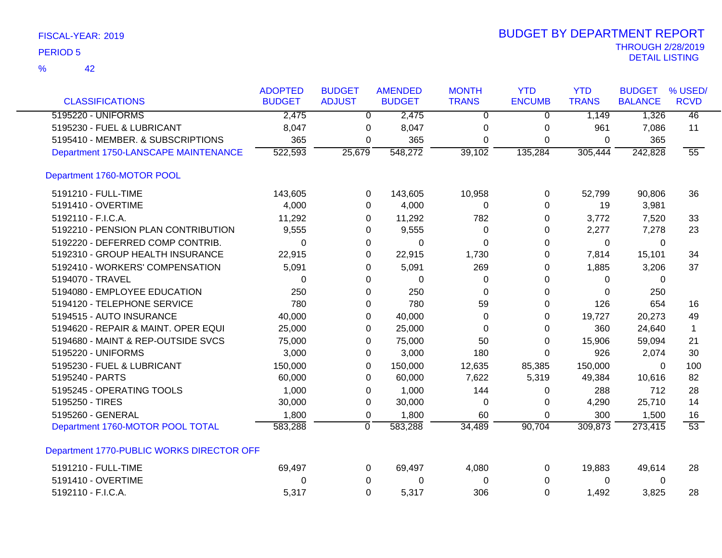|  | FISCAL-YEAR: 2019 |  |
|--|-------------------|--|
|--|-------------------|--|

| <b>CLASSIFICATIONS</b>                    | <b>ADOPTED</b><br><b>BUDGET</b> | <b>BUDGET</b><br><b>ADJUST</b> | <b>AMENDED</b><br><b>BUDGET</b> | <b>MONTH</b><br><b>TRANS</b> | <b>YTD</b><br><b>ENCUMB</b> | <b>YTD</b><br><b>TRANS</b> | <b>BUDGET</b><br><b>BALANCE</b> | % USED/<br><b>RCVD</b> |
|-------------------------------------------|---------------------------------|--------------------------------|---------------------------------|------------------------------|-----------------------------|----------------------------|---------------------------------|------------------------|
| 5195220 - UNIFORMS                        | 2,475                           | $\overline{0}$                 | 2,475                           | $\overline{0}$               |                             | 1,149                      | 1,326                           | $\overline{46}$        |
|                                           |                                 |                                |                                 |                              | $\overline{0}$              |                            |                                 |                        |
| 5195230 - FUEL & LUBRICANT                | 8,047                           | 0                              | 8,047                           | 0                            | 0                           | 961                        | 7,086                           | 11                     |
| 5195410 - MEMBER. & SUBSCRIPTIONS         | 365                             | 0                              | 365                             | $\Omega$                     | 0                           | $\mathbf{0}$               | 365                             |                        |
| Department 1750-LANSCAPE MAINTENANCE      | 522,593                         | 25,679                         | 548,272                         | 39,102                       | 135,284                     | 305,444                    | 242,828                         | $\overline{55}$        |
| Department 1760-MOTOR POOL                |                                 |                                |                                 |                              |                             |                            |                                 |                        |
| 5191210 - FULL-TIME                       | 143,605                         | 0                              | 143,605                         | 10,958                       | 0                           | 52,799                     | 90,806                          | 36                     |
| 5191410 - OVERTIME                        | 4,000                           | 0                              | 4,000                           | 0                            | $\Omega$                    | 19                         | 3,981                           |                        |
| 5192110 - F.I.C.A.                        | 11,292                          | 0                              | 11,292                          | 782                          | 0                           | 3,772                      | 7,520                           | 33                     |
| 5192210 - PENSION PLAN CONTRIBUTION       | 9,555                           | 0                              | 9,555                           | 0                            | 0                           | 2,277                      | 7,278                           | 23                     |
| 5192220 - DEFERRED COMP CONTRIB.          | 0                               | 0                              | 0                               | $\Omega$                     | 0                           | 0                          | 0                               |                        |
| 5192310 - GROUP HEALTH INSURANCE          | 22,915                          | 0                              | 22,915                          | 1,730                        | 0                           | 7,814                      | 15,101                          | 34                     |
| 5192410 - WORKERS' COMPENSATION           | 5,091                           | 0                              | 5,091                           | 269                          | 0                           | 1,885                      | 3,206                           | 37                     |
| 5194070 - TRAVEL                          | 0                               | 0                              | 0                               | 0                            | 0                           | $\Omega$                   | 0                               |                        |
| 5194080 - EMPLOYEE EDUCATION              | 250                             | 0                              | 250                             | 0                            | 0                           | $\Omega$                   | 250                             |                        |
| 5194120 - TELEPHONE SERVICE               | 780                             | 0                              | 780                             | 59                           | 0                           | 126                        | 654                             | 16                     |
| 5194515 - AUTO INSURANCE                  | 40,000                          | 0                              | 40,000                          | 0                            | 0                           | 19,727                     | 20,273                          | 49                     |
| 5194620 - REPAIR & MAINT. OPER EQUI       | 25,000                          | 0                              | 25,000                          | 0                            | 0                           | 360                        | 24,640                          | 1                      |
| 5194680 - MAINT & REP-OUTSIDE SVCS        | 75,000                          | 0                              | 75,000                          | 50                           | 0                           | 15,906                     | 59,094                          | 21                     |
| 5195220 - UNIFORMS                        | 3,000                           | 0                              | 3,000                           | 180                          | $\Omega$                    | 926                        | 2,074                           | 30                     |
| 5195230 - FUEL & LUBRICANT                | 150,000                         | 0                              | 150,000                         | 12,635                       | 85,385                      | 150,000                    | $\mathbf{0}$                    | 100                    |
| 5195240 - PARTS                           | 60,000                          | 0                              | 60,000                          | 7,622                        | 5,319                       | 49,384                     | 10,616                          | 82                     |
| 5195245 - OPERATING TOOLS                 | 1,000                           | 0                              | 1,000                           | 144                          | 0                           | 288                        | 712                             | 28                     |
| 5195250 - TIRES                           | 30,000                          | 0                              | 30,000                          | 0                            | 0                           | 4,290                      | 25,710                          | 14                     |
| 5195260 - GENERAL                         | 1,800                           | 0                              | 1,800                           | 60                           | 0                           | 300                        | 1,500                           | 16                     |
| Department 1760-MOTOR POOL TOTAL          | 583,288                         | 0                              | 583,288                         | 34,489                       | 90,704                      | 309,873                    | 273,415                         | $\overline{53}$        |
| Department 1770-PUBLIC WORKS DIRECTOR OFF |                                 |                                |                                 |                              |                             |                            |                                 |                        |
| 5191210 - FULL-TIME                       | 69,497                          | 0                              | 69,497                          | 4,080                        | 0                           | 19,883                     | 49,614                          | 28                     |
| 5191410 - OVERTIME                        | 0                               | 0                              | 0                               | 0                            | 0                           | 0                          | 0                               |                        |
| 5192110 - F.I.C.A.                        | 5,317                           | $\Omega$                       | 5,317                           | 306                          | 0                           | 1,492                      | 3,825                           | 28                     |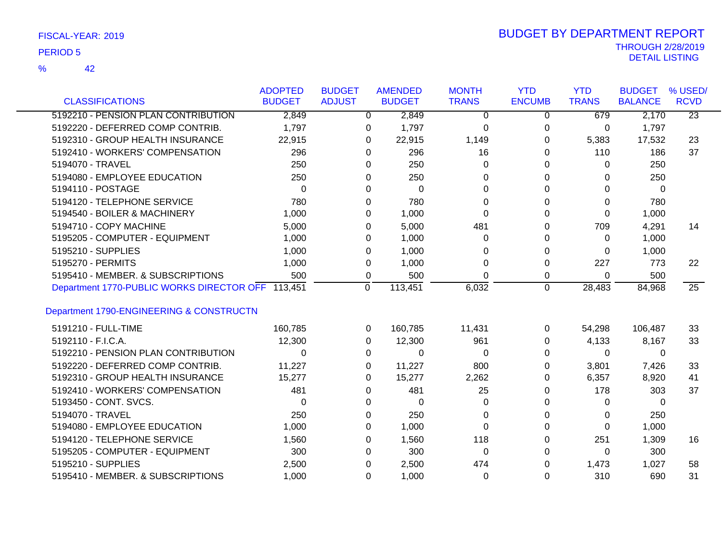42 %

| <b>CLASSIFICATIONS</b>                            | <b>ADOPTED</b><br><b>BUDGET</b> | <b>BUDGET</b><br><b>ADJUST</b> | <b>AMENDED</b><br><b>BUDGET</b> | <b>MONTH</b><br><b>TRANS</b> | <b>YTD</b><br><b>ENCUMB</b> | <b>YTD</b><br><b>TRANS</b> | <b>BUDGET</b><br><b>BALANCE</b> | % USED/<br><b>RCVD</b> |
|---------------------------------------------------|---------------------------------|--------------------------------|---------------------------------|------------------------------|-----------------------------|----------------------------|---------------------------------|------------------------|
|                                                   |                                 |                                |                                 |                              |                             |                            |                                 |                        |
| 5192210 - PENSION PLAN CONTRIBUTION               | 2,849                           | $\mathbf{0}$                   | 2,849                           | $\Omega$                     | $\mathbf 0$                 | 679                        | 2,170                           | $\overline{23}$        |
| 5192220 - DEFERRED COMP CONTRIB.                  | 1,797                           | 0                              | 1,797                           | 0                            | 0                           | 0                          | 1,797                           |                        |
| 5192310 - GROUP HEALTH INSURANCE                  | 22,915                          | 0                              | 22,915                          | 1,149                        | 0                           | 5,383                      | 17,532                          | 23                     |
| 5192410 - WORKERS' COMPENSATION                   | 296                             | 0                              | 296                             | 16                           | 0                           | 110                        | 186                             | 37                     |
| 5194070 - TRAVEL                                  | 250                             | 0                              | 250                             | 0                            | 0                           | 0                          | 250                             |                        |
| 5194080 - EMPLOYEE EDUCATION                      | 250                             | 0                              | 250                             | 0                            | 0                           | 0                          | 250                             |                        |
| 5194110 - POSTAGE                                 | $\Omega$                        | 0                              | $\mathbf 0$                     | 0                            | 0                           | 0                          | 0                               |                        |
| 5194120 - TELEPHONE SERVICE                       | 780                             | 0                              | 780                             | 0                            | 0                           | 0                          | 780                             |                        |
| 5194540 - BOILER & MACHINERY                      | 1,000                           | 0                              | 1,000                           | 0                            | 0                           | 0                          | 1,000                           |                        |
| 5194710 - COPY MACHINE                            | 5,000                           | 0                              | 5,000                           | 481                          | 0                           | 709                        | 4,291                           | 14                     |
| 5195205 - COMPUTER - EQUIPMENT                    | 1,000                           | 0                              | 1,000                           | 0                            | 0                           | $\Omega$                   | 1,000                           |                        |
| 5195210 - SUPPLIES                                | 1,000                           | 0                              | 1,000                           | 0                            | 0                           | 0                          | 1,000                           |                        |
| 5195270 - PERMITS                                 | 1,000                           | 0                              | 1,000                           | 0                            | 0                           | 227                        | 773                             | 22                     |
| 5195410 - MEMBER. & SUBSCRIPTIONS                 | 500                             | 0                              | 500                             | 0                            | 0                           | 0                          | 500                             |                        |
| Department 1770-PUBLIC WORKS DIRECTOR OFF 113,451 |                                 | $\Omega$                       | 113,451                         | 6,032                        | $\Omega$                    | 28,483                     | 84,968                          | $\overline{25}$        |
|                                                   |                                 |                                |                                 |                              |                             |                            |                                 |                        |
| Department 1790-ENGINEERING & CONSTRUCTN          |                                 |                                |                                 |                              |                             |                            |                                 |                        |
| 5191210 - FULL-TIME                               | 160,785                         | $\Omega$                       | 160,785                         | 11,431                       | 0                           | 54,298                     | 106,487                         | -33                    |
| 5192110 - F.I.C.A.                                | 12,300                          | 0                              | 12,300                          | 961                          | 0                           | 4,133                      | 8,167                           | 33                     |
| 5192210 - PENSION PLAN CONTRIBUTION               | 0                               | 0                              | $\Omega$                        | 0                            | 0                           | $\Omega$                   | 0                               |                        |
| 5192220 - DEFERRED COMP CONTRIB.                  | 11,227                          | 0                              | 11,227                          | 800                          | 0                           | 3,801                      | 7,426                           | -33                    |
| 5192310 - GROUP HEALTH INSURANCE                  | 15,277                          | 0                              | 15,277                          | 2,262                        | 0                           | 6,357                      | 8,920                           | 41                     |
| 5192410 - WORKERS' COMPENSATION                   | 481                             | 0                              | 481                             | 25                           | 0                           | 178                        | 303                             | 37                     |
| 5193450 - CONT. SVCS.                             | 0                               | 0                              | $\mathbf 0$                     | 0                            | 0                           | 0                          | 0                               |                        |
| 5194070 - TRAVEL                                  | 250                             | 0                              | 250                             | $\Omega$                     | 0                           | 0                          | 250                             |                        |
| 5194080 - EMPLOYEE EDUCATION                      | 1,000                           | 0                              | 1,000                           | 0                            | 0                           | $\Omega$                   | 1,000                           |                        |
| 5194120 - TELEPHONE SERVICE                       | 1,560                           | 0                              | 1,560                           | 118                          | 0                           | 251                        | 1,309                           | 16                     |
| 5195205 - COMPUTER - EQUIPMENT                    | 300                             | 0                              | 300                             | $\mathbf{0}$                 | 0                           | 0                          | 300                             |                        |
| 5195210 - SUPPLIES                                | 2,500                           | 0                              | 2,500                           | 474                          | 0                           | 1,473                      | 1,027                           | 58                     |
| 5195410 - MEMBER. & SUBSCRIPTIONS                 | 1,000                           | $\Omega$                       | 1,000                           | 0                            | $\Omega$                    | 310                        | 690                             | 31                     |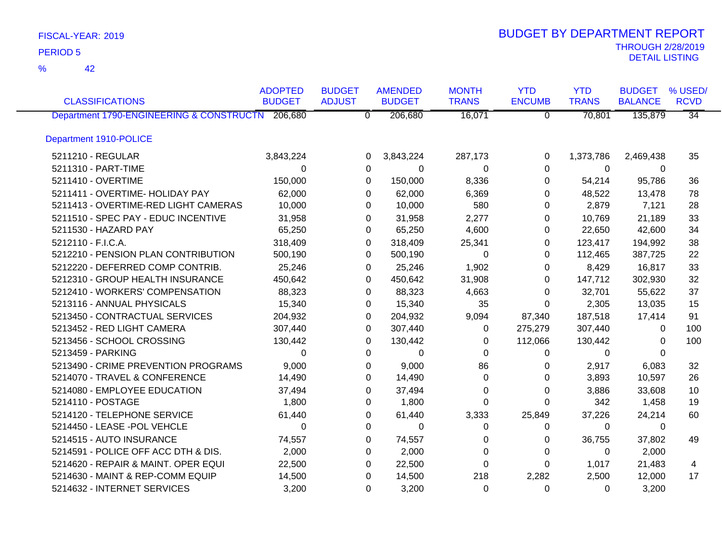42 %

|                                                  | <b>ADOPTED</b> | <b>BUDGET</b>  | <b>AMENDED</b> | <b>MONTH</b> | <b>YTD</b>     | <b>YTD</b>   | <b>BUDGET</b>  | % USED/         |
|--------------------------------------------------|----------------|----------------|----------------|--------------|----------------|--------------|----------------|-----------------|
| <b>CLASSIFICATIONS</b>                           | <b>BUDGET</b>  | <b>ADJUST</b>  | <b>BUDGET</b>  | <b>TRANS</b> | <b>ENCUMB</b>  | <b>TRANS</b> | <b>BALANCE</b> | <b>RCVD</b>     |
| Department 1790-ENGINEERING & CONSTRUCTN 206,680 |                | $\overline{0}$ | 206,680        | 16,071       | $\overline{0}$ | 70,801       | 135,879        | $\overline{34}$ |
| Department 1910-POLICE                           |                |                |                |              |                |              |                |                 |
| 5211210 - REGULAR                                | 3,843,224      | 0              | 3,843,224      | 287,173      | 0              | 1,373,786    | 2,469,438      | 35              |
| 5211310 - PART-TIME                              | $\Omega$       | $\mathbf 0$    | 0              | 0            | $\Omega$       | $\Omega$     | 0              |                 |
| 5211410 - OVERTIME                               | 150,000        | 0              | 150,000        | 8,336        | 0              | 54,214       | 95,786         | 36              |
| 5211411 - OVERTIME- HOLIDAY PAY                  | 62,000         | 0              | 62,000         | 6,369        | 0              | 48,522       | 13,478         | 78              |
| 5211413 - OVERTIME-RED LIGHT CAMERAS             | 10,000         | 0              | 10,000         | 580          | 0              | 2,879        | 7,121          | 28              |
| 5211510 - SPEC PAY - EDUC INCENTIVE              | 31,958         | 0              | 31,958         | 2,277        | 0              | 10,769       | 21,189         | 33              |
| 5211530 - HAZARD PAY                             | 65,250         | 0              | 65,250         | 4,600        | 0              | 22,650       | 42,600         | 34              |
| 5212110 - F.I.C.A.                               | 318,409        | 0              | 318,409        | 25,341       | 0              | 123,417      | 194,992        | 38              |
| 5212210 - PENSION PLAN CONTRIBUTION              | 500,190        | 0              | 500,190        | $\Omega$     | 0              | 112,465      | 387,725        | 22              |
| 5212220 - DEFERRED COMP CONTRIB.                 | 25,246         | $\Omega$       | 25,246         | 1,902        | 0              | 8,429        | 16,817         | 33              |
| 5212310 - GROUP HEALTH INSURANCE                 | 450,642        | 0              | 450,642        | 31,908       | $\Omega$       | 147,712      | 302,930        | 32              |
| 5212410 - WORKERS' COMPENSATION                  | 88,323         | 0              | 88,323         | 4,663        | 0              | 32,701       | 55,622         | 37              |
| 5213116 - ANNUAL PHYSICALS                       | 15,340         | 0              | 15,340         | 35           | 0              | 2,305        | 13,035         | 15              |
| 5213450 - CONTRACTUAL SERVICES                   | 204,932        | 0              | 204,932        | 9,094        | 87,340         | 187,518      | 17,414         | 91              |
| 5213452 - RED LIGHT CAMERA                       | 307,440        | $\Omega$       | 307,440        | 0            | 275,279        | 307,440      | 0              | 100             |
| 5213456 - SCHOOL CROSSING                        | 130,442        | 0              | 130,442        | 0            | 112,066        | 130,442      | 0              | 100             |
| 5213459 - PARKING                                | $\Omega$       | 0              | $\mathbf{0}$   | $\Omega$     | $\Omega$       | $\Omega$     | $\Omega$       |                 |
| 5213490 - CRIME PREVENTION PROGRAMS              | 9,000          | 0              | 9,000          | 86           | 0              | 2,917        | 6,083          | 32              |
| 5214070 - TRAVEL & CONFERENCE                    | 14,490         | 0              | 14,490         | $\Omega$     | 0              | 3,893        | 10,597         | 26              |
| 5214080 - EMPLOYEE EDUCATION                     | 37,494         | 0              | 37,494         | 0            | 0              | 3,886        | 33,608         | 10              |
| 5214110 - POSTAGE                                | 1,800          | 0              | 1,800          | $\Omega$     | 0              | 342          | 1,458          | 19              |
| 5214120 - TELEPHONE SERVICE                      | 61,440         | 0              | 61,440         | 3,333        | 25,849         | 37,226       | 24,214         | 60              |
| 5214450 - LEASE -POL VEHCLE                      | $\Omega$       | 0              | 0              | 0            | 0              | 0            | 0              |                 |
| 5214515 - AUTO INSURANCE                         | 74,557         | 0              | 74,557         | 0            | 0              | 36,755       | 37,802         | 49              |
| 5214591 - POLICE OFF ACC DTH & DIS.              | 2,000          | 0              | 2,000          | 0            | 0              | $\mathbf 0$  | 2,000          |                 |
| 5214620 - REPAIR & MAINT. OPER EQUI              | 22,500         | 0              | 22,500         | $\Omega$     | 0              | 1,017        | 21,483         | 4               |
| 5214630 - MAINT & REP-COMM EQUIP                 | 14,500         | 0              | 14,500         | 218          | 2,282          | 2,500        | 12,000         | 17              |
| 5214632 - INTERNET SERVICES                      | 3,200          | 0              | 3,200          | $\Omega$     | $\Omega$       | $\Omega$     | 3,200          |                 |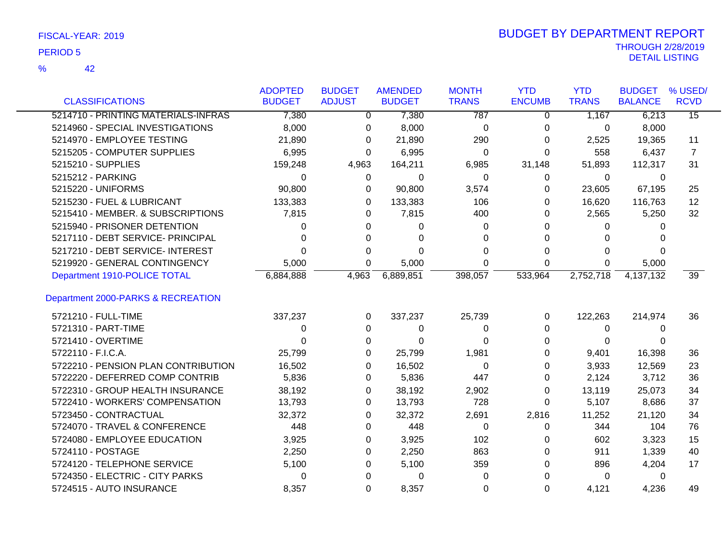42 %

|                                     | <b>ADOPTED</b> | <b>BUDGET</b> | <b>AMENDED</b> | <b>MONTH</b> | <b>YTD</b>    | <b>YTD</b>   | <b>BUDGET</b>  | % USED/         |
|-------------------------------------|----------------|---------------|----------------|--------------|---------------|--------------|----------------|-----------------|
| <b>CLASSIFICATIONS</b>              | <b>BUDGET</b>  | <b>ADJUST</b> | <b>BUDGET</b>  | <b>TRANS</b> | <b>ENCUMB</b> | <b>TRANS</b> | <b>BALANCE</b> | <b>RCVD</b>     |
| 5214710 - PRINTING MATERIALS-INFRAS | 7,380          | 0             | 7,380          | 787          | 0             | 1,167        | 6,213          | $\overline{15}$ |
| 5214960 - SPECIAL INVESTIGATIONS    | 8,000          | 0             | 8,000          | 0            | 0             | 0            | 8,000          |                 |
| 5214970 - EMPLOYEE TESTING          | 21,890         | 0             | 21,890         | 290          | 0             | 2,525        | 19,365         | 11              |
| 5215205 - COMPUTER SUPPLIES         | 6,995          | 0             | 6,995          | 0            | 0             | 558          | 6,437          | 7               |
| 5215210 - SUPPLIES                  | 159,248        | 4,963         | 164,211        | 6,985        | 31,148        | 51,893       | 112,317        | 31              |
| 5215212 - PARKING                   | 0              | 0             | 0              | 0            | 0             | 0            | 0              |                 |
| 5215220 - UNIFORMS                  | 90,800         | 0             | 90,800         | 3,574        | 0             | 23,605       | 67,195         | 25              |
| 5215230 - FUEL & LUBRICANT          | 133,383        | 0             | 133,383        | 106          | 0             | 16,620       | 116,763        | 12              |
| 5215410 - MEMBER. & SUBSCRIPTIONS   | 7,815          | 0             | 7,815          | 400          | 0             | 2,565        | 5,250          | 32              |
| 5215940 - PRISONER DETENTION        | 0              | 0             | 0              | 0            | 0             | 0            | 0              |                 |
| 5217110 - DEBT SERVICE- PRINCIPAL   | 0              | 0             | 0              | 0            | 0             | 0            |                |                 |
| 5217210 - DEBT SERVICE- INTEREST    | 0              | 0             | 0              | 0            | 0             | 0            | 0              |                 |
| 5219920 - GENERAL CONTINGENCY       | 5,000          | 0             | 5,000          | 0            | 0             | 0            | 5,000          |                 |
| Department 1910-POLICE TOTAL        | 6,884,888      | 4,963         | 6,889,851      | 398,057      | 533,964       | 2,752,718    | 4,137,132      | 39              |
| Department 2000-PARKS & RECREATION  |                |               |                |              |               |              |                |                 |
| 5721210 - FULL-TIME                 | 337,237        | 0             | 337,237        | 25,739       | 0             | 122,263      | 214,974        | 36              |
| 5721310 - PART-TIME                 | 0              | 0             | 0              | 0            | 0             | 0            | 0              |                 |
| 5721410 - OVERTIME                  | 0              | 0             | 0              | 0            | 0             | 0            | 0              |                 |
| 5722110 - F.I.C.A.                  | 25,799         | 0             | 25,799         | 1,981        | 0             | 9,401        | 16,398         | 36              |
| 5722210 - PENSION PLAN CONTRIBUTION | 16,502         | 0             | 16,502         | 0            | 0             | 3,933        | 12,569         | 23              |
| 5722220 - DEFERRED COMP CONTRIB     | 5,836          | 0             | 5,836          | 447          | 0             | 2,124        | 3,712          | 36              |
| 5722310 - GROUP HEALTH INSURANCE    | 38,192         | 0             | 38,192         | 2,902        | 0             | 13,119       | 25,073         | 34              |
| 5722410 - WORKERS' COMPENSATION     | 13,793         | 0             | 13,793         | 728          | 0             | 5,107        | 8,686          | 37              |
| 5723450 - CONTRACTUAL               | 32,372         | 0             | 32,372         | 2,691        | 2,816         | 11,252       | 21,120         | 34              |
| 5724070 - TRAVEL & CONFERENCE       | 448            | 0             | 448            | 0            | 0             | 344          | 104            | 76              |
| 5724080 - EMPLOYEE EDUCATION        | 3,925          | 0             | 3,925          | 102          | 0             | 602          | 3,323          | 15              |
| 5724110 - POSTAGE                   | 2,250          | 0             | 2,250          | 863          | 0             | 911          | 1,339          | 40              |
| 5724120 - TELEPHONE SERVICE         | 5,100          | 0             | 5,100          | 359          | 0             | 896          | 4,204          | 17              |
| 5724350 - ELECTRIC - CITY PARKS     | 0              | 0             | 0              | 0            | 0             | 0            | 0              |                 |
| 5724515 - AUTO INSURANCE            | 8,357          | 0             | 8,357          | 0            | 0             | 4,121        | 4,236          | 49              |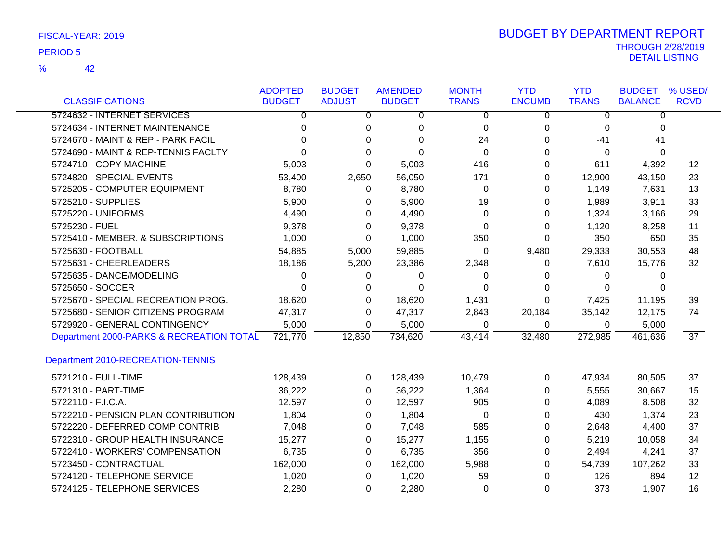42 %

|                                          | <b>ADOPTED</b> | <b>BUDGET</b> | <b>AMENDED</b> | <b>MONTH</b> | <b>YTD</b>    | <b>YTD</b>   | <b>BUDGET</b>  | % USED/         |
|------------------------------------------|----------------|---------------|----------------|--------------|---------------|--------------|----------------|-----------------|
| <b>CLASSIFICATIONS</b>                   | <b>BUDGET</b>  | <b>ADJUST</b> | <b>BUDGET</b>  | <b>TRANS</b> | <b>ENCUMB</b> | <b>TRANS</b> | <b>BALANCE</b> | <b>RCVD</b>     |
| 5724632 - INTERNET SERVICES              | 0              | 0             | 0              | 0            | 0             | 0            | 0              |                 |
| 5724634 - INTERNET MAINTENANCE           | 0              | 0             | 0              | 0            | 0             | 0            | 0              |                 |
| 5724670 - MAINT & REP - PARK FACIL       | $\Omega$       | $\Omega$      | 0              | 24           | $\Omega$      | $-41$        | 41             |                 |
| 5724690 - MAINT & REP-TENNIS FACLTY      | 0              | $\Omega$      | $\Omega$       | 0            | 0             | 0            | $\mathbf{0}$   |                 |
| 5724710 - COPY MACHINE                   | 5,003          | $\Omega$      | 5,003          | 416          | 0             | 611          | 4,392          | 12              |
| 5724820 - SPECIAL EVENTS                 | 53,400         | 2,650         | 56,050         | 171          | 0             | 12,900       | 43,150         | 23              |
| 5725205 - COMPUTER EQUIPMENT             | 8,780          | $\Omega$      | 8,780          | $\Omega$     | 0             | 1,149        | 7,631          | 13              |
| 5725210 - SUPPLIES                       | 5,900          | $\Omega$      | 5,900          | 19           | 0             | 1,989        | 3,911          | 33              |
| 5725220 - UNIFORMS                       | 4,490          | $\Omega$      | 4,490          | 0            | 0             | 1,324        | 3,166          | 29              |
| 5725230 - FUEL                           | 9,378          | 0             | 9,378          | 0            | 0             | 1,120        | 8,258          | 11              |
| 5725410 - MEMBER. & SUBSCRIPTIONS        | 1,000          | 0             | 1,000          | 350          | 0             | 350          | 650            | 35              |
| 5725630 - FOOTBALL                       | 54,885         | 5,000         | 59,885         | 0            | 9,480         | 29,333       | 30,553         | 48              |
| 5725631 - CHEERLEADERS                   | 18,186         | 5,200         | 23,386         | 2,348        | 0             | 7,610        | 15,776         | 32              |
| 5725635 - DANCE/MODELING                 | 0              | 0             | 0              | 0            | 0             | 0            | 0              |                 |
| 5725650 - SOCCER                         | $\Omega$       | 0             | $\Omega$       | $\Omega$     | 0             | $\Omega$     | $\Omega$       |                 |
| 5725670 - SPECIAL RECREATION PROG.       | 18,620         | $\Omega$      | 18,620         | 1,431        | $\Omega$      | 7,425        | 11,195         | 39              |
| 5725680 - SENIOR CITIZENS PROGRAM        | 47,317         | 0             | 47,317         | 2,843        | 20,184        | 35,142       | 12,175         | 74              |
| 5729920 - GENERAL CONTINGENCY            | 5,000          | $\Omega$      | 5,000          | 0            | 0             | 0            | 5,000          |                 |
| Department 2000-PARKS & RECREATION TOTAL | 721,770        | 12,850        | 734,620        | 43,414       | 32,480        | 272,985      | 461,636        | $\overline{37}$ |
| Department 2010-RECREATION-TENNIS        |                |               |                |              |               |              |                |                 |
| 5721210 - FULL-TIME                      | 128,439        | 0             | 128,439        | 10,479       | 0             | 47,934       | 80,505         | 37              |
| 5721310 - PART-TIME                      | 36,222         | 0             | 36,222         | 1,364        | 0             | 5,555        | 30,667         | 15              |
| 5722110 - F.I.C.A.                       | 12,597         | $\Omega$      | 12,597         | 905          | 0             | 4,089        | 8,508          | 32              |
| 5722210 - PENSION PLAN CONTRIBUTION      | 1,804          | $\Omega$      | 1,804          | 0            | 0             | 430          | 1,374          | 23              |
| 5722220 - DEFERRED COMP CONTRIB          | 7,048          | 0             | 7,048          | 585          | 0             | 2,648        | 4,400          | 37              |
| 5722310 - GROUP HEALTH INSURANCE         | 15,277         | 0             | 15,277         | 1,155        | 0             | 5,219        | 10,058         | 34              |
| 5722410 - WORKERS' COMPENSATION          | 6,735          | 0             | 6,735          | 356          | 0             | 2,494        | 4,241          | 37              |
| 5723450 - CONTRACTUAL                    | 162,000        | $\Omega$      | 162,000        | 5,988        | $\Omega$      | 54,739       | 107,262        | 33              |
| 5724120 - TELEPHONE SERVICE              | 1,020          | $\Omega$      | 1,020          | 59           | $\Omega$      | 126          | 894            | 12              |
| 5724125 - TELEPHONE SERVICES             | 2,280          | $\Omega$      | 2,280          | $\Omega$     | $\Omega$      | 373          | 1,907          | 16              |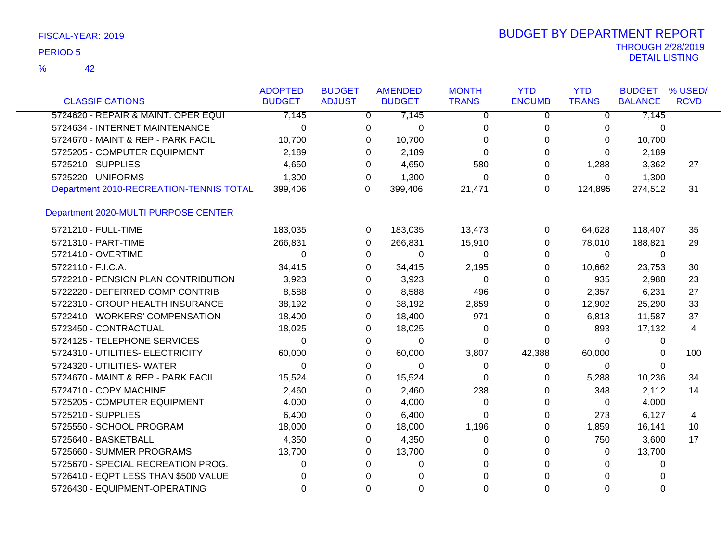| FISCAL-YEAR: 2019 |  |
|-------------------|--|
|-------------------|--|

|                                         | <b>ADOPTED</b> | <b>BUDGET</b> | <b>AMENDED</b>       | <b>MONTH</b> | <b>YTD</b>    | <b>YTD</b>   | <b>BUDGET</b>  | % USED/         |
|-----------------------------------------|----------------|---------------|----------------------|--------------|---------------|--------------|----------------|-----------------|
| <b>CLASSIFICATIONS</b>                  | <b>BUDGET</b>  | <b>ADJUST</b> | <b>BUDGET</b>        | <b>TRANS</b> | <b>ENCUMB</b> | <b>TRANS</b> | <b>BALANCE</b> | <b>RCVD</b>     |
| 5724620 - REPAIR & MAINT. OPER EQUI     | 7,145          |               | 7,145<br>0           | 0            | 0             | 0            | 7,145          |                 |
| 5724634 - INTERNET MAINTENANCE          | 0              | 0             | 0                    | 0            | 0             | 0            | 0              |                 |
| 5724670 - MAINT & REP - PARK FACIL      | 10,700         | $\Omega$      | 10,700               | 0            | 0             | 0            | 10,700         |                 |
| 5725205 - COMPUTER EQUIPMENT            | 2,189          | $\Omega$      | 2,189                | 0            | 0             | $\Omega$     | 2,189          |                 |
| 5725210 - SUPPLIES                      | 4,650          | 0             | 4,650                | 580          | 0             | 1,288        | 3,362          | 27              |
| 5725220 - UNIFORMS                      | 1,300          | 0             | 1,300                | 0            | 0             | 0            | 1,300          |                 |
| Department 2010-RECREATION-TENNIS TOTAL | 399,406        | 0             | 399,406              | 21,471       | 0             | 124,895      | 274,512        | $\overline{31}$ |
| Department 2020-MULTI PURPOSE CENTER    |                |               |                      |              |               |              |                |                 |
| 5721210 - FULL-TIME                     | 183,035        |               | 183,035<br>0         | 13,473       | 0             | 64,628       | 118,407        | 35              |
| 5721310 - PART-TIME                     | 266,831        | 0             | 266,831              | 15,910       | 0             | 78,010       | 188,821        | 29              |
| 5721410 - OVERTIME                      | $\Omega$       | $\Omega$      | 0                    | $\Omega$     | 0             | 0            | $\mathbf{0}$   |                 |
| 5722110 - F.I.C.A.                      | 34,415         |               | 0<br>34,415          | 2,195        | 0             | 10,662       | 23,753         | 30              |
| 5722210 - PENSION PLAN CONTRIBUTION     | 3,923          | 0             | 3,923                | 0            | 0             | 935          | 2,988          | 23              |
| 5722220 - DEFERRED COMP CONTRIB         | 8,588          | 0             | 8,588                | 496          | 0             | 2,357        | 6,231          | 27              |
| 5722310 - GROUP HEALTH INSURANCE        | 38,192         |               | 38,192<br>0          | 2,859        | 0             | 12,902       | 25,290         | 33              |
| 5722410 - WORKERS' COMPENSATION         | 18,400         |               | 18,400<br>0          | 971          | 0             | 6,813        | 11,587         | 37              |
| 5723450 - CONTRACTUAL                   | 18,025         | 0             | 18,025               | 0            | 0             | 893          | 17,132         | 4               |
| 5724125 - TELEPHONE SERVICES            | $\Omega$       | 0             | $\Omega$             | $\Omega$     | $\Omega$      | $\Omega$     | 0              |                 |
| 5724310 - UTILITIES- ELECTRICITY        | 60,000         | $\Omega$      | 60,000               | 3,807        | 42,388        | 60,000       | 0              | 100             |
| 5724320 - UTILITIES- WATER              | $\Omega$       |               | $\Omega$<br>0        | $\Omega$     | 0             | 0            | 0              |                 |
| 5724670 - MAINT & REP - PARK FACIL      | 15,524         | 0             | 15,524               | $\Omega$     | 0             | 5,288        | 10,236         | 34              |
| 5724710 - COPY MACHINE                  | 2,460          | $\Omega$      | 2,460                | 238          | 0             | 348          | 2,112          | 14              |
| 5725205 - COMPUTER EQUIPMENT            | 4,000          | $\Omega$      | 4,000                | $\Omega$     | 0             | 0            | 4,000          |                 |
| 5725210 - SUPPLIES                      | 6,400          | $\Omega$      | 6,400                | $\Omega$     | 0             | 273          | 6,127          | 4               |
| 5725550 - SCHOOL PROGRAM                | 18,000         | $\Omega$      | 18,000               | 1,196        | 0             | 1,859        | 16,141         | 10              |
| 5725640 - BASKETBALL                    | 4,350          | 0             | 4,350                | 0            | 0             | 750          | 3,600          | 17              |
| 5725660 - SUMMER PROGRAMS               | 13,700         | $\Omega$      | 13,700               | $\Omega$     | 0             | 0            | 13,700         |                 |
| 5725670 - SPECIAL RECREATION PROG.      | 0              | $\Omega$      | $\Omega$             | $\Omega$     | $\Omega$      | 0            | 0              |                 |
| 5726410 - EQPT LESS THAN \$500 VALUE    | 0              |               | $\Omega$<br>∩        | $\Omega$     | $\Omega$      | $\Omega$     | 0              |                 |
| 5726430 - EQUIPMENT-OPERATING           | 0              |               | $\Omega$<br>$\Omega$ | $\Omega$     | $\Omega$      | $\Omega$     | $\Omega$       |                 |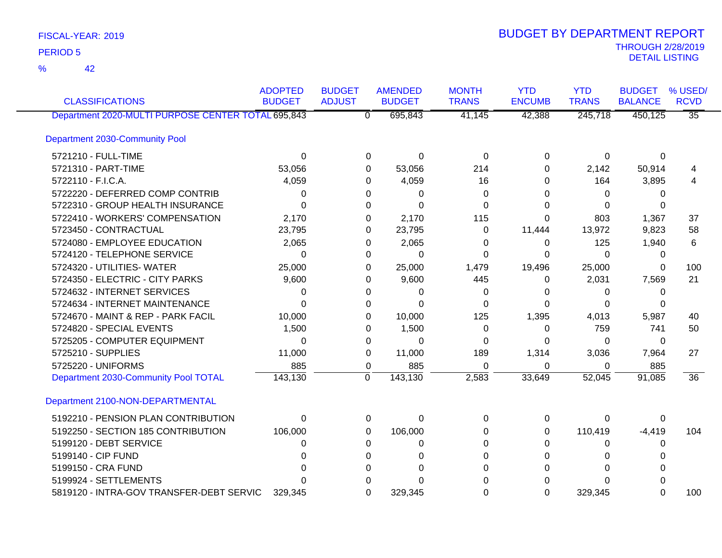42 %

| <b>CLASSIFICATIONS</b>                             | <b>ADOPTED</b><br><b>BUDGET</b> | <b>BUDGET</b><br><b>ADJUST</b> | <b>AMENDED</b><br><b>BUDGET</b> | <b>MONTH</b><br><b>TRANS</b> | <b>YTD</b><br><b>ENCUMB</b> | <b>YTD</b><br><b>TRANS</b> | <b>BUDGET</b><br><b>BALANCE</b> | % USED/<br><b>RCVD</b> |
|----------------------------------------------------|---------------------------------|--------------------------------|---------------------------------|------------------------------|-----------------------------|----------------------------|---------------------------------|------------------------|
| Department 2020-MULTI PURPOSE CENTER TOTAL 695,843 |                                 | $\overline{0}$                 | 695,843                         | 41,145                       | 42,388                      | 245,718                    | 450,125                         | $\overline{35}$        |
| Department 2030-Community Pool                     |                                 |                                |                                 |                              |                             |                            |                                 |                        |
| 5721210 - FULL-TIME                                | 0                               | 0                              | $\Omega$                        | 0                            | 0                           | 0                          | 0                               |                        |
| 5721310 - PART-TIME                                | 53,056                          |                                | 53,056<br>0                     | 214                          | 0                           | 2,142                      | 50,914                          | 4                      |
| 5722110 - F.I.C.A.                                 | 4,059                           | 0                              | 4,059                           | 16                           | 0                           | 164                        | 3,895                           | 4                      |
| 5722220 - DEFERRED COMP CONTRIB                    | 0                               | 0                              | 0                               | 0                            | $\Omega$                    | 0                          | 0                               |                        |
| 5722310 - GROUP HEALTH INSURANCE                   | 0                               | 0                              | $\Omega$                        | 0                            | 0                           | 0                          | 0                               |                        |
| 5722410 - WORKERS' COMPENSATION                    | 2,170                           | 0                              | 2,170                           | 115                          | 0                           | 803                        | 1,367                           | 37                     |
| 5723450 - CONTRACTUAL                              | 23,795                          | 0                              | 23,795                          | $\Omega$                     | 11,444                      | 13,972                     | 9,823                           | 58                     |
| 5724080 - EMPLOYEE EDUCATION                       | 2,065                           | 0                              | 2,065                           | 0                            | 0                           | 125                        | 1,940                           | 6                      |
| 5724120 - TELEPHONE SERVICE                        | 0                               |                                | $\Omega$<br>0                   | 0                            | $\Omega$                    | $\Omega$                   | 0                               |                        |
| 5724320 - UTILITIES- WATER                         | 25,000                          | 0                              | 25,000                          | 1,479                        | 19,496                      | 25,000                     | 0                               | 100                    |
| 5724350 - ELECTRIC - CITY PARKS                    | 9,600                           | 0                              | 9,600                           | 445                          | 0                           | 2,031                      | 7,569                           | 21                     |
| 5724632 - INTERNET SERVICES                        | 0                               | 0                              | 0                               | 0                            | 0                           | 0                          | 0                               |                        |
| 5724634 - INTERNET MAINTENANCE                     | $\Omega$                        | $\Omega$                       | $\Omega$                        | 0                            | $\Omega$                    | 0                          | 0                               |                        |
| 5724670 - MAINT & REP - PARK FACIL                 | 10,000                          | 0                              | 10,000                          | 125                          | 1,395                       | 4,013                      | 5,987                           | 40                     |
| 5724820 - SPECIAL EVENTS                           | 1,500                           | 0                              | 1,500                           | 0                            | $\Omega$                    | 759                        | 741                             | 50                     |
| 5725205 - COMPUTER EQUIPMENT                       | 0                               | 0                              | $\Omega$                        | $\Omega$                     | 0                           | $\Omega$                   | 0                               |                        |
| 5725210 - SUPPLIES                                 | 11,000                          | 0                              | 11,000                          | 189                          | 1,314                       | 3,036                      | 7,964                           | 27                     |
| 5725220 - UNIFORMS                                 | 885                             | 0                              | 885                             | $\Omega$                     | $\Omega$                    | 0                          | 885                             |                        |
| Department 2030-Community Pool TOTAL               | 143,130                         | $\mathbf 0$                    | 143,130                         | 2,583                        | 33,649                      | 52,045                     | 91,085                          | $\overline{36}$        |
| Department 2100-NON-DEPARTMENTAL                   |                                 |                                |                                 |                              |                             |                            |                                 |                        |
| 5192210 - PENSION PLAN CONTRIBUTION                | 0                               | 0                              | 0                               | $\Omega$                     | 0                           | 0                          | 0                               |                        |
| 5192250 - SECTION 185 CONTRIBUTION                 | 106,000                         | 0                              | 106,000                         | $\Omega$                     | 0                           | 110,419                    | $-4,419$                        | 104                    |
| 5199120 - DEBT SERVICE                             | 0                               | 0                              | 0                               | 0                            | 0                           | 0                          | 0                               |                        |
| 5199140 - CIP FUND                                 | n                               | 0                              | $\Omega$                        | 0                            | 0                           | 0                          | 0                               |                        |
| 5199150 - CRA FUND                                 | U                               | 0                              | $\Omega$                        | 0                            | 0                           | $\Omega$                   | 0                               |                        |
| 5199924 - SETTLEMENTS                              |                                 | 0                              | $\Omega$                        | 0                            | 0                           | $\Omega$                   | O                               |                        |
| 5819120 - INTRA-GOV TRANSFER-DEBT SERVIC           | 329,345                         | $\Omega$                       | 329,345                         | 0                            | $\Omega$                    | 329,345                    | $\Omega$                        | 100                    |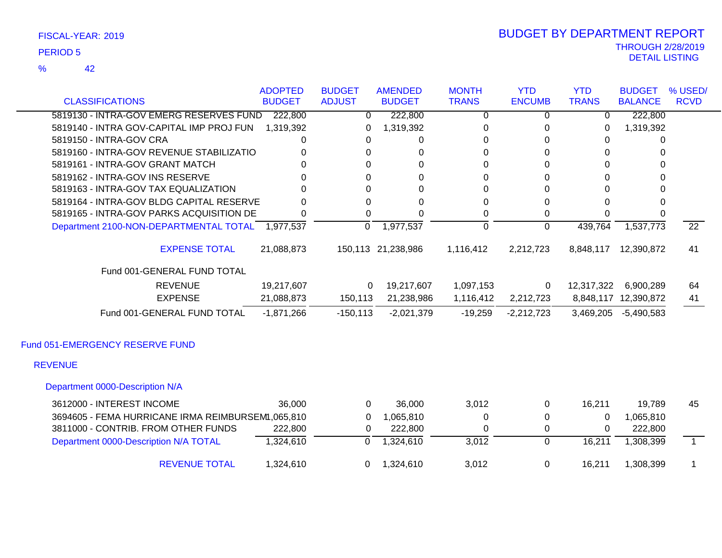42 %

### THROUGH 2/28/2019<br>DETAIL LISTING DETAIL LISTING PERIOD <sup>5</sup> BUDGET BY DEPARTMENT REPORT

| <b>CLASSIFICATIONS</b>                                                      | <b>ADOPTED</b><br><b>BUDGET</b> | <b>BUDGET</b><br><b>ADJUST</b> | <b>AMENDED</b><br><b>BUDGET</b> | <b>MONTH</b><br><b>TRANS</b> | <b>YTD</b><br><b>ENCUMB</b> | <b>YTD</b><br><b>TRANS</b> | <b>BUDGET</b><br><b>BALANCE</b> | % USED/<br><b>RCVD</b> |
|-----------------------------------------------------------------------------|---------------------------------|--------------------------------|---------------------------------|------------------------------|-----------------------------|----------------------------|---------------------------------|------------------------|
|                                                                             |                                 |                                |                                 |                              |                             |                            |                                 |                        |
| 5819130 - INTRA-GOV EMERG RESERVES FUND                                     | 222,800                         | 0                              | 222,800                         | $\overline{0}$               | 0                           | $\Omega$                   | 222,800                         |                        |
| 5819140 - INTRA GOV-CAPITAL IMP PROJ FUN                                    | 1,319,392                       |                                | 1,319,392                       | 0                            | 0                           | 0                          | 1,319,392                       |                        |
| 5819150 - INTRA-GOV CRA                                                     |                                 | 0                              | 0                               | 0                            | $\Omega$                    | 0                          |                                 |                        |
| 5819160 - INTRA-GOV REVENUE STABILIZATIO<br>5819161 - INTRA-GOV GRANT MATCH |                                 | 0                              | 0                               | 0<br>0                       | 0                           | 0                          | 0<br>0                          |                        |
|                                                                             |                                 |                                | 0                               |                              | 0                           | 0                          |                                 |                        |
| 5819162 - INTRA-GOV INS RESERVE                                             |                                 | 0                              | 0                               | 0                            | 0                           | 0                          | 0                               |                        |
| 5819163 - INTRA-GOV TAX EQUALIZATION                                        |                                 |                                | 0                               | 0                            | 0                           | 0                          | 0                               |                        |
| 5819164 - INTRA-GOV BLDG CAPITAL RESERVE                                    | O                               | 0                              | 0                               | 0                            | 0                           | 0                          | 0                               |                        |
| 5819165 - INTRA-GOV PARKS ACQUISITION DE                                    | 0                               | $\Omega$                       | 0                               | 0                            | 0                           | $\Omega$                   | $\Omega$                        |                        |
| Department 2100-NON-DEPARTMENTAL TOTAL 1,977,537                            |                                 | 0                              | 1,977,537                       | $\overline{0}$               | $\overline{0}$              | 439,764                    | 1,537,773                       | $\overline{22}$        |
| <b>EXPENSE TOTAL</b>                                                        | 21,088,873                      |                                | 150,113 21,238,986              | 1,116,412                    | 2,212,723                   | 8,848,117                  | 12,390,872                      | 41                     |
| Fund 001-GENERAL FUND TOTAL                                                 |                                 |                                |                                 |                              |                             |                            |                                 |                        |
| <b>REVENUE</b>                                                              | 19,217,607                      | $\overline{0}$                 | 19,217,607                      | 1,097,153                    | 0                           | 12,317,322                 | 6,900,289                       | 64                     |
| <b>EXPENSE</b>                                                              | 21,088,873                      | 150,113                        | 21,238,986                      | 1,116,412                    | 2,212,723                   |                            | 8,848,117 12,390,872            | 41                     |
| Fund 001-GENERAL FUND TOTAL                                                 | $-1,871,266$                    | $-150, 113$                    | $-2,021,379$                    | $-19,259$                    | $-2,212,723$                | 3,469,205                  | $-5,490,583$                    |                        |
| Fund 051-EMERGENCY RESERVE FUND                                             |                                 |                                |                                 |                              |                             |                            |                                 |                        |
| <b>REVENUE</b>                                                              |                                 |                                |                                 |                              |                             |                            |                                 |                        |
| Department 0000-Description N/A                                             |                                 |                                |                                 |                              |                             |                            |                                 |                        |
| 3612000 - INTEREST INCOME                                                   | 36,000                          | 0                              | 36,000                          | 3,012                        | 0                           | 16,211                     | 19,789                          | 45                     |
| 3694605 - FEMA HURRICANE IRMA REIMBURSEM 1,065,810                          |                                 | 0                              | 1,065,810                       | 0                            | 0                           | $\Omega$                   | 1,065,810                       |                        |
| 3811000 - CONTRIB. FROM OTHER FUNDS                                         | 222,800                         | 0                              | 222,800                         | 0                            | 0                           | 0                          | 222,800                         |                        |
| Department 0000-Description N/A TOTAL                                       | 1,324,610                       | 0                              | 1,324,610                       | 3,012                        | $\overline{0}$              | 16,211                     | 1,308,399                       | $\bar{1}$              |

REVENUE TOTAL 1,324,610 0 1,324,610 3,012 0 16,211 1,308,399 1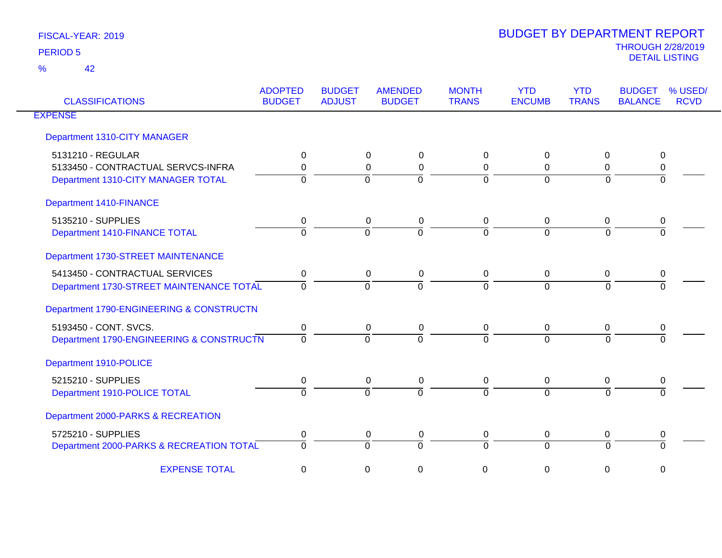| <b>CLASSIFICATIONS</b>                   | <b>ADOPTED</b><br><b>BUDGET</b> | <b>BUDGET</b><br><b>ADJUST</b> | <b>AMENDED</b><br><b>BUDGET</b> | <b>MONTH</b><br><b>TRANS</b> | <b>YTD</b><br><b>ENCUMB</b> | <b>YTD</b><br><b>TRANS</b> | % USED/<br><b>BUDGET</b><br><b>BALANCE</b><br><b>RCVD</b> |
|------------------------------------------|---------------------------------|--------------------------------|---------------------------------|------------------------------|-----------------------------|----------------------------|-----------------------------------------------------------|
| <b>EXPENSE</b>                           |                                 |                                |                                 |                              |                             |                            |                                                           |
| Department 1310-CITY MANAGER             |                                 |                                |                                 |                              |                             |                            |                                                           |
| 5131210 - REGULAR                        | 0                               |                                | 0<br>0                          | 0                            | 0                           | 0                          | 0                                                         |
| 5133450 - CONTRACTUAL SERVCS-INFRA       | $\Omega$                        |                                | $\mathbf 0$<br>$\Omega$         | $\mathbf 0$                  | $\Omega$                    | 0                          | 0                                                         |
| Department 1310-CITY MANAGER TOTAL       | $\Omega$                        |                                | $\Omega$<br>$\Omega$            | $\overline{0}$               | $\Omega$                    | $\overline{0}$             | $\Omega$                                                  |
| Department 1410-FINANCE                  |                                 |                                |                                 |                              |                             |                            |                                                           |
| 5135210 - SUPPLIES                       | 0                               |                                | 0<br>0                          | 0                            | 0                           | 0                          | 0                                                         |
| Department 1410-FINANCE TOTAL            | $\Omega$                        |                                | $\Omega$<br>$\Omega$            | $\overline{0}$               | $\Omega$                    | $\Omega$                   | $\Omega$                                                  |
| Department 1730-STREET MAINTENANCE       |                                 |                                |                                 |                              |                             |                            |                                                           |
| 5413450 - CONTRACTUAL SERVICES           | $\mathbf 0$                     |                                | 0<br>$\mathbf 0$                | 0                            | $\mathbf 0$                 | 0                          | $\pmb{0}$                                                 |
| Department 1730-STREET MAINTENANCE TOTAL | $\Omega$                        |                                | $\Omega$<br>$\Omega$            | $\Omega$                     | $\Omega$                    | $\Omega$                   |                                                           |
| Department 1790-ENGINEERING & CONSTRUCTN |                                 |                                |                                 |                              |                             |                            |                                                           |
| 5193450 - CONT. SVCS.                    | 0                               |                                | 0<br>0                          | 0                            | 0                           | 0                          | 0                                                         |
| Department 1790-ENGINEERING & CONSTRUCTN | $\Omega$                        |                                | $\Omega$<br>$\Omega$            | $\Omega$                     | $\Omega$                    | $\Omega$                   |                                                           |
| Department 1910-POLICE                   |                                 |                                |                                 |                              |                             |                            |                                                           |
| 5215210 - SUPPLIES                       | 0                               |                                | 0<br>0                          | 0                            | $\mathbf 0$                 | 0                          | 0                                                         |
| Department 1910-POLICE TOTAL             | $\Omega$                        |                                | $\Omega$<br>$\Omega$            | $\Omega$                     | $\overline{0}$              | $\Omega$                   | $\Omega$                                                  |
| Department 2000-PARKS & RECREATION       |                                 |                                |                                 |                              |                             |                            |                                                           |
| 5725210 - SUPPLIES                       | 0                               |                                | 0<br>0                          | 0                            | $\mathbf 0$                 | 0                          | 0                                                         |
| Department 2000-PARKS & RECREATION TOTAL | $\Omega$                        |                                | $\Omega$<br>$\Omega$            | 0                            | $\Omega$                    | $\Omega$                   | $\Omega$                                                  |
| <b>EXPENSE TOTAL</b>                     | 0                               |                                | 0<br>0                          | 0                            | 0                           | 0                          | 0                                                         |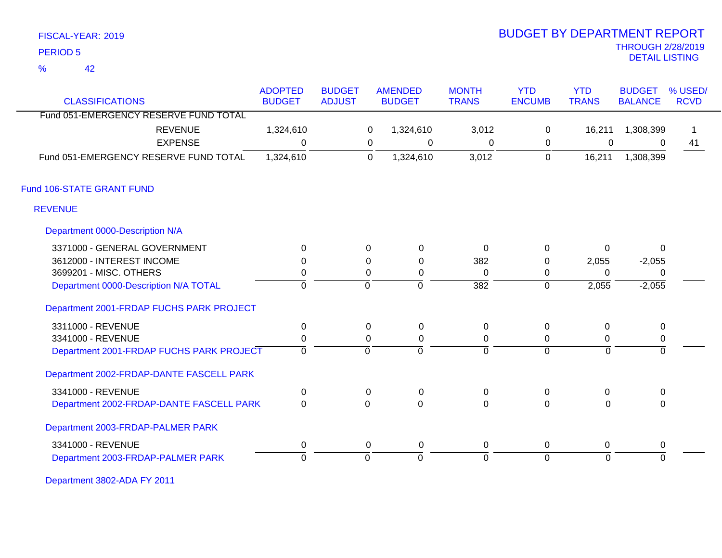| FISCAL-YEAR: 2019 |  |
|-------------------|--|
|                   |  |

42 %

# THROUGH 2/28/2019 DETAIL LISTING PERIOD <sup>5</sup> BUDGET BY DEPARTMENT REPORT

|                                                                 | <b>ADOPTED</b> | <b>BUDGET</b><br><b>ADJUST</b> |             | <b>AMENDED</b> | <b>MONTH</b>     | <b>YTD</b>     | <b>YTD</b>   | <b>BUDGET</b>  | % USED/<br><b>RCVD</b> |
|-----------------------------------------------------------------|----------------|--------------------------------|-------------|----------------|------------------|----------------|--------------|----------------|------------------------|
| <b>CLASSIFICATIONS</b><br>Fund 051-EMERGENCY RESERVE FUND TOTAL | <b>BUDGET</b>  |                                |             | <b>BUDGET</b>  | <b>TRANS</b>     | <b>ENCUMB</b>  | <b>TRANS</b> | <b>BALANCE</b> |                        |
|                                                                 |                |                                |             |                |                  |                |              |                |                        |
| <b>REVENUE</b>                                                  | 1,324,610      |                                | 0           | 1,324,610      | 3,012            | $\mathbf 0$    | 16,211       | 1,308,399      |                        |
| <b>EXPENSE</b>                                                  | $\Omega$       |                                | 0           | $\mathbf 0$    | 0                | 0              | $\mathbf 0$  | $\Omega$       | 41                     |
| Fund 051-EMERGENCY RESERVE FUND TOTAL                           | 1,324,610      |                                | $\mathbf 0$ | 1,324,610      | 3,012            | $\mathbf 0$    | 16,211       | 1,308,399      |                        |
| Fund 106-STATE GRANT FUND                                       |                |                                |             |                |                  |                |              |                |                        |
| <b>REVENUE</b>                                                  |                |                                |             |                |                  |                |              |                |                        |
| Department 0000-Description N/A                                 |                |                                |             |                |                  |                |              |                |                        |
| 3371000 - GENERAL GOVERNMENT                                    | $\Omega$       |                                | 0           | 0              | $\mathbf 0$      | 0              | 0            | $\mathbf{0}$   |                        |
| 3612000 - INTEREST INCOME                                       | $\Omega$       |                                | 0           | 0              | 382              | 0              | 2,055        | $-2,055$       |                        |
| 3699201 - MISC. OTHERS                                          | 0              |                                | 0           | 0              | 0                | 0              | $\Omega$     | 0              |                        |
| Department 0000-Description N/A TOTAL                           | $\mathbf 0$    |                                | $\Omega$    | $\mathbf 0$    | $\overline{382}$ | $\mathbf 0$    | 2,055        | $-2,055$       |                        |
| Department 2001-FRDAP FUCHS PARK PROJECT                        |                |                                |             |                |                  |                |              |                |                        |
| 3311000 - REVENUE                                               | $\mathbf 0$    |                                | 0           | $\mathbf 0$    | 0                | $\mathbf 0$    | 0            | $\pmb{0}$      |                        |
| 3341000 - REVENUE                                               | $\pmb{0}$      |                                | $\Omega$    | $\mathbf 0$    | 0                | 0              | 0            | $\mathbf 0$    |                        |
| Department 2001-FRDAP FUCHS PARK PROJECT                        | $\mathbf 0$    |                                | $\Omega$    | $\overline{0}$ | $\overline{0}$   | $\overline{0}$ | $\Omega$     | $\Omega$       |                        |
| Department 2002-FRDAP-DANTE FASCELL PARK                        |                |                                |             |                |                  |                |              |                |                        |
| 3341000 - REVENUE                                               | $\mathbf 0$    |                                | 0           | 0              | 0                | 0              | 0            | 0              |                        |
| Department 2002-FRDAP-DANTE FASCELL PARK                        | $\mathbf 0$    |                                | $\mathbf 0$ | $\overline{0}$ | $\Omega$         | $\overline{0}$ | $\Omega$     | $\Omega$       |                        |
| Department 2003-FRDAP-PALMER PARK                               |                |                                |             |                |                  |                |              |                |                        |
| 3341000 - REVENUE                                               | $\mathbf 0$    |                                | 0           | $\pmb{0}$      | 0                | 0              | 0            | 0              |                        |
| Department 2003-FRDAP-PALMER PARK                               | $\Omega$       |                                | $\Omega$    | $\Omega$       | $\Omega$         | $\overline{0}$ | $\Omega$     | $\Omega$       |                        |

Department 3802-ADA FY 2011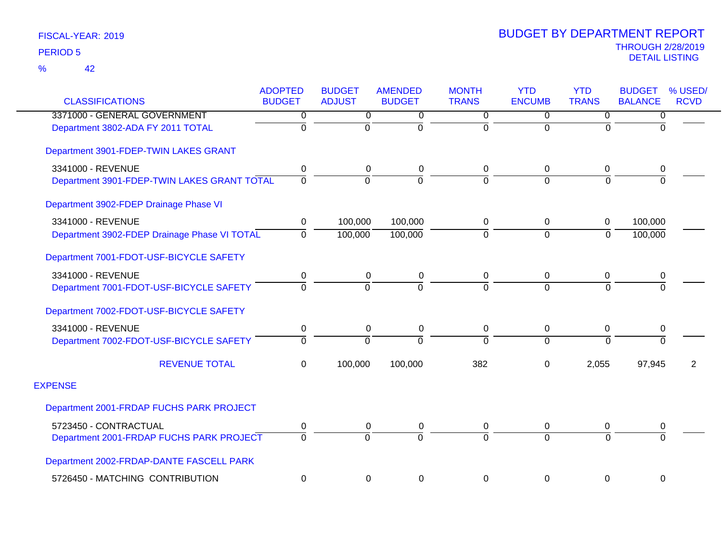| <b>CLASSIFICATIONS</b>                       | <b>ADOPTED</b><br><b>BUDGET</b> | <b>BUDGET</b><br><b>ADJUST</b> | <b>AMENDED</b><br><b>BUDGET</b> | <b>MONTH</b><br><b>TRANS</b> | <b>YTD</b><br><b>ENCUMB</b> | <b>YTD</b><br><b>TRANS</b> | <b>BUDGET</b><br><b>BALANCE</b> | % USED/<br><b>RCVD</b> |
|----------------------------------------------|---------------------------------|--------------------------------|---------------------------------|------------------------------|-----------------------------|----------------------------|---------------------------------|------------------------|
| 3371000 - GENERAL GOVERNMENT                 | 0                               | 0                              | 0                               | 0                            | $\Omega$                    | $\mathbf 0$                | 0                               |                        |
| Department 3802-ADA FY 2011 TOTAL            | $\Omega$                        | $\Omega$                       | $\Omega$                        | 0                            | $\Omega$                    | $\Omega$                   | $\Omega$                        |                        |
| Department 3901-FDEP-TWIN LAKES GRANT        |                                 |                                |                                 |                              |                             |                            |                                 |                        |
| 3341000 - REVENUE                            | 0                               | 0                              | 0                               | 0                            | $\mathbf 0$                 | 0                          | 0                               |                        |
| Department 3901-FDEP-TWIN LAKES GRANT TOTAL  | $\Omega$                        | $\Omega$                       | $\Omega$                        | $\Omega$                     | $\Omega$                    | $\Omega$                   | $\Omega$                        |                        |
| Department 3902-FDEP Drainage Phase VI       |                                 |                                |                                 |                              |                             |                            |                                 |                        |
| 3341000 - REVENUE                            | 0                               | 100,000                        | 100,000                         | 0                            | $\mathbf 0$                 | $\mathbf 0$                | 100,000                         |                        |
| Department 3902-FDEP Drainage Phase VI TOTAL | $\Omega$                        | 100,000                        | 100,000                         | $\overline{0}$               | $\overline{0}$              | $\overline{0}$             | 100,000                         |                        |
| Department 7001-FDOT-USF-BICYCLE SAFETY      |                                 |                                |                                 |                              |                             |                            |                                 |                        |
| 3341000 - REVENUE                            | 0                               | 0                              | 0                               | 0                            | $\mathbf 0$                 | 0                          | 0                               |                        |
| Department 7001-FDOT-USF-BICYCLE SAFETY      | $\Omega$                        | $\Omega$                       | $\Omega$                        | 0                            | $\Omega$                    | $\Omega$                   | $\Omega$                        |                        |
| Department 7002-FDOT-USF-BICYCLE SAFETY      |                                 |                                |                                 |                              |                             |                            |                                 |                        |
| 3341000 - REVENUE                            | $\pmb{0}$                       | 0                              | 0                               | $\pmb{0}$                    | $\mathbf 0$                 | $\pmb{0}$                  | $\pmb{0}$                       |                        |
| Department 7002-FDOT-USF-BICYCLE SAFETY      | $\Omega$                        | $\Omega$                       | $\Omega$                        | 0                            | $\Omega$                    | $\Omega$                   | $\Omega$                        |                        |
| <b>REVENUE TOTAL</b>                         | $\mathbf 0$                     | 100,000                        | 100,000                         | 382                          | 0                           | 2,055                      | 97,945                          | 2                      |
| <b>EXPENSE</b>                               |                                 |                                |                                 |                              |                             |                            |                                 |                        |
| Department 2001-FRDAP FUCHS PARK PROJECT     |                                 |                                |                                 |                              |                             |                            |                                 |                        |
| 5723450 - CONTRACTUAL                        | 0                               | 0                              | 0                               | 0                            | $\mathbf 0$                 | 0                          | 0                               |                        |
| Department 2001-FRDAP FUCHS PARK PROJECT     | $\Omega$                        | $\Omega$                       | $\Omega$                        | $\Omega$                     | $\Omega$                    | $\Omega$                   | $\Omega$                        |                        |
| Department 2002-FRDAP-DANTE FASCELL PARK     |                                 |                                |                                 |                              |                             |                            |                                 |                        |
| 5726450 - MATCHING CONTRIBUTION              | $\mathbf 0$                     | 0                              | 0                               | 0                            | $\mathbf 0$                 | $\pmb{0}$                  | $\boldsymbol{0}$                |                        |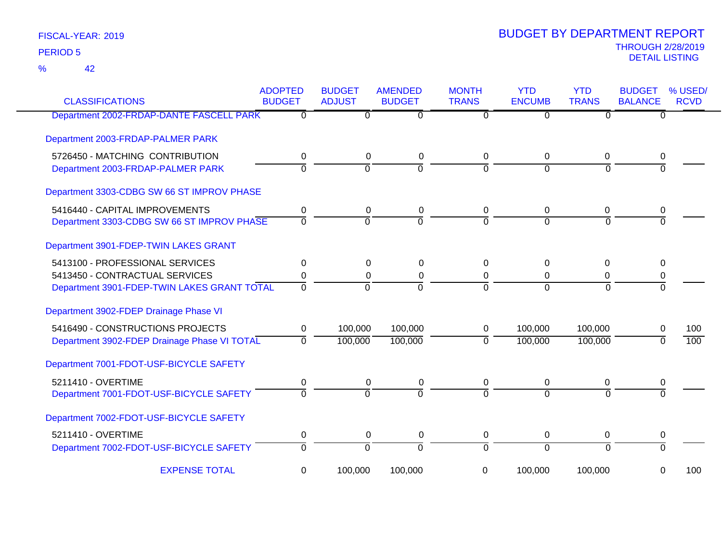42 %

| <b>CLASSIFICATIONS</b>                       | <b>ADOPTED</b><br><b>BUDGET</b> | <b>BUDGET</b><br><b>ADJUST</b> | <b>AMENDED</b><br><b>BUDGET</b> | <b>MONTH</b><br><b>TRANS</b> | <b>YTD</b><br><b>ENCUMB</b> | <b>YTD</b><br><b>TRANS</b> | <b>BUDGET</b><br><b>BALANCE</b> | % USED/<br><b>RCVD</b> |
|----------------------------------------------|---------------------------------|--------------------------------|---------------------------------|------------------------------|-----------------------------|----------------------------|---------------------------------|------------------------|
| Department 2002-FRDAP-DANTE FASCELL PARK     | 0                               | 0                              | $\overline{0}$                  | 0                            | $\Omega$                    | $\Omega$                   | 0                               |                        |
| Department 2003-FRDAP-PALMER PARK            |                                 |                                |                                 |                              |                             |                            |                                 |                        |
| 5726450 - MATCHING CONTRIBUTION              | 0                               | $\mathbf 0$                    | $\mathbf 0$                     | 0                            | 0                           | 0                          | 0                               |                        |
| Department 2003-FRDAP-PALMER PARK            | $\overline{0}$                  | $\overline{0}$                 | ō                               | $\Omega$                     | $\overline{0}$              | $\Omega$                   | $\Omega$                        |                        |
| Department 3303-CDBG SW 66 ST IMPROV PHASE   |                                 |                                |                                 |                              |                             |                            |                                 |                        |
| 5416440 - CAPITAL IMPROVEMENTS               | 0                               | 0                              | 0                               | 0                            | 0                           | 0                          |                                 |                        |
| Department 3303-CDBG SW 66 ST IMPROV PHASE   | $\Omega$                        | $\Omega$                       | $\overline{0}$                  | $\Omega$                     | $\Omega$                    | $\Omega$                   | $\Omega$                        |                        |
| Department 3901-FDEP-TWIN LAKES GRANT        |                                 |                                |                                 |                              |                             |                            |                                 |                        |
| 5413100 - PROFESSIONAL SERVICES              | 0                               | $\Omega$                       | $\Omega$                        | 0                            | 0                           | $\Omega$                   | 0                               |                        |
| 5413450 - CONTRACTUAL SERVICES               | 0                               | 0                              | 0                               | 0                            | 0                           | 0                          | 0                               |                        |
| Department 3901-FDEP-TWIN LAKES GRANT TOTAL  | $\Omega$                        | $\Omega$                       | $\Omega$                        | $\Omega$                     | $\Omega$                    | $\Omega$                   | $\Omega$                        |                        |
| Department 3902-FDEP Drainage Phase VI       |                                 |                                |                                 |                              |                             |                            |                                 |                        |
| 5416490 - CONSTRUCTIONS PROJECTS             | 0                               | 100,000                        | 100,000                         | 0                            | 100,000                     | 100,000                    | 0                               | 100                    |
| Department 3902-FDEP Drainage Phase VI TOTAL | $\overline{0}$                  | 100,000                        | 100,000                         | $\mathbf 0$                  | 100,000                     | 100,000                    | 0                               | 100                    |
| Department 7001-FDOT-USF-BICYCLE SAFETY      |                                 |                                |                                 |                              |                             |                            |                                 |                        |
| 5211410 - OVERTIME                           | 0                               | 0                              | 0                               | 0                            | 0                           | 0                          | 0                               |                        |
| Department 7001-FDOT-USF-BICYCLE SAFETY      | $\overline{0}$                  | $\Omega$                       | $\Omega$                        | $\Omega$                     | $\Omega$                    | $\Omega$                   | $\Omega$                        |                        |
| Department 7002-FDOT-USF-BICYCLE SAFETY      |                                 |                                |                                 |                              |                             |                            |                                 |                        |
| 5211410 - OVERTIME                           | 0                               | 0                              | $\mathbf 0$                     | 0                            | 0                           | 0                          | 0                               |                        |
| Department 7002-FDOT-USF-BICYCLE SAFETY      | $\overline{0}$                  | $\overline{0}$                 | $\overline{0}$                  | $\overline{0}$               | $\overline{0}$              | $\overline{0}$             | $\overline{0}$                  |                        |
| <b>EXPENSE TOTAL</b>                         | 0                               | 100,000                        | 100,000                         | 0                            | 100,000                     | 100,000                    | 0                               | 100                    |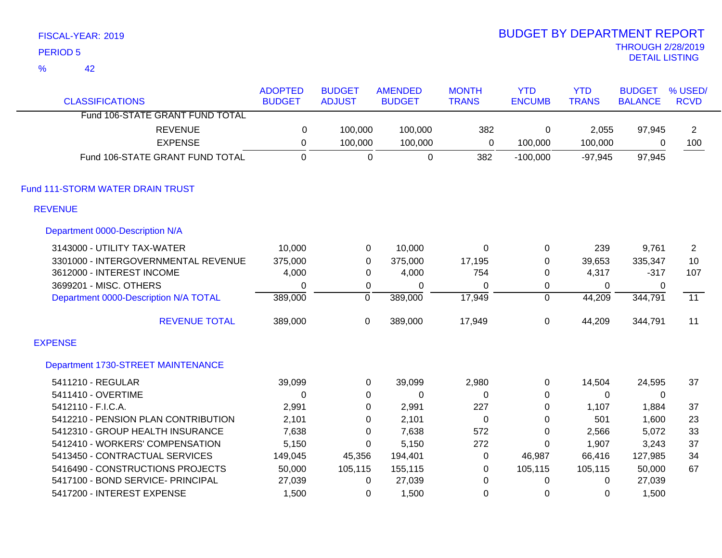| <b>PERIOD 5</b>                       |                                 |                                |                                 |                              |                             |                            | <b>THROUGH 2/28/2019</b><br><b>DETAIL LISTING</b> |                        |
|---------------------------------------|---------------------------------|--------------------------------|---------------------------------|------------------------------|-----------------------------|----------------------------|---------------------------------------------------|------------------------|
| $\frac{9}{6}$<br>42                   |                                 |                                |                                 |                              |                             |                            |                                                   |                        |
| <b>CLASSIFICATIONS</b>                | <b>ADOPTED</b><br><b>BUDGET</b> | <b>BUDGET</b><br><b>ADJUST</b> | <b>AMENDED</b><br><b>BUDGET</b> | <b>MONTH</b><br><b>TRANS</b> | <b>YTD</b><br><b>ENCUMB</b> | <b>YTD</b><br><b>TRANS</b> | <b>BUDGET</b><br><b>BALANCE</b>                   | % USED/<br><b>RCVD</b> |
| Fund 106-STATE GRANT FUND TOTAL       |                                 |                                |                                 |                              |                             |                            |                                                   |                        |
| <b>REVENUE</b>                        | 0                               | 100,000                        | 100,000                         | 382                          | 0                           | 2,055                      | 97,945                                            | $\overline{2}$         |
| <b>EXPENSE</b>                        | $\boldsymbol{0}$                | 100,000                        | 100,000                         | $\mathbf 0$                  | 100,000                     | 100,000                    | 0                                                 | 100                    |
| Fund 106-STATE GRANT FUND TOTAL       | $\mathbf 0$                     | $\mathbf 0$                    | $\mathbf 0$                     | 382                          | $-100,000$                  | $-97,945$                  | 97,945                                            |                        |
| Fund 111-STORM WATER DRAIN TRUST      |                                 |                                |                                 |                              |                             |                            |                                                   |                        |
| <b>REVENUE</b>                        |                                 |                                |                                 |                              |                             |                            |                                                   |                        |
| Department 0000-Description N/A       |                                 |                                |                                 |                              |                             |                            |                                                   |                        |
| 3143000 - UTILITY TAX-WATER           | 10,000                          | $\pmb{0}$                      | 10,000                          | $\mathbf 0$                  | 0                           | 239                        | 9,761                                             | $\overline{2}$         |
| 3301000 - INTERGOVERNMENTAL REVENUE   | 375,000                         | $\pmb{0}$                      | 375,000                         | 17,195                       | $\mathbf 0$                 | 39,653                     | 335,347                                           | 10                     |
| 3612000 - INTEREST INCOME             | 4,000                           | $\boldsymbol{0}$               | 4,000                           | 754                          | $\pmb{0}$                   | 4,317                      | $-317$                                            | 107                    |
| 3699201 - MISC. OTHERS                | $\mathbf 0$                     | $\boldsymbol{0}$               | $\boldsymbol{0}$                | $\mathbf 0$                  | $\pmb{0}$                   | $\mathbf{0}$               | $\mathbf 0$                                       |                        |
| Department 0000-Description N/A TOTAL | 389,000                         | $\overline{0}$                 | 389,000                         | 17,949                       | $\overline{0}$              | 44,209                     | 344,791                                           | $\overline{11}$        |
| <b>REVENUE TOTAL</b>                  | 389,000                         | $\pmb{0}$                      | 389,000                         | 17,949                       | $\mathbf 0$                 | 44,209                     | 344,791                                           | 11                     |
| <b>EXPENSE</b>                        |                                 |                                |                                 |                              |                             |                            |                                                   |                        |
| Department 1730-STREET MAINTENANCE    |                                 |                                |                                 |                              |                             |                            |                                                   |                        |
| 5411210 - REGULAR                     | 39,099                          | $\pmb{0}$                      | 39,099                          | 2,980                        | 0                           | 14,504                     | 24,595                                            | 37                     |
| 5411410 - OVERTIME                    | $\mathbf 0$                     | $\boldsymbol{0}$               | 0                               | 0                            | 0                           | 0                          | 0                                                 |                        |
| 5412110 - F.I.C.A.                    | 2,991                           | 0                              | 2,991                           | 227                          | 0                           | 1,107                      | 1,884                                             | 37                     |
| 5412210 - PENSION PLAN CONTRIBUTION   | 2,101                           | $\boldsymbol{0}$               | 2,101                           | $\mathbf 0$                  | 0                           | 501                        | 1,600                                             | 23                     |
| 5412310 - GROUP HEALTH INSURANCE      | 7,638                           | 0                              | 7,638                           | 572                          | $\pmb{0}$                   | 2,566                      | 5,072                                             | 33                     |
| 5412410 - WORKERS' COMPENSATION       | 5,150                           | 0                              | 5,150                           | 272                          | 0                           | 1,907                      | 3,243                                             | 37                     |
| 5413450 - CONTRACTUAL SERVICES        | 149,045                         | 45,356                         | 194,401                         | $\mathbf 0$                  | 46,987                      | 66,416                     | 127,985                                           | 34                     |
| 5416490 - CONSTRUCTIONS PROJECTS      | 50,000                          | 105,115                        | 155,115                         | $\boldsymbol{0}$             | 105,115                     | 105,115                    | 50,000                                            | 67                     |
| 5417100 - BOND SERVICE- PRINCIPAL     | 27,039                          | $\pmb{0}$                      | 27,039                          | $\mathbf 0$                  | $\mathbf 0$                 | 0                          | 27,039                                            |                        |
| 5417200 - INTEREST EXPENSE            | 1,500                           | 0                              | 1,500                           | $\mathbf 0$                  | 0                           | 0                          | 1,500                                             |                        |

# BUDGET BY DEPARTMENT REPORT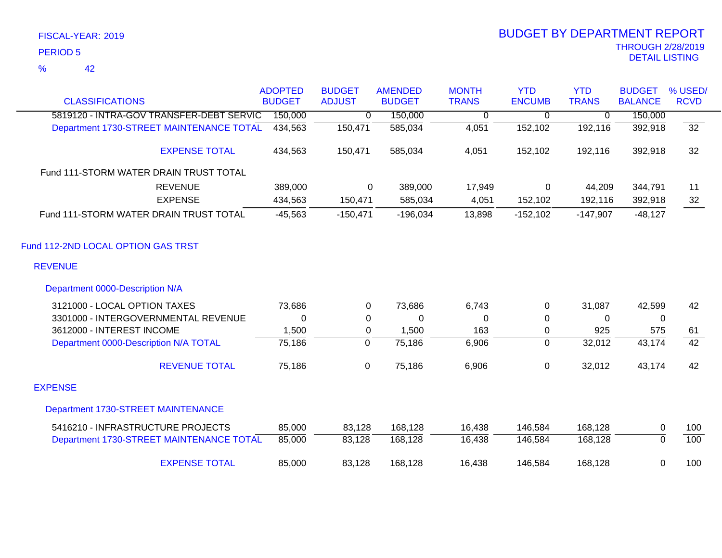### 42 %

| <b>CLASSIFICATIONS</b>                                              | <b>ADOPTED</b><br><b>BUDGET</b> | <b>BUDGET</b><br><b>ADJUST</b> | <b>AMENDED</b><br><b>BUDGET</b> | <b>MONTH</b><br><b>TRANS</b> | <b>YTD</b><br><b>ENCUMB</b> | <b>YTD</b><br><b>TRANS</b> | <b>BUDGET</b><br><b>BALANCE</b> | % USED/<br><b>RCVD</b> |
|---------------------------------------------------------------------|---------------------------------|--------------------------------|---------------------------------|------------------------------|-----------------------------|----------------------------|---------------------------------|------------------------|
| 5819120 - INTRA-GOV TRANSFER-DEBT SERVIC                            | 150,000                         | 0                              | 150,000                         | 0                            | 0                           | 0                          | 150,000                         |                        |
| Department 1730-STREET MAINTENANCE TOTAL                            | 434,563                         | 150,471                        | 585,034                         | 4,051                        | 152,102                     | 192,116                    | 392,918                         | 32                     |
| <b>EXPENSE TOTAL</b>                                                | 434,563                         | 150,471                        | 585,034                         | 4,051                        | 152,102                     | 192,116                    | 392,918                         | 32                     |
| Fund 111-STORM WATER DRAIN TRUST TOTAL                              |                                 |                                |                                 |                              |                             |                            |                                 |                        |
| <b>REVENUE</b><br><b>EXPENSE</b>                                    | 389,000<br>434,563              | 0<br>150,471                   | 389,000<br>585,034              | 17,949<br>4,051              | $\mathbf 0$<br>152,102      | 44,209<br>192,116          | 344,791<br>392,918              | 11<br>32               |
| Fund 111-STORM WATER DRAIN TRUST TOTAL                              | $-45,563$                       | $-150,471$                     | $-196,034$                      | 13,898                       | $-152,102$                  | $-147,907$                 | $-48,127$                       |                        |
| Fund 112-2ND LOCAL OPTION GAS TRST<br><b>REVENUE</b>                |                                 |                                |                                 |                              |                             |                            |                                 |                        |
| Department 0000-Description N/A                                     |                                 |                                |                                 |                              |                             |                            |                                 |                        |
| 3121000 - LOCAL OPTION TAXES<br>3301000 - INTERGOVERNMENTAL REVENUE | 73,686<br>0                     | 0<br>0                         | 73,686<br>0                     | 6,743<br>0                   | 0<br>0                      | 31,087<br>0                | 42,599<br>0                     | 42                     |
| 3612000 - INTEREST INCOME                                           | 1,500                           | 0                              | 1,500                           | 163                          | 0                           | 925                        | 575                             | 61                     |
| Department 0000-Description N/A TOTAL                               | 75,186                          | $\overline{0}$                 | 75,186                          | 6,906                        | 0                           | 32,012                     | 43,174                          | $\overline{42}$        |
| <b>REVENUE TOTAL</b>                                                | 75,186                          | 0                              | 75,186                          | 6,906                        | 0                           | 32,012                     | 43,174                          | 42                     |
| <b>EXPENSE</b>                                                      |                                 |                                |                                 |                              |                             |                            |                                 |                        |
| Department 1730-STREET MAINTENANCE                                  |                                 |                                |                                 |                              |                             |                            |                                 |                        |
| 5416210 - INFRASTRUCTURE PROJECTS                                   | 85,000                          | 83,128                         | 168,128                         | 16,438                       | 146,584                     | 168,128                    | 0                               | 100                    |
| Department 1730-STREET MAINTENANCE TOTAL                            | 85,000                          | 83,128                         | 168,128                         | 16,438                       | 146,584                     | 168,128                    | $\overline{0}$                  | 100                    |
| <b>EXPENSE TOTAL</b>                                                | 85,000                          | 83,128                         | 168,128                         | 16,438                       | 146,584                     | 168,128                    | 0                               | 100                    |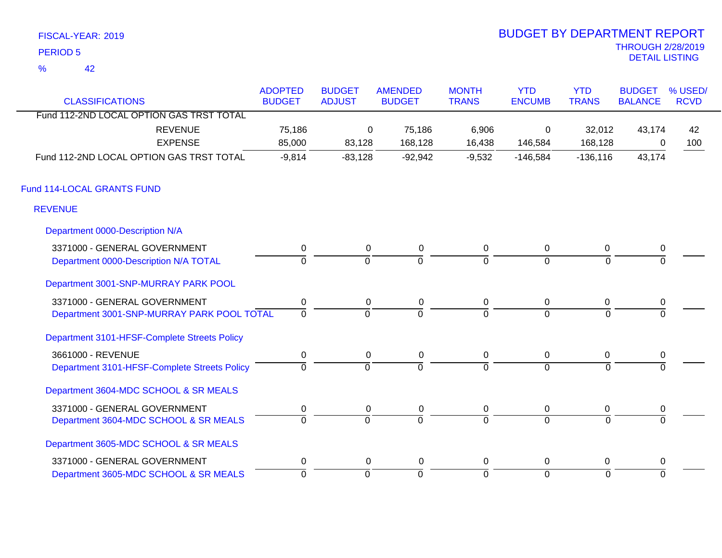| FISCAL-YEAR: 2019   | <b>BUDGET BY DEPARTMENT REPORT</b>               |
|---------------------|--------------------------------------------------|
| PERIOD 5            | <b>THROUGH 2/28/201</b><br><b>DETAIL LISTING</b> |
| $\frac{1}{2}$<br>42 |                                                  |

# THROUGH 2/28/2019<br>DETAIL LISTING BUDGET BY DEPARTMENT REPORT

| <b>CLASSIFICATIONS</b>                       | <b>ADOPTED</b><br><b>BUDGET</b> | <b>BUDGET</b><br><b>ADJUST</b> | <b>AMENDED</b><br><b>BUDGET</b> | <b>MONTH</b><br><b>TRANS</b> | <b>YTD</b><br><b>ENCUMB</b> | <b>YTD</b><br><b>TRANS</b> | <b>BUDGET</b><br><b>BALANCE</b> | % USED/<br><b>RCVD</b> |
|----------------------------------------------|---------------------------------|--------------------------------|---------------------------------|------------------------------|-----------------------------|----------------------------|---------------------------------|------------------------|
| Fund 112-2ND LOCAL OPTION GAS TRST TOTAL     |                                 |                                |                                 |                              |                             |                            |                                 |                        |
| <b>REVENUE</b>                               | 75,186                          | 0                              | 75,186                          | 6,906                        | 0                           | 32,012                     | 43,174                          | 42                     |
| <b>EXPENSE</b>                               | 85,000                          | 83,128                         | 168,128                         | 16,438                       | 146,584                     | 168,128                    | 0                               | 100                    |
| Fund 112-2ND LOCAL OPTION GAS TRST TOTAL     | $-9,814$                        | $-83,128$                      | $-92,942$                       | $-9,532$                     | $-146,584$                  | $-136, 116$                | 43,174                          |                        |
| Fund 114-LOCAL GRANTS FUND                   |                                 |                                |                                 |                              |                             |                            |                                 |                        |
| <b>REVENUE</b>                               |                                 |                                |                                 |                              |                             |                            |                                 |                        |
| Department 0000-Description N/A              |                                 |                                |                                 |                              |                             |                            |                                 |                        |
| 3371000 - GENERAL GOVERNMENT                 | $\pmb{0}$                       | $\mathbf 0$                    | $\pmb{0}$                       | $\pmb{0}$                    | $\pmb{0}$                   | $\mathbf 0$                | $\pmb{0}$                       |                        |
| Department 0000-Description N/A TOTAL        | $\overline{0}$                  | $\overline{0}$                 | $\overline{0}$                  | $\overline{0}$               | $\Omega$                    | $\Omega$                   |                                 |                        |
| Department 3001-SNP-MURRAY PARK POOL         |                                 |                                |                                 |                              |                             |                            |                                 |                        |
| 3371000 - GENERAL GOVERNMENT                 | 0                               | $\mathbf 0$                    | 0                               | 0                            | $\mathbf 0$                 | 0                          | 0                               |                        |
| Department 3001-SNP-MURRAY PARK POOL TOTAL   | $\overline{0}$                  | $\Omega$                       | $\Omega$                        | $\Omega$                     | $\Omega$                    | $\Omega$                   |                                 |                        |
| Department 3101-HFSF-Complete Streets Policy |                                 |                                |                                 |                              |                             |                            |                                 |                        |
| 3661000 - REVENUE                            | 0                               | $\mathbf 0$                    | $\mathbf 0$                     | $\pmb{0}$                    | $\mathbf 0$                 | $\mathbf 0$                | 0                               |                        |
| Department 3101-HFSF-Complete Streets Policy | $\Omega$                        | $\overline{0}$                 | $\Omega$                        | $\Omega$                     | $\Omega$                    | $\Omega$                   | $\Omega$                        |                        |
| Department 3604-MDC SCHOOL & SR MEALS        |                                 |                                |                                 |                              |                             |                            |                                 |                        |
| 3371000 - GENERAL GOVERNMENT                 | $\mathbf 0$                     | 0                              | 0                               | $\pmb{0}$                    | $\pmb{0}$                   | 0                          | $\pmb{0}$                       |                        |
| Department 3604-MDC SCHOOL & SR MEALS        | $\overline{0}$                  | $\overline{0}$                 | $\overline{0}$                  | $\overline{0}$               | $\overline{0}$              | $\Omega$                   | $\Omega$                        |                        |
| Department 3605-MDC SCHOOL & SR MEALS        |                                 |                                |                                 |                              |                             |                            |                                 |                        |
| 3371000 - GENERAL GOVERNMENT                 | 0                               | 0                              | $\mathbf 0$                     | 0                            | 0                           | 0                          | $\mathbf 0$                     |                        |
| Department 3605-MDC SCHOOL & SR MEALS        | $\overline{0}$                  | $\mathbf 0$                    | $\mathbf 0$                     | $\mathbf 0$                  | $\mathbf 0$                 | $\Omega$                   | $\Omega$                        |                        |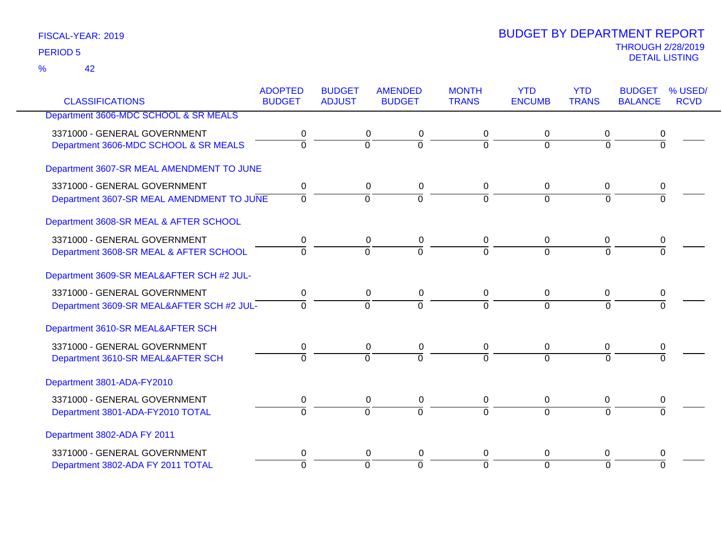| <b>CLASSIFICATIONS</b>                    | <b>ADOPTED</b><br><b>BUDGET</b> | <b>BUDGET</b><br><b>ADJUST</b> | <b>AMENDED</b><br><b>BUDGET</b> | <b>MONTH</b><br><b>TRANS</b> | <b>YTD</b><br><b>ENCUMB</b> | <b>YTD</b><br><b>TRANS</b> | <b>BUDGET</b><br><b>BALANCE</b> | % USED/<br><b>RCVD</b> |
|-------------------------------------------|---------------------------------|--------------------------------|---------------------------------|------------------------------|-----------------------------|----------------------------|---------------------------------|------------------------|
|                                           |                                 |                                |                                 |                              |                             |                            |                                 |                        |
| Department 3606-MDC SCHOOL & SR MEALS     |                                 |                                |                                 |                              |                             |                            |                                 |                        |
| 3371000 - GENERAL GOVERNMENT              | 0                               | 0                              | 0                               | 0                            | 0                           | 0                          | 0                               |                        |
| Department 3606-MDC SCHOOL & SR MEALS     | $\overline{0}$                  | $\overline{0}$                 | $\overline{0}$                  | $\overline{0}$               | $\Omega$                    | $\Omega$                   | $\overline{0}$                  |                        |
| Department 3607-SR MEAL AMENDMENT TO JUNE |                                 |                                |                                 |                              |                             |                            |                                 |                        |
| 3371000 - GENERAL GOVERNMENT              | 0                               |                                | 0<br>0                          | 0                            | $\mathbf 0$                 | $\mathbf 0$                | 0                               |                        |
| Department 3607-SR MEAL AMENDMENT TO JUNE | $\overline{0}$                  | $\overline{0}$                 | $\overline{0}$                  | $\overline{0}$               | $\overline{0}$              | $\overline{0}$             | $\Omega$                        |                        |
|                                           |                                 |                                |                                 |                              |                             |                            |                                 |                        |
| Department 3608-SR MEAL & AFTER SCHOOL    |                                 |                                |                                 |                              |                             |                            |                                 |                        |
| 3371000 - GENERAL GOVERNMENT              | 0                               | 0                              | 0                               | 0                            | 0                           | 0                          | 0                               |                        |
| Department 3608-SR MEAL & AFTER SCHOOL    | $\overline{0}$                  | $\overline{0}$                 | $\overline{0}$                  | $\Omega$                     | $\Omega$                    | $\Omega$                   | 0                               |                        |
| Department 3609-SR MEAL&AFTER SCH #2 JUL- |                                 |                                |                                 |                              |                             |                            |                                 |                        |
| 3371000 - GENERAL GOVERNMENT              | $\mathbf 0$                     | 0                              | 0                               | 0                            | $\mathbf 0$                 | 0                          | 0                               |                        |
| Department 3609-SR MEAL&AFTER SCH #2 JUL- | $\overline{0}$                  | $\overline{0}$                 | $\overline{0}$                  | $\Omega$                     | $\Omega$                    | $\overline{0}$             | $\overline{0}$                  |                        |
| Department 3610-SR MEAL&AFTER SCH         |                                 |                                |                                 |                              |                             |                            |                                 |                        |
| 3371000 - GENERAL GOVERNMENT              | 0                               |                                | 0<br>$\mathbf 0$                | 0                            | $\mathbf 0$                 | $\mathbf 0$                | 0                               |                        |
| Department 3610-SR MEAL&AFTER SCH         | $\Omega$                        | $\Omega$                       | $\Omega$                        | $\Omega$                     | $\Omega$                    | $\Omega$                   |                                 |                        |
| Department 3801-ADA-FY2010                |                                 |                                |                                 |                              |                             |                            |                                 |                        |
| 3371000 - GENERAL GOVERNMENT              | 0                               |                                | 0<br>0                          | 0                            | $\pmb{0}$                   | 0                          | 0                               |                        |
| Department 3801-ADA-FY2010 TOTAL          | $\overline{0}$                  | $\overline{0}$                 | $\overline{0}$                  | $\Omega$                     | $\overline{0}$              | $\Omega$                   | $\overline{0}$                  |                        |
| Department 3802-ADA FY 2011               |                                 |                                |                                 |                              |                             |                            |                                 |                        |
| 3371000 - GENERAL GOVERNMENT              | 0                               |                                | 0<br>0                          | 0                            | 0                           | 0                          | 0                               |                        |
| Department 3802-ADA FY 2011 TOTAL         | $\Omega$                        | $\overline{0}$                 | $\overline{0}$                  | $\overline{0}$               | $\overline{0}$              | $\Omega$                   | $\overline{0}$                  |                        |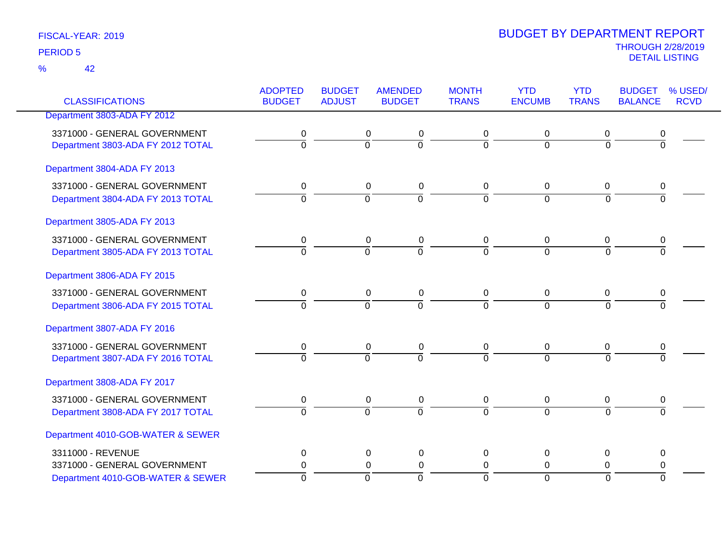|                                   | <b>ADOPTED</b> | <b>BUDGET</b>  | <b>AMENDED</b> | <b>MONTH</b>   | <b>YTD</b>     | <b>YTD</b>     | <b>BUDGET</b>    | % USED/     |
|-----------------------------------|----------------|----------------|----------------|----------------|----------------|----------------|------------------|-------------|
| <b>CLASSIFICATIONS</b>            | <b>BUDGET</b>  | <b>ADJUST</b>  | <b>BUDGET</b>  | <b>TRANS</b>   | <b>ENCUMB</b>  | <b>TRANS</b>   | <b>BALANCE</b>   | <b>RCVD</b> |
| Department 3803-ADA FY 2012       |                |                |                |                |                |                |                  |             |
| 3371000 - GENERAL GOVERNMENT      | 0              | 0              | 0              | 0              | 0              | 0              | $\boldsymbol{0}$ |             |
| Department 3803-ADA FY 2012 TOTAL | $\overline{0}$ | $\overline{0}$ | $\overline{0}$ | $\overline{0}$ | $\overline{0}$ | $\overline{0}$ | $\overline{0}$   |             |
| Department 3804-ADA FY 2013       |                |                |                |                |                |                |                  |             |
| 3371000 - GENERAL GOVERNMENT      | 0              | $\mathbf 0$    | 0              | 0              | 0              | 0              | 0                |             |
| Department 3804-ADA FY 2013 TOTAL | $\overline{0}$ | $\overline{0}$ | $\overline{0}$ | $\Omega$       | $\Omega$       | $\Omega$       | $\Omega$         |             |
| Department 3805-ADA FY 2013       |                |                |                |                |                |                |                  |             |
| 3371000 - GENERAL GOVERNMENT      | 0              | 0              | 0              | 0              | 0              | 0              | 0                |             |
| Department 3805-ADA FY 2013 TOTAL | $\overline{0}$ | $\overline{0}$ | $\overline{0}$ | $\overline{0}$ | $\overline{0}$ | $\overline{0}$ | $\overline{0}$   |             |
| Department 3806-ADA FY 2015       |                |                |                |                |                |                |                  |             |
| 3371000 - GENERAL GOVERNMENT      | 0              | $\mathbf 0$    | 0              | 0              | 0              | 0              | 0                |             |
| Department 3806-ADA FY 2015 TOTAL | $\overline{0}$ | $\overline{0}$ | $\overline{0}$ | $\overline{0}$ | $\overline{0}$ | $\overline{0}$ | $\overline{0}$   |             |
| Department 3807-ADA FY 2016       |                |                |                |                |                |                |                  |             |
| 3371000 - GENERAL GOVERNMENT      | 0              | $\mathbf 0$    | 0              | 0              | 0              | 0              | 0                |             |
| Department 3807-ADA FY 2016 TOTAL | $\overline{0}$ | ō              | $\overline{0}$ | 0              | $\overline{0}$ | $\overline{0}$ | $\overline{0}$   |             |
| Department 3808-ADA FY 2017       |                |                |                |                |                |                |                  |             |
| 3371000 - GENERAL GOVERNMENT      | 0              | 0              | 0              | 0              | 0              | 0              | 0                |             |
| Department 3808-ADA FY 2017 TOTAL | $\overline{0}$ | $\overline{0}$ | $\overline{0}$ | $\overline{0}$ | $\overline{0}$ | $\overline{0}$ | $\overline{0}$   |             |
| Department 4010-GOB-WATER & SEWER |                |                |                |                |                |                |                  |             |
| 3311000 - REVENUE                 | 0              | 0              | 0              | 0              | 0              | $\mathbf{0}$   | 0                |             |
| 3371000 - GENERAL GOVERNMENT      | 0              | 0              | $\pmb{0}$      | 0              | 0              | 0              | 0                |             |
| Department 4010-GOB-WATER & SEWER | $\Omega$       | $\mathbf 0$    | $\overline{0}$ | $\overline{0}$ | $\mathbf 0$    | $\Omega$       | $\Omega$         |             |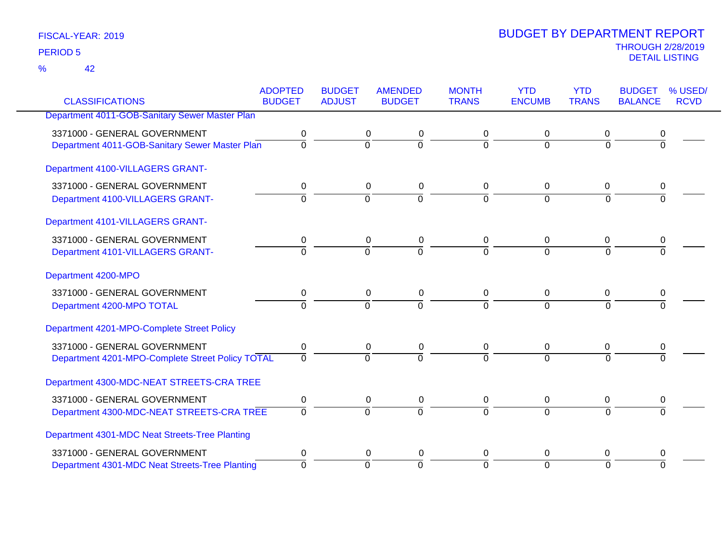42 %

|                                                  | <b>ADOPTED</b><br><b>BUDGET</b> | <b>BUDGET</b><br><b>ADJUST</b> | <b>AMENDED</b><br><b>BUDGET</b> | <b>MONTH</b><br><b>TRANS</b> | <b>YTD</b><br><b>ENCUMB</b> | <b>YTD</b><br><b>TRANS</b> | <b>BUDGET</b>  | % USED/<br><b>RCVD</b> |
|--------------------------------------------------|---------------------------------|--------------------------------|---------------------------------|------------------------------|-----------------------------|----------------------------|----------------|------------------------|
| <b>CLASSIFICATIONS</b>                           |                                 |                                |                                 |                              |                             |                            | <b>BALANCE</b> |                        |
| Department 4011-GOB-Sanitary Sewer Master Plan   |                                 |                                |                                 |                              |                             |                            |                |                        |
| 3371000 - GENERAL GOVERNMENT                     | 0                               | 0                              | 0                               | 0                            | 0                           | 0                          | 0              |                        |
| Department 4011-GOB-Sanitary Sewer Master Plan   | $\overline{0}$                  | $\overline{0}$                 | $\overline{\mathfrak{o}}$       | $\Omega$                     | $\Omega$                    | $\Omega$                   | $\mathbf 0$    |                        |
| Department 4100-VILLAGERS GRANT-                 |                                 |                                |                                 |                              |                             |                            |                |                        |
| 3371000 - GENERAL GOVERNMENT                     | 0                               | 0                              | $\pmb{0}$                       | 0                            | 0                           | $\mathbf 0$                | 0              |                        |
| Department 4100-VILLAGERS GRANT-                 | $\overline{0}$                  | $\overline{0}$                 | $\overline{0}$                  | $\overline{0}$               | $\Omega$                    | $\Omega$                   | $\overline{0}$ |                        |
| Department 4101-VILLAGERS GRANT-                 |                                 |                                |                                 |                              |                             |                            |                |                        |
| 3371000 - GENERAL GOVERNMENT                     | 0                               | 0                              | 0                               | 0                            | 0                           | $\mathbf 0$                | 0              |                        |
| Department 4101-VILLAGERS GRANT-                 | $\Omega$                        | $\overline{0}$                 | $\overline{0}$                  | $\Omega$                     | $\Omega$                    | $\Omega$                   | $\Omega$       |                        |
| Department 4200-MPO                              |                                 |                                |                                 |                              |                             |                            |                |                        |
| 3371000 - GENERAL GOVERNMENT                     | $\mathbf 0$                     |                                | $\mathbf 0$<br>0                | 0                            | 0                           | $\mathbf 0$                | 0              |                        |
| Department 4200-MPO TOTAL                        | $\overline{0}$                  | $\Omega$                       | $\overline{0}$                  | $\Omega$                     | $\overline{0}$              | $\Omega$                   | $\Omega$       |                        |
| Department 4201-MPO-Complete Street Policy       |                                 |                                |                                 |                              |                             |                            |                |                        |
| 3371000 - GENERAL GOVERNMENT                     | $\pmb{0}$                       | $\pmb{0}$                      | $\pmb{0}$                       | 0                            | $\pmb{0}$                   | 0                          | 0              |                        |
| Department 4201-MPO-Complete Street Policy TOTAL | $\overline{0}$                  | $\Omega$                       | $\overline{0}$                  | $\overline{0}$               | $\Omega$                    | $\Omega$                   | $\Omega$       |                        |
| Department 4300-MDC-NEAT STREETS-CRA TREE        |                                 |                                |                                 |                              |                             |                            |                |                        |
| 3371000 - GENERAL GOVERNMENT                     | 0                               |                                | $\mathbf 0$<br>$\pmb{0}$        | 0                            | 0                           | $\mathbf 0$                | 0              |                        |
| Department 4300-MDC-NEAT STREETS-CRA TREE        | $\Omega$                        | $\Omega$                       | $\overline{0}$                  | $\Omega$                     | $\overline{0}$              | $\Omega$                   | $\Omega$       |                        |
| Department 4301-MDC Neat Streets-Tree Planting   |                                 |                                |                                 |                              |                             |                            |                |                        |
| 3371000 - GENERAL GOVERNMENT                     | 0                               |                                | 0<br>0                          | 0                            | 0                           | 0                          | 0              |                        |
| Department 4301-MDC Neat Streets-Tree Planting   | $\mathbf{0}$                    | $\overline{0}$                 | $\overline{0}$                  | $\overline{0}$               | $\Omega$                    | $\Omega$                   | $\Omega$       |                        |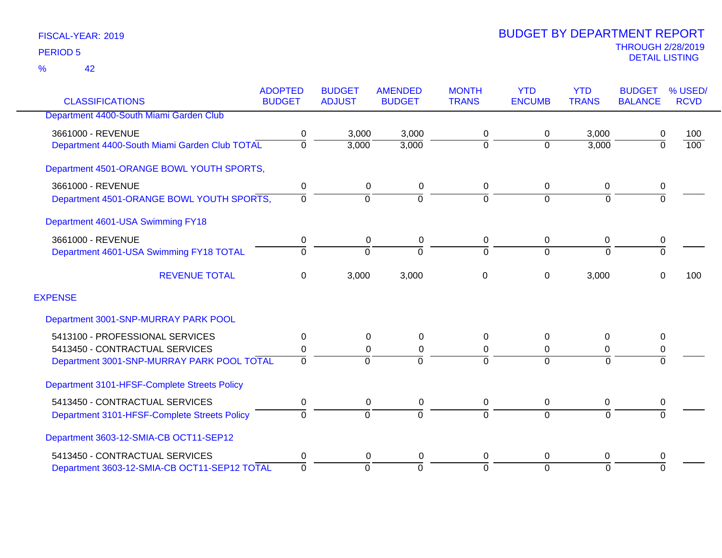|                                               | <b>ADOPTED</b> | <b>BUDGET</b>  | <b>AMENDED</b> | <b>MONTH</b>   | <b>YTD</b>    | <b>YTD</b>     | <b>BUDGET</b>  | % USED/          |
|-----------------------------------------------|----------------|----------------|----------------|----------------|---------------|----------------|----------------|------------------|
| <b>CLASSIFICATIONS</b>                        | <b>BUDGET</b>  | <b>ADJUST</b>  | <b>BUDGET</b>  | <b>TRANS</b>   | <b>ENCUMB</b> | <b>TRANS</b>   | <b>BALANCE</b> | <b>RCVD</b>      |
| Department 4400-South Miami Garden Club       |                |                |                |                |               |                |                |                  |
| 3661000 - REVENUE                             | 0              | 3,000          | 3,000          | 0              | 0             | 3,000          | 0              | 100              |
| Department 4400-South Miami Garden Club TOTAL | 0              | 3,000          | 3,000          | $\mathbf 0$    | $\Omega$      | 3,000          | $\overline{0}$ | $\overline{100}$ |
| Department 4501-ORANGE BOWL YOUTH SPORTS,     |                |                |                |                |               |                |                |                  |
| 3661000 - REVENUE                             | 0              | 0              | 0              | 0              | 0             | 0              | 0              |                  |
| Department 4501-ORANGE BOWL YOUTH SPORTS,     | $\Omega$       | $\overline{0}$ | $\Omega$       | $\overline{0}$ | $\Omega$      | $\overline{0}$ | $\overline{0}$ |                  |
| Department 4601-USA Swimming FY18             |                |                |                |                |               |                |                |                  |
| 3661000 - REVENUE                             | 0              | 0              | 0              | 0              | 0             | 0              | 0              |                  |
| Department 4601-USA Swimming FY18 TOTAL       | $\Omega$       | $\Omega$       | $\Omega$       | $\Omega$       | $\Omega$      | $\Omega$       | $\overline{0}$ |                  |
| <b>REVENUE TOTAL</b>                          | 0              | 3,000          | 3,000          | 0              | 0             | 3,000          | 0              | 100              |
| <b>EXPENSE</b>                                |                |                |                |                |               |                |                |                  |
| Department 3001-SNP-MURRAY PARK POOL          |                |                |                |                |               |                |                |                  |
| 5413100 - PROFESSIONAL SERVICES               | 0              | 0              | 0              | 0              | $\Omega$      | $\Omega$       | 0              |                  |
| 5413450 - CONTRACTUAL SERVICES                | 0              | 0              | 0              | 0              | 0             | 0              | 0              |                  |
| Department 3001-SNP-MURRAY PARK POOL TOTAL    | $\Omega$       | $\Omega$       |                | $\Omega$       | $\Omega$      | $\Omega$       | $\Omega$       |                  |
| Department 3101-HFSF-Complete Streets Policy  |                |                |                |                |               |                |                |                  |
| 5413450 - CONTRACTUAL SERVICES                | 0              | 0              | 0              | 0              | 0             | 0              | 0              |                  |
| Department 3101-HFSF-Complete Streets Policy  | $\Omega$       | $\overline{0}$ | $\Omega$       | 0              | $\Omega$      | $\overline{0}$ | $\Omega$       |                  |
| Department 3603-12-SMIA-CB OCT11-SEP12        |                |                |                |                |               |                |                |                  |
| 5413450 - CONTRACTUAL SERVICES                | 0              | 0              | 0              | 0              | $\Omega$      | 0              | 0              |                  |
| Department 3603-12-SMIA-CB OCT11-SEP12 TOTAL  | $\overline{0}$ | $\Omega$       | $\Omega$       | $\overline{0}$ | $\Omega$      | $\Omega$       | $\Omega$       |                  |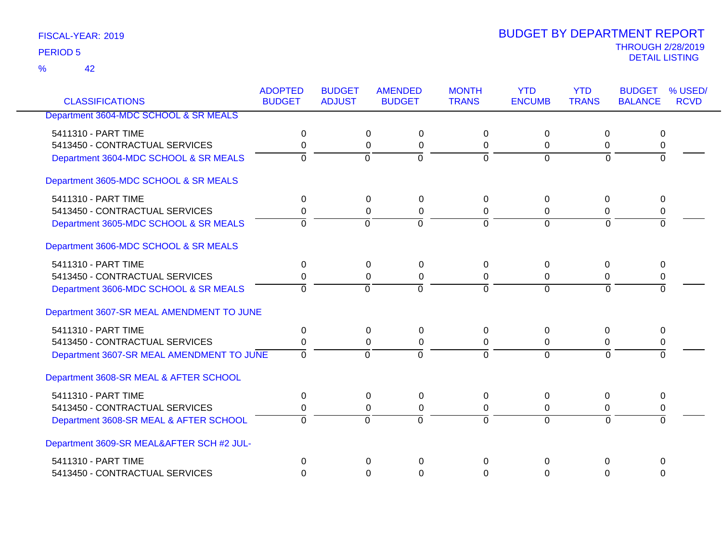42 %

|                                           | <b>ADOPTED</b><br><b>BUDGET</b> | <b>BUDGET</b><br><b>ADJUST</b> | <b>AMENDED</b><br><b>BUDGET</b> | <b>MONTH</b><br><b>TRANS</b> | <b>YTD</b><br><b>ENCUMB</b> | <b>YTD</b><br><b>TRANS</b> | <b>BUDGET</b><br><b>BALANCE</b> | % USED/<br><b>RCVD</b> |
|-------------------------------------------|---------------------------------|--------------------------------|---------------------------------|------------------------------|-----------------------------|----------------------------|---------------------------------|------------------------|
| <b>CLASSIFICATIONS</b>                    |                                 |                                |                                 |                              |                             |                            |                                 |                        |
| Department 3604-MDC SCHOOL & SR MEALS     |                                 |                                |                                 |                              |                             |                            |                                 |                        |
| 5411310 - PART TIME                       | 0                               |                                | 0<br>0                          | $\Omega$                     | $\mathbf 0$                 | 0                          | 0                               |                        |
| 5413450 - CONTRACTUAL SERVICES            | 0                               |                                | 0<br>0                          | 0                            | 0                           | 0                          | 0                               |                        |
| Department 3604-MDC SCHOOL & SR MEALS     | 0                               | $\overline{0}$                 | $\overline{0}$                  | $\overline{0}$               | $\overline{0}$              | $\overline{0}$             | $\overline{0}$                  |                        |
| Department 3605-MDC SCHOOL & SR MEALS     |                                 |                                |                                 |                              |                             |                            |                                 |                        |
| 5411310 - PART TIME                       | 0                               | $\mathbf 0$                    | 0                               | $\Omega$                     | 0                           | 0                          | 0                               |                        |
| 5413450 - CONTRACTUAL SERVICES            | 0                               |                                | 0<br>0                          | 0                            | 0                           | $\Omega$                   | 0                               |                        |
| Department 3605-MDC SCHOOL & SR MEALS     | $\Omega$                        | $\Omega$                       | $\overline{0}$                  | $\Omega$                     | $\overline{0}$              | $\Omega$                   | $\Omega$                        |                        |
| Department 3606-MDC SCHOOL & SR MEALS     |                                 |                                |                                 |                              |                             |                            |                                 |                        |
| 5411310 - PART TIME                       | 0                               |                                | 0<br>$\mathbf 0$                | 0                            | 0                           | 0                          | 0                               |                        |
| 5413450 - CONTRACTUAL SERVICES            | 0                               |                                | 0<br>$\mathbf 0$                | 0                            | 0                           | 0                          | 0                               |                        |
| Department 3606-MDC SCHOOL & SR MEALS     | $\Omega$                        | $\Omega$                       | $\overline{0}$                  | $\Omega$                     | $\Omega$                    | $\Omega$                   | $\overline{0}$                  |                        |
| Department 3607-SR MEAL AMENDMENT TO JUNE |                                 |                                |                                 |                              |                             |                            |                                 |                        |
| 5411310 - PART TIME                       | $\Omega$                        |                                | $\Omega$<br>$\mathbf{0}$        | $\Omega$                     | $\Omega$                    | $\Omega$                   | $\Omega$                        |                        |
| 5413450 - CONTRACTUAL SERVICES            | 0                               |                                | 0<br>$\mathbf 0$                | 0                            | 0                           | 0                          | 0                               |                        |
| Department 3607-SR MEAL AMENDMENT TO JUNE | $\Omega$                        | $\Omega$                       | $\Omega$                        | $\Omega$                     | $\Omega$                    | $\Omega$                   | $\Omega$                        |                        |
| Department 3608-SR MEAL & AFTER SCHOOL    |                                 |                                |                                 |                              |                             |                            |                                 |                        |
| 5411310 - PART TIME                       | 0                               | 0                              | $\mathbf{0}$                    | $\Omega$                     | 0                           | 0                          | 0                               |                        |
| 5413450 - CONTRACTUAL SERVICES            | 0                               |                                | 0<br>0                          | $\Omega$                     | 0                           | 0                          | 0                               |                        |
| Department 3608-SR MEAL & AFTER SCHOOL    | $\Omega$                        | $\overline{0}$                 | $\overline{0}$                  | $\Omega$                     | $\overline{0}$              | $\Omega$                   | $\Omega$                        |                        |
| Department 3609-SR MEAL&AFTER SCH #2 JUL- |                                 |                                |                                 |                              |                             |                            |                                 |                        |
| 5411310 - PART TIME                       | 0                               |                                | $\Omega$<br>$\Omega$            | $\mathbf 0$                  | $\Omega$                    | 0                          | $\mathbf 0$                     |                        |
| 5413450 - CONTRACTUAL SERVICES            | 0                               |                                | 0<br>$\Omega$                   | $\Omega$                     | $\Omega$                    | $\Omega$                   | $\Omega$                        |                        |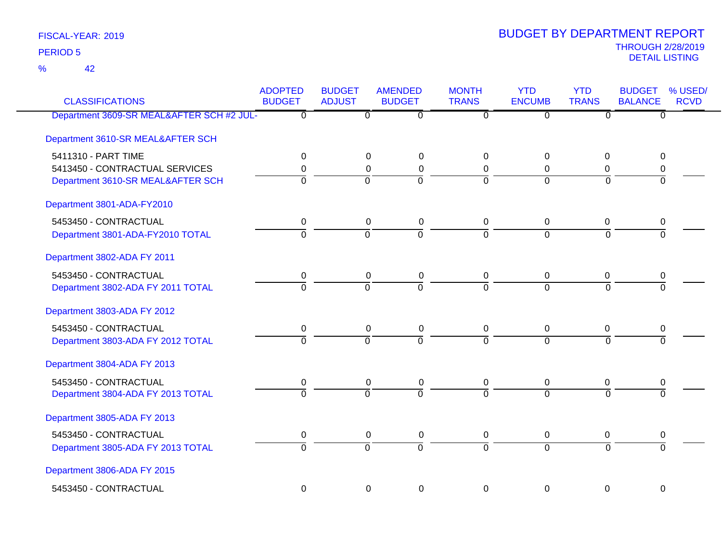42 %

| <b>CLASSIFICATIONS</b>                    | <b>ADOPTED</b><br><b>BUDGET</b> | <b>BUDGET</b><br><b>ADJUST</b> | <b>AMENDED</b><br><b>BUDGET</b> | <b>MONTH</b><br><b>TRANS</b> | <b>YTD</b><br><b>ENCUMB</b> | <b>YTD</b><br><b>TRANS</b> | <b>BUDGET</b><br><b>BALANCE</b> | % USED/<br><b>RCVD</b> |
|-------------------------------------------|---------------------------------|--------------------------------|---------------------------------|------------------------------|-----------------------------|----------------------------|---------------------------------|------------------------|
| Department 3609-SR MEAL&AFTER SCH #2 JUL- | $\Omega$                        | $\overline{0}$                 | $\overline{0}$                  | $\overline{0}$               | $\overline{0}$              | $\overline{0}$             | $\overline{0}$                  |                        |
| Department 3610-SR MEAL&AFTER SCH         |                                 |                                |                                 |                              |                             |                            |                                 |                        |
| 5411310 - PART TIME                       | 0                               | 0                              | 0                               | 0                            | $\Omega$                    | $\mathbf 0$                | 0                               |                        |
| 5413450 - CONTRACTUAL SERVICES            | 0                               | 0                              | $\mathbf 0$                     | 0                            | 0                           | 0                          | 0                               |                        |
| Department 3610-SR MEAL&AFTER SCH         | $\overline{0}$                  | $\Omega$                       | $\overline{0}$                  | $\Omega$                     | $\Omega$                    | $\Omega$                   | $\overline{0}$                  |                        |
| Department 3801-ADA-FY2010                |                                 |                                |                                 |                              |                             |                            |                                 |                        |
| 5453450 - CONTRACTUAL                     | 0                               | $\pmb{0}$                      | $\pmb{0}$                       | $\mathbf 0$                  | $\mathbf 0$                 | $\mathbf 0$                | 0                               |                        |
| Department 3801-ADA-FY2010 TOTAL          | $\Omega$                        | $\overline{0}$                 | $\overline{0}$                  | $\Omega$                     | $\overline{0}$              | $\Omega$                   | $\Omega$                        |                        |
| Department 3802-ADA FY 2011               |                                 |                                |                                 |                              |                             |                            |                                 |                        |
| 5453450 - CONTRACTUAL                     | $\mathbf 0$                     | $\mathbf 0$                    | $\pmb{0}$                       | $\mathbf 0$                  | $\mathbf 0$                 | $\mathbf 0$                | $\pmb{0}$                       |                        |
| Department 3802-ADA FY 2011 TOTAL         | $\overline{0}$                  | $\overline{0}$                 | $\overline{0}$                  | 7                            | $\overline{0}$              | $\overline{0}$             | $\overline{0}$                  |                        |
| Department 3803-ADA FY 2012               |                                 |                                |                                 |                              |                             |                            |                                 |                        |
| 5453450 - CONTRACTUAL                     | $\mathbf 0$                     | $\mathbf 0$                    | $\pmb{0}$                       | $\mathbf 0$                  | $\mathbf 0$                 | $\mathbf 0$                | 0                               |                        |
| Department 3803-ADA FY 2012 TOTAL         | $\overline{0}$                  | $\overline{0}$                 | $\overline{0}$                  | $\overline{0}$               | $\Omega$                    | $\overline{0}$             | $\overline{0}$                  |                        |
| Department 3804-ADA FY 2013               |                                 |                                |                                 |                              |                             |                            |                                 |                        |
| 5453450 - CONTRACTUAL                     | 0                               | $\mathbf 0$                    | $\mathbf 0$                     | $\mathbf 0$                  | 0                           | 0                          | 0                               |                        |
| Department 3804-ADA FY 2013 TOTAL         | $\overline{0}$                  | $\Omega$                       | $\overline{0}$                  | $\overline{0}$               | $\overline{0}$              | $\Omega$                   | $\overline{0}$                  |                        |
| Department 3805-ADA FY 2013               |                                 |                                |                                 |                              |                             |                            |                                 |                        |
| 5453450 - CONTRACTUAL                     | 0                               | $\mathbf 0$                    | $\mathbf 0$                     | $\mathbf 0$                  | $\mathbf 0$                 | 0                          | $\pmb{0}$                       |                        |
| Department 3805-ADA FY 2013 TOTAL         | $\overline{0}$                  | $\overline{0}$                 | $\overline{0}$                  | $\overline{0}$               | $\overline{0}$              | $\overline{0}$             | $\overline{0}$                  |                        |
| Department 3806-ADA FY 2015               |                                 |                                |                                 |                              |                             |                            |                                 |                        |
| 5453450 - CONTRACTUAL                     | $\overline{0}$                  | 0                              | $\overline{0}$                  | $\mathbf 0$                  | $\overline{0}$              | $\mathbf 0$                | 0                               |                        |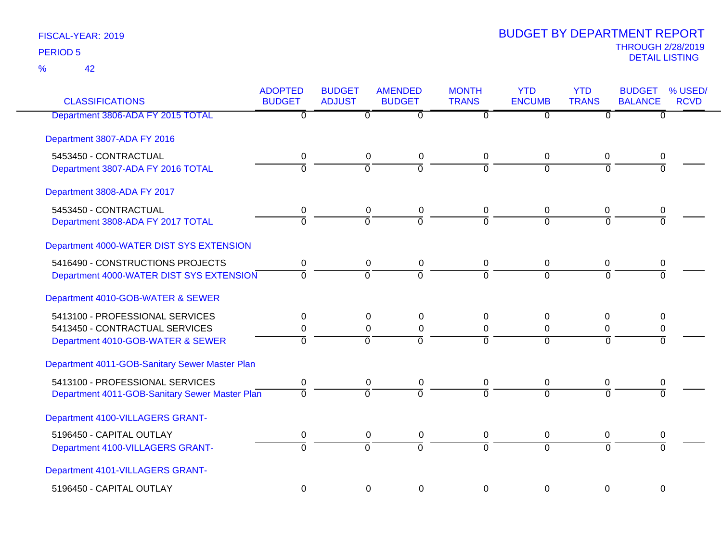42 %

| <b>CLASSIFICATIONS</b>                         | <b>ADOPTED</b><br><b>BUDGET</b> | <b>BUDGET</b><br><b>ADJUST</b> | <b>AMENDED</b><br><b>BUDGET</b> | <b>MONTH</b><br><b>TRANS</b> | <b>YTD</b><br><b>ENCUMB</b> | <b>YTD</b><br><b>TRANS</b> | <b>BUDGET</b><br><b>BALANCE</b> | % USED/<br><b>RCVD</b> |
|------------------------------------------------|---------------------------------|--------------------------------|---------------------------------|------------------------------|-----------------------------|----------------------------|---------------------------------|------------------------|
| Department 3806-ADA FY 2015 TOTAL              | $\overline{0}$                  | $\overline{0}$                 | $\overline{\mathfrak{o}}$       | $\overline{0}$               | $\overline{0}$              | $\overline{0}$             | $\overline{0}$                  |                        |
| Department 3807-ADA FY 2016                    |                                 |                                |                                 |                              |                             |                            |                                 |                        |
| 5453450 - CONTRACTUAL                          | 0                               | $\mathbf 0$                    | $\mathbf 0$                     | 0                            | $\mathbf 0$                 | 0                          | 0                               |                        |
| Department 3807-ADA FY 2016 TOTAL              | $\overline{0}$                  | $\Omega$                       | $\overline{0}$                  | $\Omega$                     | $\Omega$                    | $\Omega$                   | 0                               |                        |
| Department 3808-ADA FY 2017                    |                                 |                                |                                 |                              |                             |                            |                                 |                        |
| 5453450 - CONTRACTUAL                          | 0                               | $\mathbf 0$                    | $\mathbf 0$                     | 0                            | 0                           | 0                          | 0                               |                        |
| Department 3808-ADA FY 2017 TOTAL              | $\overline{0}$                  | $\overline{0}$                 | $\overline{0}$                  | $\overline{0}$               | $\overline{0}$              | $\Omega$                   | $\overline{0}$                  |                        |
| Department 4000-WATER DIST SYS EXTENSION       |                                 |                                |                                 |                              |                             |                            |                                 |                        |
| 5416490 - CONSTRUCTIONS PROJECTS               | 0                               | $\mathbf 0$                    | $\mathbf 0$                     | $\mathbf 0$                  | $\mathbf 0$                 | 0                          | 0                               |                        |
| Department 4000-WATER DIST SYS EXTENSION       | $\Omega$                        | $\Omega$                       | $\overline{0}$                  | $\Omega$                     | $\Omega$                    | $\Omega$                   | 0                               |                        |
| Department 4010-GOB-WATER & SEWER              |                                 |                                |                                 |                              |                             |                            |                                 |                        |
| 5413100 - PROFESSIONAL SERVICES                | 0                               | 0                              | $\mathbf 0$                     | $\Omega$                     | 0                           | 0                          | 0                               |                        |
| 5413450 - CONTRACTUAL SERVICES                 | 0                               | $\mathbf 0$                    | $\mathbf 0$                     | 0                            | 0                           | 0                          | 0                               |                        |
| Department 4010-GOB-WATER & SEWER              | $\overline{0}$                  | $\overline{0}$                 | $\overline{0}$                  | $\Omega$                     | $\Omega$                    | $\Omega$                   | 0                               |                        |
| Department 4011-GOB-Sanitary Sewer Master Plan |                                 |                                |                                 |                              |                             |                            |                                 |                        |
| 5413100 - PROFESSIONAL SERVICES                | 0                               | $\mathbf 0$                    | $\mathbf 0$                     | $\mathbf 0$                  | 0                           | 0                          | 0                               |                        |
| Department 4011-GOB-Sanitary Sewer Master Plan | $\overline{0}$                  | $\overline{0}$                 | $\overline{0}$                  | $\overline{0}$               | $\overline{0}$              | $\overline{0}$             | $\overline{0}$                  |                        |
| Department 4100-VILLAGERS GRANT-               |                                 |                                |                                 |                              |                             |                            |                                 |                        |
| 5196450 - CAPITAL OUTLAY                       | 0                               | 0                              | $\mathbf 0$                     | $\mathbf 0$                  | $\pmb{0}$                   | 0                          | 0                               |                        |
| Department 4100-VILLAGERS GRANT-               | $\Omega$                        | $\overline{0}$                 | $\overline{0}$                  | $\Omega$                     | $\overline{0}$              | $\Omega$                   | $\Omega$                        |                        |
| Department 4101-VILLAGERS GRANT-               |                                 |                                |                                 |                              |                             |                            |                                 |                        |
| 5196450 - CAPITAL OUTLAY                       | $\mathbf 0$                     | $\mathbf 0$                    | $\mathbf 0$                     | $\mathbf 0$                  | 0                           | $\overline{0}$             | $\mathbf 0$                     |                        |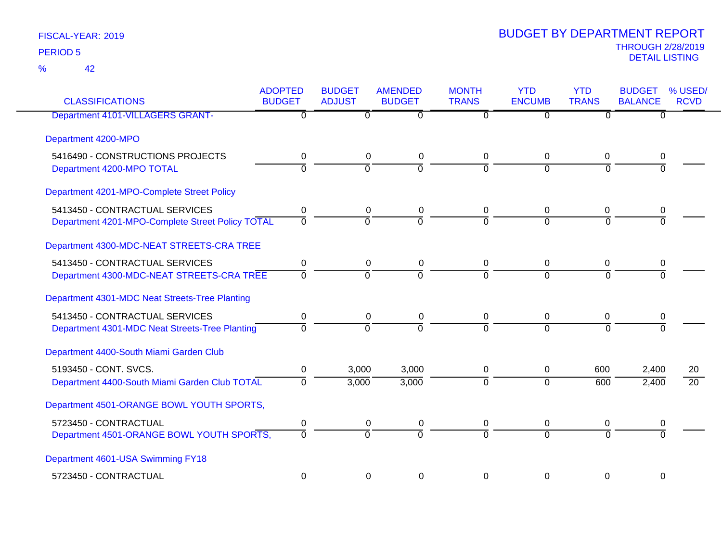| <b>CLASSIFICATIONS</b>                           | <b>ADOPTED</b><br><b>BUDGET</b> | <b>BUDGET</b><br><b>ADJUST</b> | <b>AMENDED</b><br><b>BUDGET</b> | <b>MONTH</b><br><b>TRANS</b> | <b>YTD</b><br><b>ENCUMB</b> | <b>YTD</b><br><b>TRANS</b> | <b>BUDGET</b><br><b>BALANCE</b> | % USED/<br><b>RCVD</b> |
|--------------------------------------------------|---------------------------------|--------------------------------|---------------------------------|------------------------------|-----------------------------|----------------------------|---------------------------------|------------------------|
| <b>Department 4101-VILLAGERS GRANT-</b>          | 0                               | $\Omega$                       | $\overline{0}$                  | $\Omega$                     | $\Omega$                    | $\Omega$                   | $\overline{0}$                  |                        |
| Department 4200-MPO                              |                                 |                                |                                 |                              |                             |                            |                                 |                        |
| 5416490 - CONSTRUCTIONS PROJECTS                 | 0                               |                                | 0<br>0                          | 0                            | 0                           | 0                          | 0                               |                        |
| Department 4200-MPO TOTAL                        | $\overline{0}$                  | $\overline{0}$                 | ō                               | $\Omega$                     | $\overline{0}$              | $\Omega$                   | 0                               |                        |
| Department 4201-MPO-Complete Street Policy       |                                 |                                |                                 |                              |                             |                            |                                 |                        |
| 5413450 - CONTRACTUAL SERVICES                   | 0                               |                                | 0<br>0                          | 0                            | 0                           | 0                          | 0                               |                        |
| Department 4201-MPO-Complete Street Policy TOTAL | $\overline{0}$                  | $\overline{0}$                 | $\overline{0}$                  | $\overline{0}$               | $\overline{0}$              | $\Omega$                   | $\Omega$                        |                        |
| Department 4300-MDC-NEAT STREETS-CRA TREE        |                                 |                                |                                 |                              |                             |                            |                                 |                        |
| 5413450 - CONTRACTUAL SERVICES                   | $\mathbf 0$                     |                                | $\mathbf 0$<br>0                | 0                            | $\pmb{0}$                   | 0                          | 0                               |                        |
| Department 4300-MDC-NEAT STREETS-CRA TREE        | $\Omega$                        | $\overline{0}$                 | $\Omega$                        | $\Omega$                     | $\Omega$                    | $\Omega$                   | $\Omega$                        |                        |
| Department 4301-MDC Neat Streets-Tree Planting   |                                 |                                |                                 |                              |                             |                            |                                 |                        |
| 5413450 - CONTRACTUAL SERVICES                   | $\pmb{0}$                       |                                | $\pmb{0}$<br>0                  | 0                            | $\mathbf 0$                 | 0                          | 0                               |                        |
| Department 4301-MDC Neat Streets-Tree Planting   | $\Omega$                        | $\overline{0}$                 | $\overline{0}$                  | $\overline{0}$               | $\Omega$                    | $\Omega$                   | $\Omega$                        |                        |
| Department 4400-South Miami Garden Club          |                                 |                                |                                 |                              |                             |                            |                                 |                        |
| 5193450 - CONT. SVCS.                            | 0                               | 3,000                          | 3,000                           | 0                            | $\mathbf 0$                 | 600                        | 2,400                           | 20                     |
| Department 4400-South Miami Garden Club TOTAL    | $\mathbf 0$                     | 3,000                          | 3,000                           | $\overline{0}$               | $\overline{0}$              | 600                        | 2,400                           | $\overline{20}$        |
| Department 4501-ORANGE BOWL YOUTH SPORTS,        |                                 |                                |                                 |                              |                             |                            |                                 |                        |
| 5723450 - CONTRACTUAL                            | $\pmb{0}$                       |                                | $\pmb{0}$<br>$\pmb{0}$          | 0                            | $\mathbf 0$                 | 0                          | 0                               |                        |
| Department 4501-ORANGE BOWL YOUTH SPORTS,        | $\Omega$                        | $\overline{0}$                 | $\Omega$                        | $\overline{0}$               | $\Omega$                    | $\Omega$                   | $\Omega$                        |                        |
| Department 4601-USA Swimming FY18                |                                 |                                |                                 |                              |                             |                            |                                 |                        |
| 5723450 - CONTRACTUAL                            | $\mathbf 0$                     |                                | 0<br>0                          | 0                            | 0                           | $\pmb{0}$                  | $\mathbf 0$                     |                        |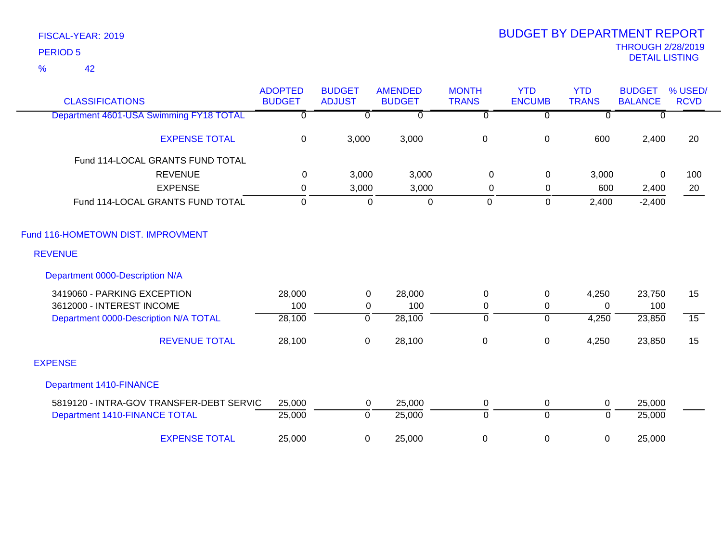42 %

| <b>CLASSIFICATIONS</b>                   | <b>ADOPTED</b><br><b>BUDGET</b> | <b>BUDGET</b><br><b>ADJUST</b> | <b>AMENDED</b><br><b>BUDGET</b> | <b>MONTH</b><br><b>TRANS</b> | <b>YTD</b><br><b>ENCUMB</b> | <b>YTD</b><br><b>TRANS</b> | <b>BUDGET</b><br><b>BALANCE</b> | % USED/<br><b>RCVD</b> |
|------------------------------------------|---------------------------------|--------------------------------|---------------------------------|------------------------------|-----------------------------|----------------------------|---------------------------------|------------------------|
| Department 4601-USA Swimming FY18 TOTAL  | $\mathbf 0$                     | $\Omega$                       | $\mathbf{0}$                    | $\Omega$                     | $\mathbf 0$                 | $\Omega$                   | $\Omega$                        |                        |
| <b>EXPENSE TOTAL</b>                     | 0                               | 3,000                          | 3,000                           | $\pmb{0}$                    | $\pmb{0}$                   | 600                        | 2,400                           | 20                     |
| Fund 114-LOCAL GRANTS FUND TOTAL         |                                 |                                |                                 |                              |                             |                            |                                 |                        |
| <b>REVENUE</b>                           | $\mathbf 0$                     | 3,000                          | 3,000                           | $\mathbf 0$                  | $\mathbf 0$                 | 3,000                      | $\Omega$                        | 100                    |
| <b>EXPENSE</b>                           | 0                               | 3,000                          | 3,000                           | 0                            | $\mathbf 0$                 | 600                        | 2,400                           | 20                     |
| Fund 114-LOCAL GRANTS FUND TOTAL         | $\mathbf 0$                     | $\Omega$                       | $\mathbf 0$                     | $\mathbf 0$                  | $\overline{0}$              | 2,400                      | $-2,400$                        |                        |
| Fund 116-HOMETOWN DIST. IMPROVMENT       |                                 |                                |                                 |                              |                             |                            |                                 |                        |
| <b>REVENUE</b>                           |                                 |                                |                                 |                              |                             |                            |                                 |                        |
| Department 0000-Description N/A          |                                 |                                |                                 |                              |                             |                            |                                 |                        |
| 3419060 - PARKING EXCEPTION              | 28,000                          | $\mathbf 0$                    | 28,000                          | $\boldsymbol{0}$             | $\mathbf 0$                 | 4,250                      | 23,750                          | 15                     |
| 3612000 - INTEREST INCOME                | 100                             | $\mathbf 0$                    | 100                             | 0                            | 0                           | $\mathbf{0}$               | 100                             |                        |
| Department 0000-Description N/A TOTAL    | 28,100                          | $\overline{0}$                 | 28,100                          | $\overline{0}$               | $\overline{0}$              | 4,250                      | 23,850                          | $\overline{15}$        |
| <b>REVENUE TOTAL</b>                     | 28,100                          | $\mathbf 0$                    | 28,100                          | $\pmb{0}$                    | $\pmb{0}$                   | 4,250                      | 23,850                          | 15                     |
| <b>EXPENSE</b>                           |                                 |                                |                                 |                              |                             |                            |                                 |                        |
| <b>Department 1410-FINANCE</b>           |                                 |                                |                                 |                              |                             |                            |                                 |                        |
| 5819120 - INTRA-GOV TRANSFER-DEBT SERVIC | 25,000                          | $\mathbf 0$                    | 25,000                          | 0                            | 0                           | $\mathbf 0$                | 25,000                          |                        |
| Department 1410-FINANCE TOTAL            | 25,000                          | $\mathbf 0$                    | 25,000                          | $\overline{0}$               | $\overline{0}$              | $\mathbf{0}$               | 25,000                          |                        |
| <b>EXPENSE TOTAL</b>                     | 25,000                          | 0                              | 25,000                          | $\mathbf 0$                  | 0                           | 0                          | 25,000                          |                        |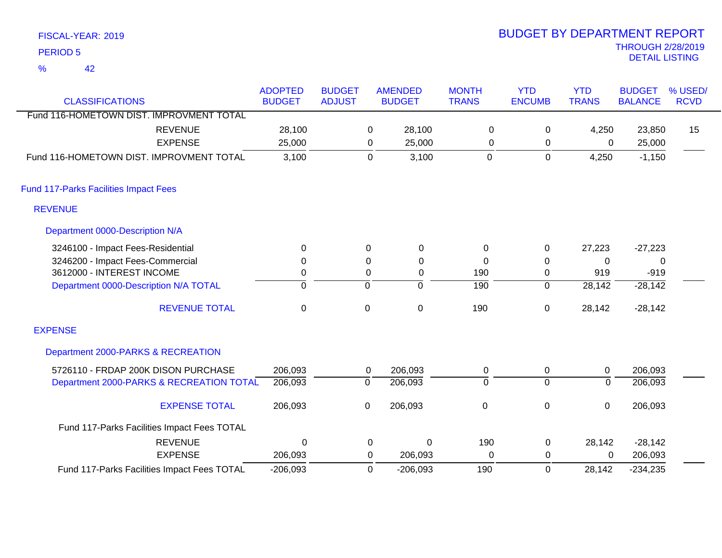| FISCAL-YEAR: 2019                        |                                 |                                |                |                                 |                              | <b>BUDGET BY DEPARTMENT REPORT</b> |                            |                                                   |                        |
|------------------------------------------|---------------------------------|--------------------------------|----------------|---------------------------------|------------------------------|------------------------------------|----------------------------|---------------------------------------------------|------------------------|
| <b>PERIOD 5</b>                          |                                 |                                |                |                                 |                              |                                    |                            | <b>THROUGH 2/28/2019</b><br><b>DETAIL LISTING</b> |                        |
| $\frac{9}{6}$<br>42                      |                                 |                                |                |                                 |                              |                                    |                            |                                                   |                        |
| <b>CLASSIFICATIONS</b>                   | <b>ADOPTED</b><br><b>BUDGET</b> | <b>BUDGET</b><br><b>ADJUST</b> |                | <b>AMENDED</b><br><b>BUDGET</b> | <b>MONTH</b><br><b>TRANS</b> | <b>YTD</b><br><b>ENCUMB</b>        | <b>YTD</b><br><b>TRANS</b> | <b>BUDGET</b><br><b>BALANCE</b>                   | % USED/<br><b>RCVD</b> |
| Fund 116-HOMETOWN DIST. IMPROVMENT TOTAL |                                 |                                |                |                                 |                              |                                    |                            |                                                   |                        |
| <b>REVENUE</b>                           | 28,100                          |                                | 0              | 28,100                          | 0                            | $\mathbf 0$                        | 4,250                      | 23,850                                            | 15                     |
| <b>EXPENSE</b>                           | 25,000                          |                                | 0              | 25,000                          | 0                            | 0                                  | 0                          | 25,000                                            |                        |
| Fund 116-HOMETOWN DIST. IMPROVMENT TOTAL | 3,100                           |                                | $\mathbf 0$    | 3,100                           | $\mathbf 0$                  | 0                                  | 4,250                      | $-1,150$                                          |                        |
| Fund 117-Parks Facilities Impact Fees    |                                 |                                |                |                                 |                              |                                    |                            |                                                   |                        |
|                                          |                                 |                                |                |                                 |                              |                                    |                            |                                                   |                        |
| <b>REVENUE</b>                           |                                 |                                |                |                                 |                              |                                    |                            |                                                   |                        |
| Department 0000-Description N/A          |                                 |                                |                |                                 |                              |                                    |                            |                                                   |                        |
| 3246100 - Impact Fees-Residential        | 0                               |                                | $\mathbf 0$    | 0                               | 0                            | $\pmb{0}$                          | 27,223                     | $-27,223$                                         |                        |
| 3246200 - Impact Fees-Commercial         | 0                               |                                | 0              | 0                               | 0                            | 0                                  | $\Omega$                   | 0                                                 |                        |
| 3612000 - INTEREST INCOME                | 0                               |                                | 0              | 0                               | 190                          | 0                                  | 919                        | $-919$                                            |                        |
| Department 0000-Description N/A TOTAL    | $\mathbf 0$                     |                                | $\overline{0}$ | 0                               | 190                          | 0                                  | 28,142                     | $-28,142$                                         |                        |
| <b>REVENUE TOTAL</b>                     | $\mathbf 0$                     |                                | $\pmb{0}$      | 0                               | 190                          | $\pmb{0}$                          | 28,142                     | $-28,142$                                         |                        |
| <b>EXPENSE</b>                           |                                 |                                |                |                                 |                              |                                    |                            |                                                   |                        |
| Department 2000-PARKS & RECREATION       |                                 |                                |                |                                 |                              |                                    |                            |                                                   |                        |

| 5726110 - FRDAP 200K DISON PURCHASE         | 206.093    | υ | 206.093    |     |        | 206.093    |
|---------------------------------------------|------------|---|------------|-----|--------|------------|
| Department 2000-PARKS & RECREATION TOTAL    | 206,093    |   | 206,093    |     |        | 206,093    |
| <b>EXPENSE TOTAL</b>                        | 206.093    |   | 206.093    |     |        | 206.093    |
| Fund 117-Parks Facilities Impact Fees TOTAL |            |   |            |     |        |            |
| <b>REVENUE</b>                              |            |   |            | 190 | 28.142 | $-28,142$  |
| <b>EXPENSE</b>                              | 206.093    | 0 | 206.093    |     |        | 206,093    |
| Fund 117-Parks Facilities Impact Fees TOTAL | $-206,093$ |   | $-206.093$ | 190 | 28.142 | $-234,235$ |

2/28/2019<br>LISTING BUDGET BY DEPARTMENT REPORT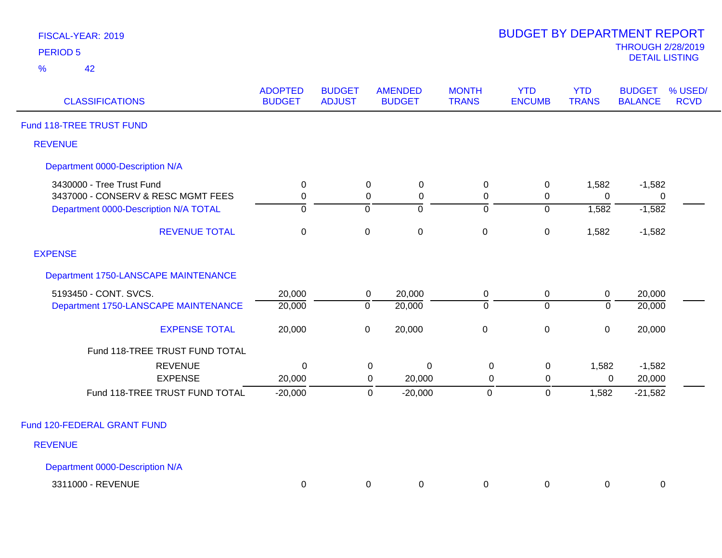| FISCAL-YEAR: 2019 |  |
|-------------------|--|
| <b>PERIOD 5</b>   |  |

| <b>CLASSIFICATIONS</b>                | <b>ADOPTED</b><br><b>BUDGET</b> | <b>BUDGET</b><br><b>ADJUST</b> | <b>AMENDED</b><br><b>BUDGET</b> | <b>MONTH</b><br><b>TRANS</b> | <b>YTD</b><br><b>ENCUMB</b> | <b>YTD</b><br><b>TRANS</b> | <b>BUDGET</b><br><b>BALANCE</b> | % USED/<br><b>RCVD</b> |
|---------------------------------------|---------------------------------|--------------------------------|---------------------------------|------------------------------|-----------------------------|----------------------------|---------------------------------|------------------------|
| Fund 118-TREE TRUST FUND              |                                 |                                |                                 |                              |                             |                            |                                 |                        |
| <b>REVENUE</b>                        |                                 |                                |                                 |                              |                             |                            |                                 |                        |
| Department 0000-Description N/A       |                                 |                                |                                 |                              |                             |                            |                                 |                        |
| 3430000 - Tree Trust Fund             | $\pmb{0}$                       | $\mathsf 0$                    | $\pmb{0}$                       | $\pmb{0}$                    | $\pmb{0}$                   | 1,582                      | $-1,582$                        |                        |
| 3437000 - CONSERV & RESC MGMT FEES    | $\mathbf 0$                     | $\mathbf 0$                    | $\pmb{0}$                       | $\mathbf 0$                  | $\mathbf 0$                 | 0                          | $\mathbf 0$                     |                        |
| Department 0000-Description N/A TOTAL | $\mathbf{0}$                    | $\overline{0}$                 | ō                               | $\overline{0}$               | $\overline{0}$              | 1,582                      | $-1,582$                        |                        |
| <b>REVENUE TOTAL</b>                  | $\mathbf 0$                     | $\pmb{0}$                      | $\mathbf 0$                     | $\mathbf 0$                  | $\pmb{0}$                   | 1,582                      | $-1,582$                        |                        |
| <b>EXPENSE</b>                        |                                 |                                |                                 |                              |                             |                            |                                 |                        |
| Department 1750-LANSCAPE MAINTENANCE  |                                 |                                |                                 |                              |                             |                            |                                 |                        |
| 5193450 - CONT. SVCS.                 | 20,000                          | $\mathbf 0$                    | 20,000                          | 0                            | $\mathbf 0$                 | $\pmb{0}$                  | 20,000                          |                        |
| Department 1750-LANSCAPE MAINTENANCE  | 20,000                          | $\overline{0}$                 | 20,000                          | $\mathbf 0$                  | $\overline{0}$              | $\Omega$                   | 20,000                          |                        |
| <b>EXPENSE TOTAL</b>                  | 20,000                          | $\pmb{0}$                      | 20,000                          | $\mathbf 0$                  | $\pmb{0}$                   | $\overline{0}$             | 20,000                          |                        |
| Fund 118-TREE TRUST FUND TOTAL        |                                 |                                |                                 |                              |                             |                            |                                 |                        |
| <b>REVENUE</b>                        | $\mathbf 0$                     |                                | $\pmb{0}$<br>$\mathbf 0$        | $\boldsymbol{0}$             | $\mathsf 0$                 | 1,582                      | $-1,582$                        |                        |
| <b>EXPENSE</b>                        | 20,000                          |                                | 20,000<br>0                     | $\mathbf 0$                  | $\mathbf 0$                 | 0                          | 20,000                          |                        |
| Fund 118-TREE TRUST FUND TOTAL        | $-20,000$                       |                                | $\mathbf 0$<br>$-20,000$        | $\pmb{0}$                    | $\mathsf 0$                 | 1,582                      | $-21,582$                       |                        |
| Fund 120-FEDERAL GRANT FUND           |                                 |                                |                                 |                              |                             |                            |                                 |                        |
| <b>REVENUE</b>                        |                                 |                                |                                 |                              |                             |                            |                                 |                        |
| Department 0000-Description N/A       |                                 |                                |                                 |                              |                             |                            |                                 |                        |
| 3311000 - REVENUE                     |                                 |                                | 0                               |                              |                             |                            |                                 |                        |
|                                       | 0                               | 0                              |                                 | 0                            | 0                           | 0                          | 0                               |                        |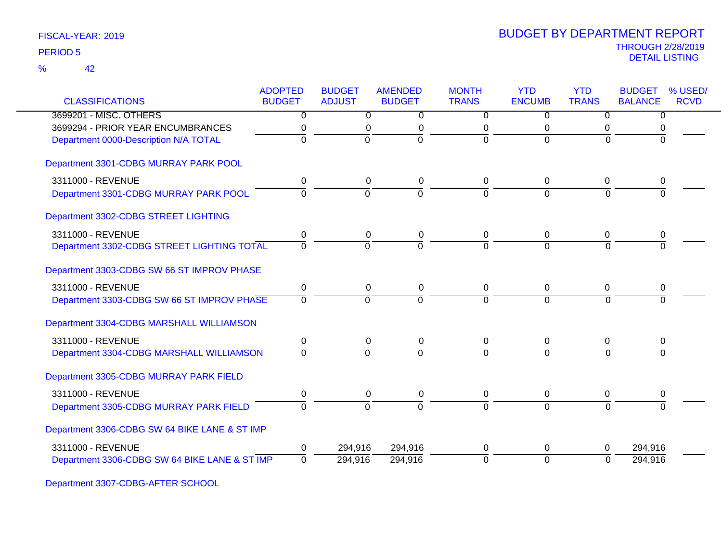42 %

| <b>CLASSIFICATIONS</b>                        | <b>ADOPTED</b><br><b>BUDGET</b> | <b>BUDGET</b><br><b>ADJUST</b> | <b>AMENDED</b><br><b>BUDGET</b> | <b>MONTH</b><br><b>TRANS</b> | <b>YTD</b><br><b>ENCUMB</b> | <b>YTD</b><br><b>TRANS</b> | <b>BUDGET</b><br><b>BALANCE</b> | % USED/<br><b>RCVD</b> |
|-----------------------------------------------|---------------------------------|--------------------------------|---------------------------------|------------------------------|-----------------------------|----------------------------|---------------------------------|------------------------|
| 3699201 - MISC. OTHERS                        | $\overline{0}$                  | $\overline{0}$                 | $\overline{0}$                  | $\overline{0}$               | $\overline{0}$              | $\overline{0}$             | $\overline{0}$                  |                        |
| 3699294 - PRIOR YEAR ENCUMBRANCES             | 0                               | 0                              | 0                               | 0                            | 0                           | 0                          | 0                               |                        |
| Department 0000-Description N/A TOTAL         | 0                               | $\Omega$                       | $\mathbf 0$                     | $\overline{0}$               | $\mathbf 0$                 | $\Omega$                   | 0                               |                        |
| Department 3301-CDBG MURRAY PARK POOL         |                                 |                                |                                 |                              |                             |                            |                                 |                        |
| 3311000 - REVENUE                             | 0                               | 0                              | 0                               | 0                            | $\mathbf 0$                 | 0                          | 0                               |                        |
| Department 3301-CDBG MURRAY PARK POOL         | $\Omega$                        | $\Omega$                       | $\overline{0}$                  | $\Omega$                     | $\Omega$                    | $\Omega$                   | $\Omega$                        |                        |
| Department 3302-CDBG STREET LIGHTING          |                                 |                                |                                 |                              |                             |                            |                                 |                        |
| 3311000 - REVENUE                             | 0                               | 0                              | 0                               | 0                            | 0                           | 0                          | 0                               |                        |
| Department 3302-CDBG STREET LIGHTING TOTAL    | $\Omega$                        | $\Omega$                       | $\Omega$                        | $\Omega$                     | $\Omega$                    | $\Omega$                   |                                 |                        |
| Department 3303-CDBG SW 66 ST IMPROV PHASE    |                                 |                                |                                 |                              |                             |                            |                                 |                        |
| 3311000 - REVENUE                             | 0                               | $\mathbf 0$                    | 0                               | $\pmb{0}$                    | $\pmb{0}$                   | 0                          | 0                               |                        |
| Department 3303-CDBG SW 66 ST IMPROV PHASE    | 0                               | $\Omega$                       | $\Omega$                        | $\Omega$                     | $\Omega$                    | $\Omega$                   |                                 |                        |
| Department 3304-CDBG MARSHALL WILLIAMSON      |                                 |                                |                                 |                              |                             |                            |                                 |                        |
| 3311000 - REVENUE                             | 0                               | 0                              | $\mathbf 0$                     | 0                            | 0                           | 0                          | 0                               |                        |
| Department 3304-CDBG MARSHALL WILLIAMSON      | $\Omega$                        | $\Omega$                       | $\Omega$                        | $\Omega$                     | $\mathbf{0}$                | $\Omega$                   |                                 |                        |
| Department 3305-CDBG MURRAY PARK FIELD        |                                 |                                |                                 |                              |                             |                            |                                 |                        |
| 3311000 - REVENUE                             | 0                               | 0                              | 0                               | $\mathbf 0$                  | 0                           | 0                          | 0                               |                        |
| Department 3305-CDBG MURRAY PARK FIELD        | $\overline{0}$                  | $\overline{0}$                 | $\overline{0}$                  | $\overline{0}$               | $\overline{0}$              | $\Omega$                   | $\Omega$                        |                        |
| Department 3306-CDBG SW 64 BIKE LANE & ST IMP |                                 |                                |                                 |                              |                             |                            |                                 |                        |
| 3311000 - REVENUE                             | 0                               | 294,916                        | 294,916                         | 0                            | 0                           | 0                          | 294,916                         |                        |
| Department 3306-CDBG SW 64 BIKE LANE & ST IMP | $\Omega$                        | 294,916                        | 294,916                         | $\Omega$                     | $\overline{0}$              | $\Omega$                   | 294,916                         |                        |

Department 3307-CDBG-AFTER SCHOOL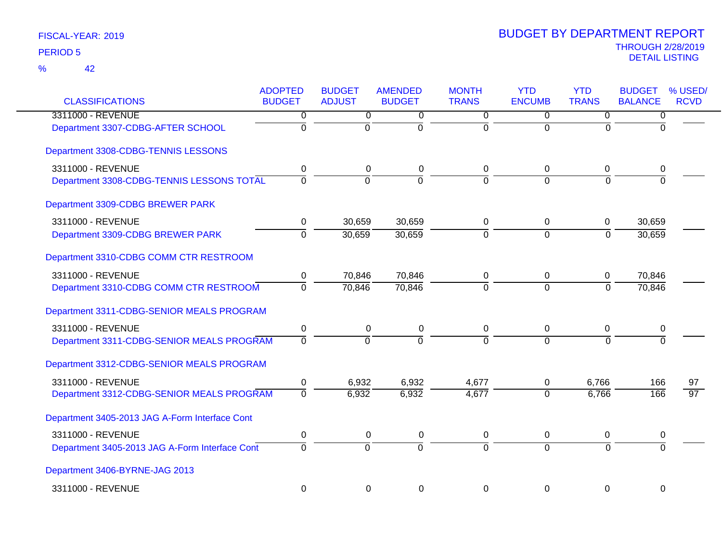| <b>CLASSIFICATIONS</b>                         | <b>ADOPTED</b><br><b>BUDGET</b> | <b>BUDGET</b><br><b>ADJUST</b> | <b>AMENDED</b><br><b>BUDGET</b> | <b>MONTH</b><br><b>TRANS</b> | <b>YTD</b><br><b>ENCUMB</b> | <b>YTD</b><br><b>TRANS</b> | <b>BUDGET</b><br><b>BALANCE</b> | % USED/<br><b>RCVD</b> |
|------------------------------------------------|---------------------------------|--------------------------------|---------------------------------|------------------------------|-----------------------------|----------------------------|---------------------------------|------------------------|
| 3311000 - REVENUE                              | 0                               | 0                              | 0                               | 0                            | 0                           | 0                          | $\overline{0}$                  |                        |
| Department 3307-CDBG-AFTER SCHOOL              | $\overline{0}$                  | $\mathbf 0$                    | $\overline{0}$                  | $\overline{0}$               | $\overline{0}$              | $\Omega$                   | $\Omega$                        |                        |
| Department 3308-CDBG-TENNIS LESSONS            |                                 |                                |                                 |                              |                             |                            |                                 |                        |
| 3311000 - REVENUE                              | 0                               | 0                              | 0                               | 0                            | 0                           | 0                          | 0                               |                        |
| Department 3308-CDBG-TENNIS LESSONS TOTAL      | $\overline{0}$                  | ō                              | ō                               | $\overline{0}$               | $\overline{0}$              | $\Omega$                   | $\overline{0}$                  |                        |
| Department 3309-CDBG BREWER PARK               |                                 |                                |                                 |                              |                             |                            |                                 |                        |
| 3311000 - REVENUE                              | 0                               | 30,659                         | 30,659                          | 0                            | $\mathbf 0$                 | 0                          | 30,659                          |                        |
| Department 3309-CDBG BREWER PARK               | $\overline{0}$                  | 30,659                         | 30,659                          | ō                            | $\overline{0}$              | $\overline{0}$             | 30,659                          |                        |
| Department 3310-CDBG COMM CTR RESTROOM         |                                 |                                |                                 |                              |                             |                            |                                 |                        |
| 3311000 - REVENUE                              | 0                               | 70,846                         | 70,846                          | 0                            | 0                           | 0                          | 70,846                          |                        |
| Department 3310-CDBG COMM CTR RESTROOM         | $\overline{0}$                  | 70,846                         | 70,846                          | $\overline{0}$               | $\overline{0}$              | $\overline{0}$             | 70,846                          |                        |
| Department 3311-CDBG-SENIOR MEALS PROGRAM      |                                 |                                |                                 |                              |                             |                            |                                 |                        |
| 3311000 - REVENUE                              | $\pmb{0}$                       | $\pmb{0}$                      | 0                               | $\pmb{0}$                    | $\pmb{0}$                   | $\mathbf 0$                | 0                               |                        |
| Department 3311-CDBG-SENIOR MEALS PROGRAM      | $\overline{0}$                  | $\overline{0}$                 | $\overline{0}$                  | $\overline{0}$               | $\overline{0}$              | $\Omega$                   | $\Omega$                        |                        |
| Department 3312-CDBG-SENIOR MEALS PROGRAM      |                                 |                                |                                 |                              |                             |                            |                                 |                        |
| 3311000 - REVENUE                              | 0                               | 6,932                          | 6,932                           | 4,677                        | $\mathbf 0$                 | 6,766                      | 166                             | 97                     |
| Department 3312-CDBG-SENIOR MEALS PROGRAM      | 0                               | 6,932                          | 6,932                           | 4,677                        | $\Omega$                    | 6,766                      | 166                             | $\overline{97}$        |
| Department 3405-2013 JAG A-Form Interface Cont |                                 |                                |                                 |                              |                             |                            |                                 |                        |
| 3311000 - REVENUE                              | 0                               | 0                              | 0                               | 0                            | $\mathbf 0$                 | 0                          | 0                               |                        |
| Department 3405-2013 JAG A-Form Interface Cont | $\overline{0}$                  | $\overline{0}$                 | $\overline{0}$                  | $\overline{0}$               | $\overline{0}$              | $\overline{0}$             | $\overline{0}$                  |                        |
| Department 3406-BYRNE-JAG 2013                 |                                 |                                |                                 |                              |                             |                            |                                 |                        |
| 3311000 - REVENUE                              | $\mathbf 0$                     | $\mathbf 0$                    | $\mathbf 0$                     | 0                            | $\mathbf 0$                 | $\mathbf 0$                | $\mathbf 0$                     |                        |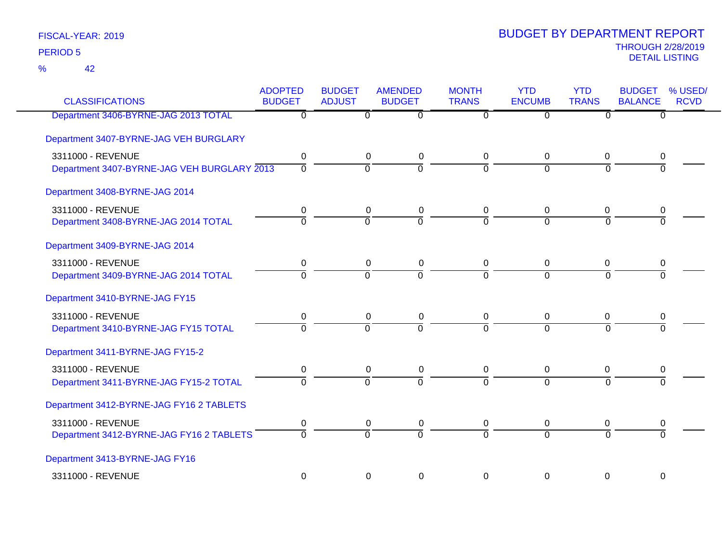42 %

| <b>CLASSIFICATIONS</b>                      | <b>ADOPTED</b><br><b>BUDGET</b> | <b>BUDGET</b><br><b>ADJUST</b> | <b>AMENDED</b><br><b>BUDGET</b> | <b>MONTH</b><br><b>TRANS</b> | <b>YTD</b><br><b>ENCUMB</b> | <b>YTD</b><br><b>TRANS</b> | <b>BUDGET</b><br><b>BALANCE</b> | % USED/<br><b>RCVD</b> |
|---------------------------------------------|---------------------------------|--------------------------------|---------------------------------|------------------------------|-----------------------------|----------------------------|---------------------------------|------------------------|
| Department 3406-BYRNE-JAG 2013 TOTAL        | $\overline{0}$                  | 0                              | $\overline{0}$                  | $\Omega$                     | $\Omega$                    | $\overline{0}$             | 0                               |                        |
| Department 3407-BYRNE-JAG VEH BURGLARY      |                                 |                                |                                 |                              |                             |                            |                                 |                        |
| 3311000 - REVENUE                           | 0                               | $\mathbf 0$                    | $\mathbf 0$                     | 0                            | 0                           | 0                          | 0                               |                        |
| Department 3407-BYRNE-JAG VEH BURGLARY 2013 | $\overline{0}$                  | $\overline{0}$                 | ō                               | $\overline{0}$               | $\overline{0}$              | $\overline{0}$             | $\overline{0}$                  |                        |
| Department 3408-BYRNE-JAG 2014              |                                 |                                |                                 |                              |                             |                            |                                 |                        |
| 3311000 - REVENUE                           | 0                               | $\mathbf 0$                    | $\pmb{0}$                       | $\mathbf 0$                  | 0                           | 0                          | 0                               |                        |
| Department 3408-BYRNE-JAG 2014 TOTAL        | $\overline{0}$                  | $\overline{0}$                 | ō                               | $\overline{0}$               | $\overline{0}$              | $\Omega$                   | ō                               |                        |
| Department 3409-BYRNE-JAG 2014              |                                 |                                |                                 |                              |                             |                            |                                 |                        |
| 3311000 - REVENUE                           | 0                               | $\pmb{0}$                      | $\pmb{0}$                       | $\mathbf 0$                  | 0                           | 0                          | 0                               |                        |
| Department 3409-BYRNE-JAG 2014 TOTAL        | $\overline{0}$                  | $\overline{0}$                 | ō                               | $\overline{0}$               | $\overline{0}$              | $\overline{0}$             | $\overline{0}$                  |                        |
| Department 3410-BYRNE-JAG FY15              |                                 |                                |                                 |                              |                             |                            |                                 |                        |
| 3311000 - REVENUE                           | 0                               | 0                              | 0                               | $\mathbf 0$                  | 0                           | 0                          | 0                               |                        |
| Department 3410-BYRNE-JAG FY15 TOTAL        | $\overline{0}$                  | $\overline{0}$                 | $\overline{0}$                  | $\Omega$                     | $\Omega$                    | $\Omega$                   | $\overline{0}$                  |                        |
| Department 3411-BYRNE-JAG FY15-2            |                                 |                                |                                 |                              |                             |                            |                                 |                        |
| 3311000 - REVENUE                           | 0                               | $\pmb{0}$                      | $\pmb{0}$                       | 0                            | 0                           | 0                          | 0                               |                        |
| Department 3411-BYRNE-JAG FY15-2 TOTAL      | $\overline{0}$                  | $\overline{0}$                 | ō                               | $\overline{0}$               | $\overline{0}$              | $\overline{0}$             | $\overline{0}$                  |                        |
| Department 3412-BYRNE-JAG FY16 2 TABLETS    |                                 |                                |                                 |                              |                             |                            |                                 |                        |
| 3311000 - REVENUE                           | 0                               | 0                              | 0                               | 0                            | 0                           | 0                          | 0                               |                        |
| Department 3412-BYRNE-JAG FY16 2 TABLETS    | $\overline{0}$                  | $\overline{0}$                 | $\overline{0}$                  | $\overline{0}$               | $\overline{0}$              | $\overline{0}$             | $\overline{0}$                  |                        |
| Department 3413-BYRNE-JAG FY16              |                                 |                                |                                 |                              |                             |                            |                                 |                        |
| 3311000 - REVENUE                           | 0                               | 0                              | $\pmb{0}$                       | 0                            | 0                           | 0                          | $\pmb{0}$                       |                        |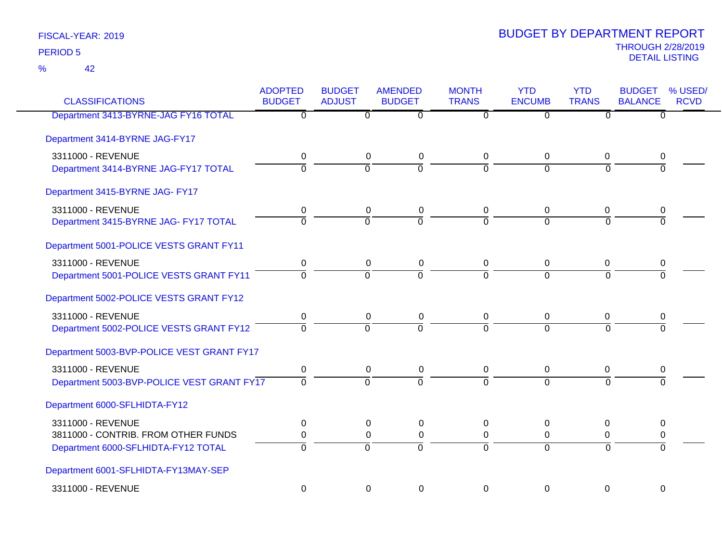42 %

| <b>CLASSIFICATIONS</b>                     | <b>ADOPTED</b><br><b>BUDGET</b> | <b>BUDGET</b><br><b>ADJUST</b> | <b>AMENDED</b><br><b>BUDGET</b> | <b>MONTH</b><br><b>TRANS</b> | <b>YTD</b><br><b>ENCUMB</b> | <b>YTD</b><br><b>TRANS</b> | <b>BUDGET</b><br>% USED/<br><b>BALANCE</b><br><b>RCVD</b> |
|--------------------------------------------|---------------------------------|--------------------------------|---------------------------------|------------------------------|-----------------------------|----------------------------|-----------------------------------------------------------|
| Department 3413-BYRNE-JAG FY16 TOTAL       | $\overline{\mathfrak{o}}$       | $\overline{0}$                 | $\overline{0}$                  | $\overline{0}$               | $\overline{0}$              | $\overline{0}$             | $\overline{0}$                                            |
| Department 3414-BYRNE JAG-FY17             |                                 |                                |                                 |                              |                             |                            |                                                           |
| 3311000 - REVENUE                          | 0                               | 0                              | $\pmb{0}$                       | 0                            | $\mathbf 0$                 | $\mathbf{0}$               | 0                                                         |
| Department 3414-BYRNE JAG-FY17 TOTAL       | $\Omega$                        | $\overline{0}$                 | $\Omega$                        | $\Omega$                     | $\Omega$                    | $\Omega$                   | $\Omega$                                                  |
| Department 3415-BYRNE JAG- FY17            |                                 |                                |                                 |                              |                             |                            |                                                           |
| 3311000 - REVENUE                          | 0                               | 0                              | $\pmb{0}$                       | 0                            | $\mathbf 0$                 | $\mathbf 0$                | 0                                                         |
| Department 3415-BYRNE JAG- FY17 TOTAL      | $\overline{0}$                  | ō                              | $\overline{0}$                  | $\overline{0}$               | $\overline{0}$              | $\Omega$                   | $\Omega$                                                  |
| Department 5001-POLICE VESTS GRANT FY11    |                                 |                                |                                 |                              |                             |                            |                                                           |
| 3311000 - REVENUE                          | $\mathbf 0$                     | $\mathbf 0$                    | 0                               | 0                            | $\mathbf 0$                 | $\mathbf 0$                | 0                                                         |
| Department 5001-POLICE VESTS GRANT FY11    | $\overline{0}$                  | $\overline{0}$                 | $\overline{0}$                  | $\overline{0}$               | $\Omega$                    | $\Omega$                   | $\Omega$                                                  |
| Department 5002-POLICE VESTS GRANT FY12    |                                 |                                |                                 |                              |                             |                            |                                                           |
| 3311000 - REVENUE                          | 0                               | 0                              | 0                               | 0                            | 0                           | 0                          | 0                                                         |
| Department 5002-POLICE VESTS GRANT FY12    | $\overline{0}$                  | $\overline{0}$                 | $\overline{0}$                  | 7                            | $\overline{0}$              | $\overline{0}$             | $\overline{0}$                                            |
| Department 5003-BVP-POLICE VEST GRANT FY17 |                                 |                                |                                 |                              |                             |                            |                                                           |
| 3311000 - REVENUE                          | $\mathbf 0$                     | $\pmb{0}$                      | $\pmb{0}$                       | 0                            | $\mathbf 0$                 | $\mathbf 0$                | 0                                                         |
| Department 5003-BVP-POLICE VEST GRANT FY17 | $\overline{0}$                  | $\overline{0}$                 | $\overline{0}$                  | $\Omega$                     | $\overline{0}$              | $\Omega$                   | $\Omega$                                                  |
| Department 6000-SFLHIDTA-FY12              |                                 |                                |                                 |                              |                             |                            |                                                           |
| 3311000 - REVENUE                          | 0                               | 0                              | 0                               | 0                            | $\mathbf 0$                 | $\mathbf 0$                | 0                                                         |
| 3811000 - CONTRIB. FROM OTHER FUNDS        | 0                               | 0                              | $\pmb{0}$                       | $\mathbf 0$                  | $\mathbf{0}$                | 0                          | 0                                                         |
| Department 6000-SFLHIDTA-FY12 TOTAL        | $\mathbf 0$                     | $\overline{0}$                 | $\Omega$                        | 0                            | $\overline{0}$              | $\Omega$                   | $\Omega$                                                  |
| Department 6001-SFLHIDTA-FY13MAY-SEP       |                                 |                                |                                 |                              |                             |                            |                                                           |
| 3311000 - REVENUE                          | $\mathbf 0$                     | $\mathbf 0$                    | $\Omega$                        | $\Omega$                     | $\mathbf 0$                 | $\mathbf 0$                | $\mathbf 0$                                               |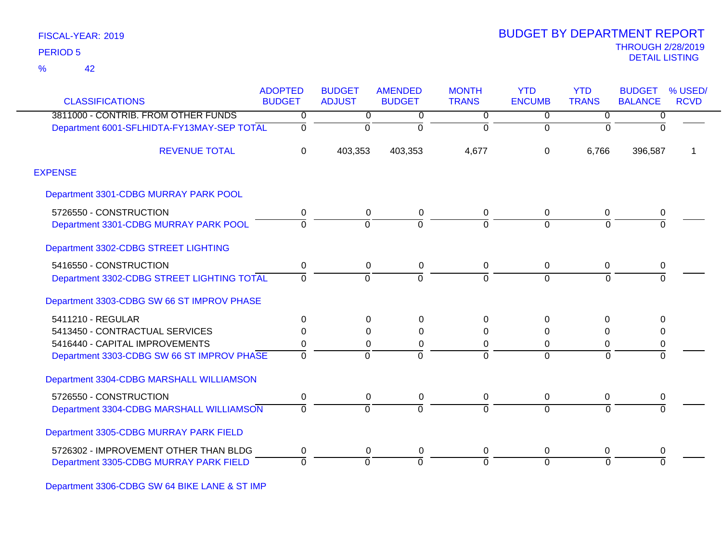42 %

|                                            | <b>ADOPTED</b> | <b>BUDGET</b>  | <b>AMENDED</b> | <b>MONTH</b>   | <b>YTD</b>     | <b>YTD</b>     | <b>BUDGET</b>  | % USED/     |
|--------------------------------------------|----------------|----------------|----------------|----------------|----------------|----------------|----------------|-------------|
| <b>CLASSIFICATIONS</b>                     | <b>BUDGET</b>  | <b>ADJUST</b>  | <b>BUDGET</b>  | <b>TRANS</b>   | <b>ENCUMB</b>  | <b>TRANS</b>   | <b>BALANCE</b> | <b>RCVD</b> |
| 3811000 - CONTRIB. FROM OTHER FUNDS        | 0              | $\overline{0}$ | 0              | $\overline{0}$ | $\overline{0}$ | $\overline{0}$ | 0              |             |
| Department 6001-SFLHIDTA-FY13MAY-SEP TOTAL | 0              | 0              | $\Omega$       | $\overline{0}$ | $\Omega$       | $\Omega$       | $\Omega$       |             |
| <b>REVENUE TOTAL</b>                       | $\mathbf 0$    | 403,353        | 403,353        | 4,677          | $\Omega$       | 6,766          | 396,587        |             |
| <b>EXPENSE</b>                             |                |                |                |                |                |                |                |             |
| Department 3301-CDBG MURRAY PARK POOL      |                |                |                |                |                |                |                |             |
| 5726550 - CONSTRUCTION                     | 0              | 0              | 0              | 0              | $\mathbf 0$    | 0              | 0              |             |
| Department 3301-CDBG MURRAY PARK POOL      | 0              | $\Omega$       | $\Omega$       | $\Omega$       | $\Omega$       | $\Omega$       | $\Omega$       |             |
| Department 3302-CDBG STREET LIGHTING       |                |                |                |                |                |                |                |             |
| 5416550 - CONSTRUCTION                     | 0              | 0              | 0              | 0              | $\mathbf 0$    | $\mathbf 0$    | 0              |             |
| Department 3302-CDBG STREET LIGHTING TOTAL | 0              | $\Omega$       | $\Omega$       | $\Omega$       | $\Omega$       | $\Omega$       |                |             |
| Department 3303-CDBG SW 66 ST IMPROV PHASE |                |                |                |                |                |                |                |             |
| 5411210 - REGULAR                          | $\mathbf 0$    | 0              | $\Omega$       | $\mathbf 0$    | $\Omega$       | $\Omega$       | $\Omega$       |             |
| 5413450 - CONTRACTUAL SERVICES             | 0              | $\Omega$       | $\Omega$       | 0              | $\Omega$       | 0              | 0              |             |
| 5416440 - CAPITAL IMPROVEMENTS             | 0              | 0              | 0              | 0              | 0              | 0              | 0              |             |
| Department 3303-CDBG SW 66 ST IMPROV PHASE | $\overline{0}$ | $\Omega$       | $\Omega$       | ō              | $\Omega$       | ō              | ō              |             |
| Department 3304-CDBG MARSHALL WILLIAMSON   |                |                |                |                |                |                |                |             |
| 5726550 - CONSTRUCTION                     | 0              | 0              | 0              | 0              | 0              | 0              | 0              |             |
| Department 3304-CDBG MARSHALL WILLIAMSON   | 0              | $\Omega$       | $\Omega$       | 0              | $\Omega$       | $\overline{0}$ | $\overline{0}$ |             |
| Department 3305-CDBG MURRAY PARK FIELD     |                |                |                |                |                |                |                |             |
| 5726302 - IMPROVEMENT OTHER THAN BLDG      | 0              | 0              | 0              | 0              | 0              | 0              | 0              |             |
| Department 3305-CDBG MURRAY PARK FIELD     | 0              | $\Omega$       | O              | 0              | $\Omega$       | $\Omega$       | $\Omega$       |             |

Department 3306-CDBG SW 64 BIKE LANE & ST IMP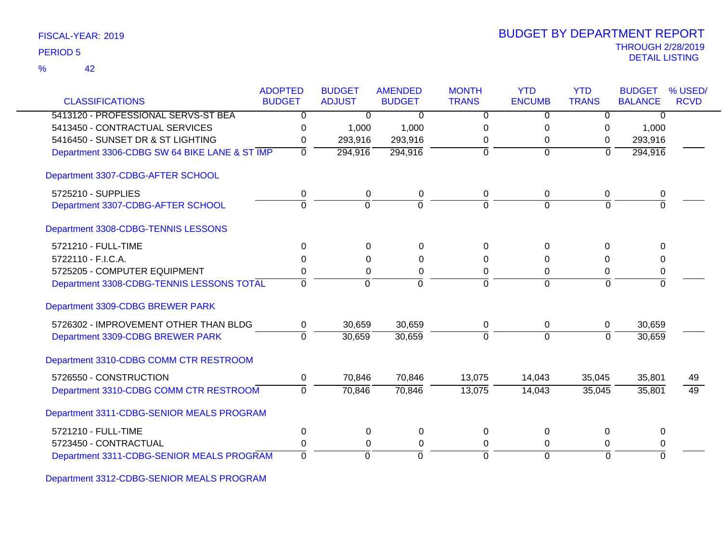| FISCAL-YEAR: 2019 |  |
|-------------------|--|
|                   |  |

42 %

| <b>CLASSIFICATIONS</b>                        | <b>ADOPTED</b><br><b>BUDGET</b> | <b>BUDGET</b><br><b>ADJUST</b> | <b>AMENDED</b><br><b>BUDGET</b> | <b>MONTH</b><br><b>TRANS</b> | <b>YTD</b><br><b>ENCUMB</b> | <b>YTD</b><br><b>TRANS</b> | <b>BUDGET</b><br><b>BALANCE</b> | % USED/<br><b>RCVD</b> |
|-----------------------------------------------|---------------------------------|--------------------------------|---------------------------------|------------------------------|-----------------------------|----------------------------|---------------------------------|------------------------|
|                                               |                                 |                                |                                 |                              |                             |                            |                                 |                        |
| 5413120 - PROFESSIONAL SERVS-ST BEA           | 0                               | 0                              | 0                               | 0                            | $\Omega$                    | 0                          | 0                               |                        |
| 5413450 - CONTRACTUAL SERVICES                | 0                               | 1,000                          | 1,000                           | 0                            | 0                           | 0                          | 1,000                           |                        |
| 5416450 - SUNSET DR & ST LIGHTING             | 0                               | 293,916                        | 293,916                         | 0                            | 0                           | 0                          | 293,916                         |                        |
| Department 3306-CDBG SW 64 BIKE LANE & ST IMP | $\overline{0}$                  | 294,916                        | 294,916                         | $\mathbf 0$                  | $\overline{0}$              | $\overline{0}$             | 294,916                         |                        |
| Department 3307-CDBG-AFTER SCHOOL             |                                 |                                |                                 |                              |                             |                            |                                 |                        |
| 5725210 - SUPPLIES                            | 0                               | $\mathbf 0$                    | 0                               | 0                            | 0                           | 0                          | 0                               |                        |
| Department 3307-CDBG-AFTER SCHOOL             | $\mathbf 0$                     | $\overline{0}$                 | $\Omega$                        | $\Omega$                     | $\Omega$                    | $\Omega$                   | $\Omega$                        |                        |
| Department 3308-CDBG-TENNIS LESSONS           |                                 |                                |                                 |                              |                             |                            |                                 |                        |
| 5721210 - FULL-TIME                           | 0                               | $\Omega$                       | 0                               | 0                            | $\Omega$                    | $\Omega$                   | $\Omega$                        |                        |
| 5722110 - F.I.C.A.                            | 0                               | 0                              | 0                               | 0                            | 0                           | 0                          | 0                               |                        |
| 5725205 - COMPUTER EQUIPMENT                  | 0                               | 0                              | 0                               | $\Omega$                     | 0                           | 0                          | 0                               |                        |
| Department 3308-CDBG-TENNIS LESSONS TOTAL     | $\Omega$                        | $\Omega$                       | $\Omega$                        | $\Omega$                     | $\Omega$                    | $\Omega$                   | $\overline{0}$                  |                        |
| Department 3309-CDBG BREWER PARK              |                                 |                                |                                 |                              |                             |                            |                                 |                        |
| 5726302 - IMPROVEMENT OTHER THAN BLDG         | 0                               | 30,659                         | 30,659                          | 0                            | 0                           | 0                          | 30,659                          |                        |
| Department 3309-CDBG BREWER PARK              | $\Omega$                        | 30,659                         | 30,659                          | $\mathbf 0$                  | $\mathbf 0$                 | $\Omega$                   | 30,659                          |                        |
| Department 3310-CDBG COMM CTR RESTROOM        |                                 |                                |                                 |                              |                             |                            |                                 |                        |
| 5726550 - CONSTRUCTION                        | 0                               | 70,846                         | 70,846                          | 13,075                       | 14,043                      | 35,045                     | 35,801                          | 49                     |
| Department 3310-CDBG COMM CTR RESTROOM        | $\Omega$                        | 70,846                         | 70,846                          | 13,075                       | 14,043                      | 35,045                     | 35,801                          | 49                     |
| Department 3311-CDBG-SENIOR MEALS PROGRAM     |                                 |                                |                                 |                              |                             |                            |                                 |                        |
| 5721210 - FULL-TIME                           | 0                               | $\mathbf 0$                    | 0                               | $\mathbf 0$                  | 0                           | 0                          | 0                               |                        |
| 5723450 - CONTRACTUAL                         | 0                               | 0                              | 0                               | 0                            | 0                           | 0                          | 0                               |                        |
| Department 3311-CDBG-SENIOR MEALS PROGRAM     | $\Omega$                        | $\Omega$                       | $\Omega$                        | $\Omega$                     | $\Omega$                    | $\Omega$                   | $\Omega$                        |                        |

Department 3312-CDBG-SENIOR MEALS PROGRAM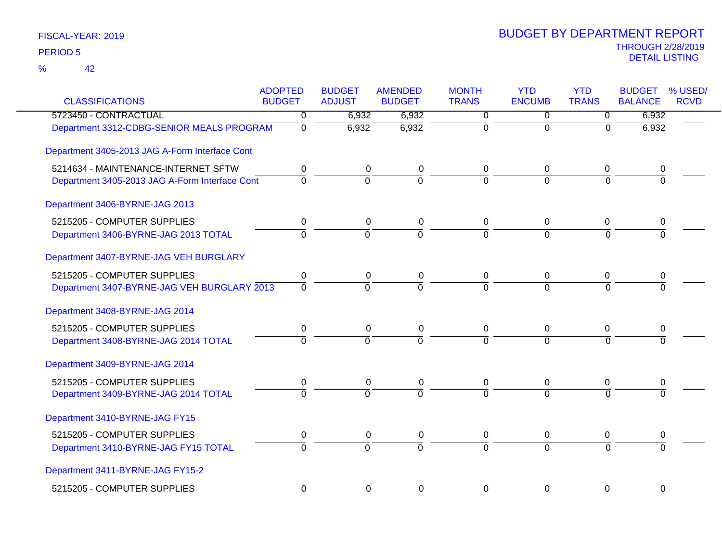| <b>CLASSIFICATIONS</b>                         | <b>ADOPTED</b><br><b>BUDGET</b> | <b>BUDGET</b><br><b>ADJUST</b> | <b>AMENDED</b><br><b>BUDGET</b> | <b>MONTH</b><br><b>TRANS</b> | <b>YTD</b><br><b>ENCUMB</b> | <b>YTD</b><br><b>TRANS</b> | <b>BUDGET</b><br><b>BALANCE</b> | % USED/<br><b>RCVD</b> |
|------------------------------------------------|---------------------------------|--------------------------------|---------------------------------|------------------------------|-----------------------------|----------------------------|---------------------------------|------------------------|
| 5723450 - CONTRACTUAL                          | 0                               | 6,932                          | 6,932                           | $\overline{0}$               | $\mathbf 0$                 | $\overline{0}$             | 6,932                           |                        |
| Department 3312-CDBG-SENIOR MEALS PROGRAM      | $\overline{0}$                  | 6,932                          | 6,932                           | $\overline{0}$               | $\overline{0}$              | $\overline{0}$             | 6,932                           |                        |
| Department 3405-2013 JAG A-Form Interface Cont |                                 |                                |                                 |                              |                             |                            |                                 |                        |
| 5214634 - MAINTENANCE-INTERNET SFTW            | 0                               | 0                              | 0                               | 0                            | 0                           | 0                          | 0                               |                        |
| Department 3405-2013 JAG A-Form Interface Cont | $\overline{0}$                  | $\Omega$                       | $\overline{0}$                  | $\overline{0}$               | $\Omega$                    | $\Omega$                   | $\overline{0}$                  |                        |
| Department 3406-BYRNE-JAG 2013                 |                                 |                                |                                 |                              |                             |                            |                                 |                        |
| 5215205 - COMPUTER SUPPLIES                    | 0                               | 0                              | $\pmb{0}$                       | $\mathbf 0$                  | 0                           | 0                          | 0                               |                        |
| Department 3406-BYRNE-JAG 2013 TOTAL           | $\overline{0}$                  | $\overline{0}$                 | $\overline{0}$                  | $\overline{0}$               | $\overline{0}$              | $\Omega$                   | $\overline{0}$                  |                        |
| Department 3407-BYRNE-JAG VEH BURGLARY         |                                 |                                |                                 |                              |                             |                            |                                 |                        |
| 5215205 - COMPUTER SUPPLIES                    | 0                               | $\mathbf 0$                    | $\pmb{0}$                       | 0                            | $\boldsymbol{0}$            | $\mathbf 0$                | 0                               |                        |
| Department 3407-BYRNE-JAG VEH BURGLARY 2013    | $\Omega$                        | $\Omega$                       | $\Omega$                        | $\Omega$                     | $\overline{0}$              | $\Omega$                   | $\Omega$                        |                        |
| Department 3408-BYRNE-JAG 2014                 |                                 |                                |                                 |                              |                             |                            |                                 |                        |
| 5215205 - COMPUTER SUPPLIES                    | 0                               | 0                              | $\pmb{0}$                       | 0                            | 0                           | 0                          | 0                               |                        |
| Department 3408-BYRNE-JAG 2014 TOTAL           | $\Omega$                        | $\Omega$                       | $\overline{0}$                  | $\Omega$                     | $\overline{0}$              | $\Omega$                   | $\Omega$                        |                        |
| Department 3409-BYRNE-JAG 2014                 |                                 |                                |                                 |                              |                             |                            |                                 |                        |
| 5215205 - COMPUTER SUPPLIES                    | 0                               | 0                              | $\pmb{0}$                       | 0                            | 0                           | 0                          | 0                               |                        |
| Department 3409-BYRNE-JAG 2014 TOTAL           | $\Omega$                        | $\Omega$                       | $\overline{0}$                  | $\overline{0}$               | $\overline{0}$              | $\Omega$                   | $\Omega$                        |                        |
| Department 3410-BYRNE-JAG FY15                 |                                 |                                |                                 |                              |                             |                            |                                 |                        |
| 5215205 - COMPUTER SUPPLIES                    | 0                               | $\mathbf 0$                    | $\pmb{0}$                       | $\mathbf 0$                  | $\mathbf 0$                 | 0                          | 0                               |                        |
| Department 3410-BYRNE-JAG FY15 TOTAL           | $\overline{0}$                  | $\overline{0}$                 | $\overline{0}$                  | $\overline{0}$               | $\Omega$                    | $\Omega$                   | $\overline{0}$                  |                        |
| Department 3411-BYRNE-JAG FY15-2               |                                 |                                |                                 |                              |                             |                            |                                 |                        |
| 5215205 - COMPUTER SUPPLIES                    | $\mathbf 0$                     | 0                              | $\mathbf 0$                     | $\mathbf 0$                  | $\mathbf 0$                 | $\mathbf 0$                | 0                               |                        |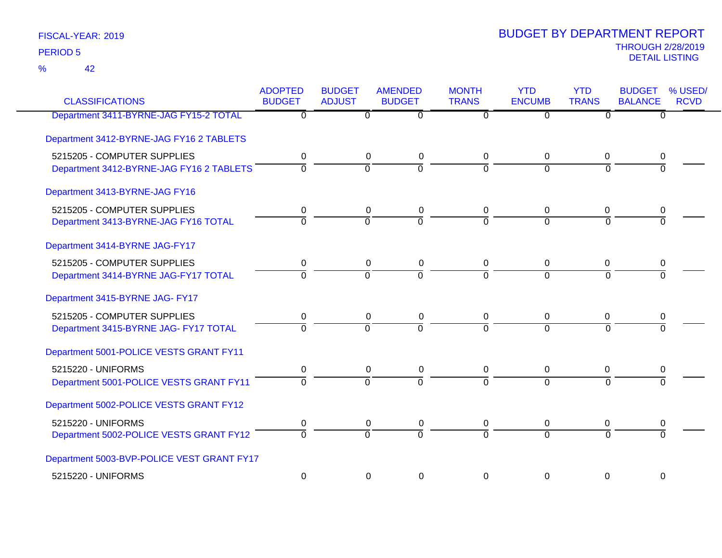42 %

| <b>CLASSIFICATIONS</b>                     | <b>ADOPTED</b><br><b>BUDGET</b> | <b>BUDGET</b><br><b>ADJUST</b> | <b>AMENDED</b><br><b>BUDGET</b> | <b>MONTH</b><br><b>TRANS</b> | <b>YTD</b><br><b>ENCUMB</b> | <b>YTD</b><br><b>TRANS</b> | <b>BUDGET</b><br><b>BALANCE</b> | % USED/<br><b>RCVD</b> |
|--------------------------------------------|---------------------------------|--------------------------------|---------------------------------|------------------------------|-----------------------------|----------------------------|---------------------------------|------------------------|
| Department 3411-BYRNE-JAG FY15-2 TOTAL     | $\mathbf 0$                     | $\overline{0}$                 | $\overline{0}$                  | $\overline{0}$               | $\overline{0}$              | $\overline{0}$             | $\overline{0}$                  |                        |
| Department 3412-BYRNE-JAG FY16 2 TABLETS   |                                 |                                |                                 |                              |                             |                            |                                 |                        |
| 5215205 - COMPUTER SUPPLIES                | 0                               | $\mathbf 0$                    | $\pmb{0}$                       | 0                            | 0                           | 0                          | 0                               |                        |
| Department 3412-BYRNE-JAG FY16 2 TABLETS   | $\Omega$                        | $\Omega$                       | $\Omega$                        | $\Omega$                     | $\Omega$                    | $\Omega$                   | $\Omega$                        |                        |
| Department 3413-BYRNE-JAG FY16             |                                 |                                |                                 |                              |                             |                            |                                 |                        |
| 5215205 - COMPUTER SUPPLIES                | 0                               | 0                              | 0                               | 0                            | 0                           | 0                          | 0                               |                        |
| Department 3413-BYRNE-JAG FY16 TOTAL       | $\overline{0}$                  | $\overline{0}$                 | $\overline{\mathfrak{o}}$       | $\Omega$                     | $\overline{0}$              | $\Omega$                   | $\overline{0}$                  |                        |
| Department 3414-BYRNE JAG-FY17             |                                 |                                |                                 |                              |                             |                            |                                 |                        |
| 5215205 - COMPUTER SUPPLIES                | 0                               | 0                              | $\pmb{0}$                       | 0                            | 0                           | 0                          | 0                               |                        |
| Department 3414-BYRNE JAG-FY17 TOTAL       | $\mathbf 0$                     | $\overline{0}$                 | $\overline{0}$                  | $\overline{0}$               | $\Omega$                    | $\overline{0}$             | $\Omega$                        |                        |
| Department 3415-BYRNE JAG- FY17            |                                 |                                |                                 |                              |                             |                            |                                 |                        |
| 5215205 - COMPUTER SUPPLIES                | 0                               | 0                              | 0                               | 0                            | 0                           | 0                          | 0                               |                        |
| Department 3415-BYRNE JAG- FY17 TOTAL      | $\overline{\mathfrak{o}}$       | $\overline{0}$                 | $\overline{0}$                  | $\overline{0}$               | $\overline{0}$              | $\Omega$                   | $\overline{0}$                  |                        |
| Department 5001-POLICE VESTS GRANT FY11    |                                 |                                |                                 |                              |                             |                            |                                 |                        |
| 5215220 - UNIFORMS                         | 0                               | 0                              | 0                               | 0                            | 0                           | 0                          | 0                               |                        |
| Department 5001-POLICE VESTS GRANT FY11    | $\overline{0}$                  | $\overline{0}$                 | $\Omega$                        | $\Omega$                     | $\Omega$                    | $\Omega$                   | $\Omega$                        |                        |
| Department 5002-POLICE VESTS GRANT FY12    |                                 |                                |                                 |                              |                             |                            |                                 |                        |
| 5215220 - UNIFORMS                         | 0                               | 0                              | 0                               | 0                            | 0                           | 0                          | 0                               |                        |
| Department 5002-POLICE VESTS GRANT FY12    | $\Omega$                        | $\Omega$                       | $\overline{0}$                  | $\overline{0}$               | $\overline{0}$              | $\Omega$                   | $\overline{0}$                  |                        |
| Department 5003-BVP-POLICE VEST GRANT FY17 |                                 |                                |                                 |                              |                             |                            |                                 |                        |
| 5215220 - UNIFORMS                         | $\boldsymbol{0}$                | 0                              | $\mathbf 0$                     | $\Omega$                     | $\Omega$                    | $\Omega$                   | $\mathbf 0$                     |                        |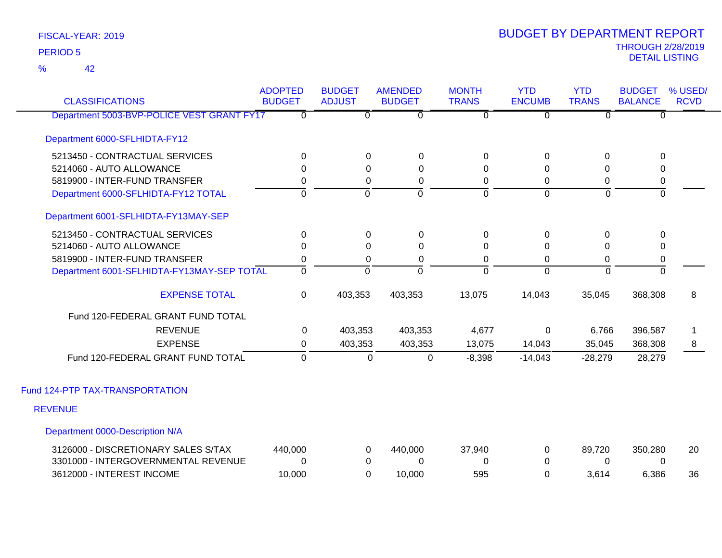42 %

| <b>CLASSIFICATIONS</b>                     | <b>ADOPTED</b><br><b>BUDGET</b> | <b>BUDGET</b><br><b>ADJUST</b> | <b>AMENDED</b><br><b>BUDGET</b> | <b>MONTH</b><br><b>TRANS</b> | <b>YTD</b><br><b>ENCUMB</b> | <b>YTD</b><br><b>TRANS</b> | <b>BUDGET</b><br><b>BALANCE</b> | % USED/<br><b>RCVD</b> |
|--------------------------------------------|---------------------------------|--------------------------------|---------------------------------|------------------------------|-----------------------------|----------------------------|---------------------------------|------------------------|
| Department 5003-BVP-POLICE VEST GRANT FY17 | $\Omega$                        | 0                              | 0                               | $\overline{0}$               | $\overline{0}$              | $\Omega$                   | $\Omega$                        |                        |
| Department 6000-SFLHIDTA-FY12              |                                 |                                |                                 |                              |                             |                            |                                 |                        |
| 5213450 - CONTRACTUAL SERVICES             | $\Omega$                        | 0                              | $\mathbf 0$                     | 0                            | 0                           | $\Omega$                   | 0                               |                        |
| 5214060 - AUTO ALLOWANCE                   | $\Omega$                        | $\Omega$                       | $\Omega$                        | $\Omega$                     | $\Omega$                    | <sup>0</sup>               | $\Omega$                        |                        |
| 5819900 - INTER-FUND TRANSFER              | 0                               | 0                              | 0                               | 0                            | 0                           | 0                          | 0                               |                        |
| Department 6000-SFLHIDTA-FY12 TOTAL        | $\mathbf 0$                     | $\mathbf 0$                    | $\overline{0}$                  | $\overline{0}$               | $\Omega$                    | $\overline{0}$             | $\overline{0}$                  |                        |
| Department 6001-SFLHIDTA-FY13MAY-SEP       |                                 |                                |                                 |                              |                             |                            |                                 |                        |
| 5213450 - CONTRACTUAL SERVICES             | $\mathbf 0$                     | 0                              | $\mathbf 0$                     | 0                            | $\Omega$                    | $\Omega$                   | $\Omega$                        |                        |
| 5214060 - AUTO ALLOWANCE                   | 0                               | $\Omega$                       | 0                               | 0                            | 0                           | 0                          | 0                               |                        |
| 5819900 - INTER-FUND TRANSFER              | 0                               | 0                              | 0                               | 0                            | $\Omega$                    | 0                          | 0                               |                        |
| Department 6001-SFLHIDTA-FY13MAY-SEP TOTAL | $\mathbf{0}$                    | $\overline{0}$                 | $\Omega$                        | $\Omega$                     | $\Omega$                    | $\mathbf 0$                | ō                               |                        |
| <b>EXPENSE TOTAL</b>                       | $\mathbf 0$                     | 403,353                        | 403,353                         | 13,075                       | 14,043                      | 35,045                     | 368,308                         | 8                      |
| Fund 120-FEDERAL GRANT FUND TOTAL          |                                 |                                |                                 |                              |                             |                            |                                 |                        |
| <b>REVENUE</b>                             | 0                               | 403,353                        | 403,353                         | 4,677                        | $\mathbf 0$                 | 6,766                      | 396,587                         |                        |
| <b>EXPENSE</b>                             | $\Omega$                        | 403,353                        | 403,353                         | 13,075                       | 14,043                      | 35,045                     | 368,308                         | 8                      |
| Fund 120-FEDERAL GRANT FUND TOTAL          | $\mathbf{0}$                    | 0                              | 0                               | $-8,398$                     | $-14,043$                   | $-28,279$                  | 28,279                          |                        |
| Fund 124-PTP TAX-TRANSPORTATION            |                                 |                                |                                 |                              |                             |                            |                                 |                        |
| <b>REVENUE</b>                             |                                 |                                |                                 |                              |                             |                            |                                 |                        |
| Department 0000-Description N/A            |                                 |                                |                                 |                              |                             |                            |                                 |                        |
| 3126000 - DISCRETIONARY SALES S/TAX        | 440,000                         | 0                              | 440,000                         | 37,940                       | 0                           | 89,720                     | 350,280                         | 20                     |
| 3301000 - INTERGOVERNMENTAL REVENUE        | $\Omega$                        | 0                              | 0                               | 0                            | $\Omega$                    | 0                          | 0                               |                        |
| 3612000 - INTEREST INCOME                  | 10,000                          | $\Omega$                       | 10,000                          | 595                          | 0                           | 3,614                      | 6,386                           | 36                     |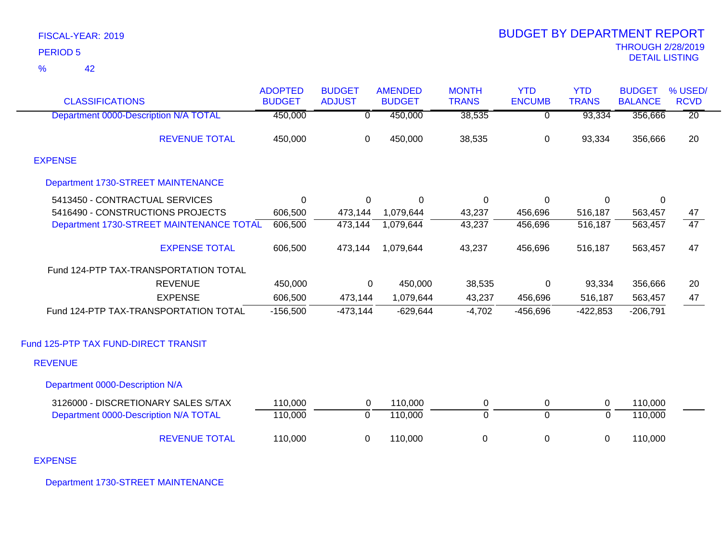| <b>CLASSIFICATIONS</b>                   | <b>ADOPTED</b><br><b>BUDGET</b> | <b>BUDGET</b><br><b>ADJUST</b> | <b>AMENDED</b><br><b>BUDGET</b> | <b>MONTH</b><br><b>TRANS</b> | <b>YTD</b><br><b>ENCUMB</b> | <b>YTD</b><br><b>TRANS</b> | <b>BUDGET</b><br><b>BALANCE</b> | % USED/<br><b>RCVD</b> |
|------------------------------------------|---------------------------------|--------------------------------|---------------------------------|------------------------------|-----------------------------|----------------------------|---------------------------------|------------------------|
| Department 0000-Description N/A TOTAL    | 450,000                         | $\overline{0}$                 | 450,000                         | 38,535                       | $\overline{0}$              | 93,334                     | 356,666                         | $\overline{20}$        |
| <b>REVENUE TOTAL</b>                     | 450,000                         | 0                              | 450,000                         | 38,535                       | 0                           | 93,334                     | 356,666                         | 20                     |
| <b>EXPENSE</b>                           |                                 |                                |                                 |                              |                             |                            |                                 |                        |
| Department 1730-STREET MAINTENANCE       |                                 |                                |                                 |                              |                             |                            |                                 |                        |
| 5413450 - CONTRACTUAL SERVICES           | 0                               | 0                              | 0                               | 0                            | 0                           | 0                          | 0                               |                        |
| 5416490 - CONSTRUCTIONS PROJECTS         | 606,500                         | 473,144                        | 1,079,644                       | 43,237                       | 456,696                     | 516,187                    | 563,457                         | 47                     |
| Department 1730-STREET MAINTENANCE TOTAL | 606,500                         | 473,144                        | 1,079,644                       | 43,237                       | 456,696                     | 516, 187                   | 563,457                         | $\overline{47}$        |
| <b>EXPENSE TOTAL</b>                     | 606,500                         | 473,144                        | 1,079,644                       | 43,237                       | 456,696                     | 516,187                    | 563,457                         | 47                     |
| Fund 124-PTP TAX-TRANSPORTATION TOTAL    |                                 |                                |                                 |                              |                             |                            |                                 |                        |
| <b>REVENUE</b>                           | 450,000                         | 0                              | 450,000                         | 38,535                       | 0                           | 93,334                     | 356,666                         | 20                     |
| <b>EXPENSE</b>                           | 606,500                         | 473,144                        | 1,079,644                       | 43,237                       | 456,696                     | 516,187                    | 563,457                         | 47                     |
| Fund 124-PTP TAX-TRANSPORTATION TOTAL    | $-156,500$                      | $-473,144$                     | $-629,644$                      | $-4,702$                     | $-456,696$                  | $-422,853$                 | $-206,791$                      |                        |
| Fund 125-PTP TAX FUND-DIRECT TRANSIT     |                                 |                                |                                 |                              |                             |                            |                                 |                        |
| <b>REVENUE</b>                           |                                 |                                |                                 |                              |                             |                            |                                 |                        |
| Department 0000-Description N/A          |                                 |                                |                                 |                              |                             |                            |                                 |                        |
| 3126000 - DISCRETIONARY SALES S/TAX      | 110,000                         | 0                              | 110,000                         | $\pmb{0}$                    | 0                           | 0                          | 110,000                         |                        |
| Department 0000-Description N/A TOTAL    | 110,000                         | $\overline{0}$                 | 110,000                         | $\overline{0}$               | $\overline{0}$              | $\overline{0}$             | 110,000                         |                        |
| <b>REVENUE TOTAL</b>                     | 110,000                         | 0                              | 110,000                         | 0                            | 0                           | 0                          | 110,000                         |                        |

EXPENSE

Department 1730-STREET MAINTENANCE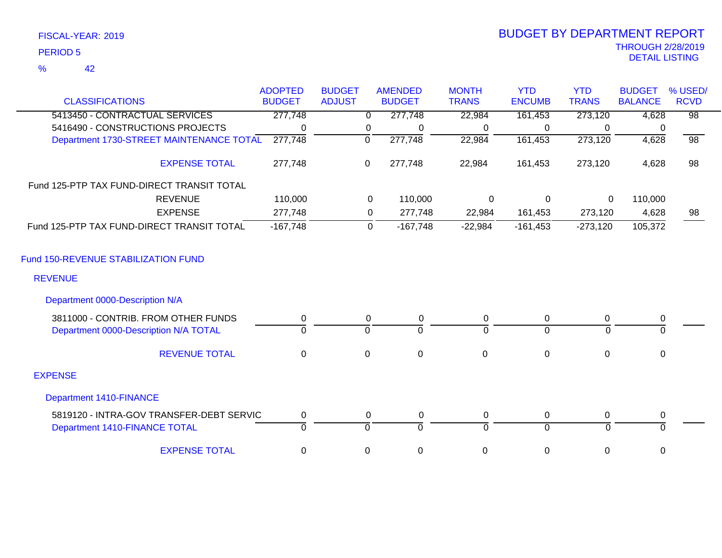| FISCAL-YEAR: 2019 |  |
|-------------------|--|
| <b>PERIOD 5</b>   |  |

%

42

|                                            | <b>ADOPTED</b> | <b>BUDGET</b> | <b>AMENDED</b>          | <b>MONTH</b>     | <b>YTD</b>     | <b>YTD</b>   | <b>BUDGET</b>  | % USED/         |
|--------------------------------------------|----------------|---------------|-------------------------|------------------|----------------|--------------|----------------|-----------------|
| <b>CLASSIFICATIONS</b>                     | <b>BUDGET</b>  | <b>ADJUST</b> | <b>BUDGET</b>           | <b>TRANS</b>     | <b>ENCUMB</b>  | <b>TRANS</b> | <b>BALANCE</b> | <b>RCVD</b>     |
| 5413450 - CONTRACTUAL SERVICES             | 277,748        |               | 277,748<br>$\Omega$     | 22,984           | 161,453        | 273,120      | 4,628          | $\overline{98}$ |
| 5416490 - CONSTRUCTIONS PROJECTS           | $\mathbf{0}$   |               | $\mathbf 0$<br>$\Omega$ | 0                | 0              | $\Omega$     | $\Omega$       |                 |
| Department 1730-STREET MAINTENANCE TOTAL   | 277,748        | $\mathbf 0$   | 277,748                 | 22,984           | 161,453        | 273,120      | 4,628          | $\overline{98}$ |
| <b>EXPENSE TOTAL</b>                       | 277,748        | 0             | 277,748                 | 22,984           | 161,453        | 273,120      | 4,628          | 98              |
| Fund 125-PTP TAX FUND-DIRECT TRANSIT TOTAL |                |               |                         |                  |                |              |                |                 |
| <b>REVENUE</b>                             | 110,000        |               | 0<br>110,000            | $\mathbf 0$      | $\Omega$       | $\mathbf 0$  | 110,000        |                 |
| <b>EXPENSE</b>                             | 277,748        |               | 0<br>277,748            | 22,984           | 161,453        | 273,120      | 4,628          | 98              |
| Fund 125-PTP TAX FUND-DIRECT TRANSIT TOTAL | $-167,748$     |               | $-167,748$<br>0         | $-22,984$        | $-161,453$     | $-273,120$   | 105,372        |                 |
| Fund 150-REVENUE STABILIZATION FUND        |                |               |                         |                  |                |              |                |                 |
| <b>REVENUE</b>                             |                |               |                         |                  |                |              |                |                 |
| Department 0000-Description N/A            |                |               |                         |                  |                |              |                |                 |
| 3811000 - CONTRIB. FROM OTHER FUNDS        | 0              |               | 0<br>0                  | 0                | 0              | 0            | 0              |                 |
| Department 0000-Description N/A TOTAL      | $\Omega$       | $\Omega$      | $\Omega$                | $\Omega$         | $\Omega$       | $\Omega$     | $\Omega$       |                 |
| <b>REVENUE TOTAL</b>                       | $\mathbf 0$    | $\mathbf 0$   | $\mathbf 0$             | $\mathbf 0$      | $\mathbf 0$    | $\mathbf 0$  | $\mathbf 0$    |                 |
| <b>EXPENSE</b>                             |                |               |                         |                  |                |              |                |                 |
| <b>Department 1410-FINANCE</b>             |                |               |                         |                  |                |              |                |                 |
| 5819120 - INTRA-GOV TRANSFER-DEBT SERVIC   | 0              |               | 0<br>0                  | 0                | 0              | 0            | 0              |                 |
| Department 1410-FINANCE TOTAL              | $\Omega$       | $\Omega$      | $\Omega$                | $\Omega$         | $\overline{0}$ | $\Omega$     | $\Omega$       |                 |
| <b>EXPENSE TOTAL</b>                       | 0              | $\mathbf 0$   | $\mathbf 0$             | $\boldsymbol{0}$ | $\pmb{0}$      | 0            | $\mathbf 0$    |                 |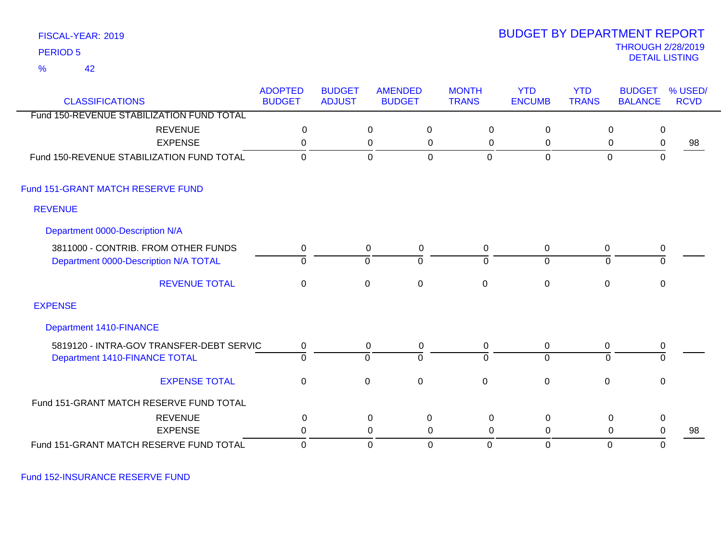42 %

### THROUGH 2/28/2019<br>DETAIL LISTING DETAIL LISTING PERIOD <sup>5</sup> BUDGET BY DEPARTMENT REPORT

| <b>CLASSIFICATIONS</b>                                                       | <b>ADOPTED</b><br><b>BUDGET</b> | <b>BUDGET</b><br><b>ADJUST</b> | <b>AMENDED</b><br><b>BUDGET</b> |                     | <b>MONTH</b><br><b>TRANS</b> | <b>YTD</b><br><b>ENCUMB</b>   | <b>YTD</b><br><b>TRANS</b> | <b>BUDGET</b><br><b>BALANCE</b> | % USED/<br><b>RCVD</b> |
|------------------------------------------------------------------------------|---------------------------------|--------------------------------|---------------------------------|---------------------|------------------------------|-------------------------------|----------------------------|---------------------------------|------------------------|
| Fund 150-REVENUE STABILIZATION FUND TOTAL                                    |                                 |                                |                                 |                     |                              |                               |                            |                                 |                        |
| <b>REVENUE</b>                                                               | $\mathbf 0$                     |                                | $\mathbf 0$                     | $\mathbf 0$         | 0                            | $\mathbf 0$                   | 0                          | $\mathbf 0$                     |                        |
| <b>EXPENSE</b>                                                               | 0                               |                                | $\mathbf 0$                     | 0                   | 0                            | 0                             | 0                          | $\mathbf 0$                     | 98                     |
| Fund 150-REVENUE STABILIZATION FUND TOTAL                                    | $\Omega$                        |                                | $\overline{0}$                  | $\mathbf 0$         | $\mathbf 0$                  | $\mathbf 0$                   | $\mathbf 0$                | $\mathbf 0$                     |                        |
| Fund 151-GRANT MATCH RESERVE FUND                                            |                                 |                                |                                 |                     |                              |                               |                            |                                 |                        |
| <b>REVENUE</b>                                                               |                                 |                                |                                 |                     |                              |                               |                            |                                 |                        |
| Department 0000-Description N/A                                              |                                 |                                |                                 |                     |                              |                               |                            |                                 |                        |
| 3811000 - CONTRIB. FROM OTHER FUNDS<br>Department 0000-Description N/A TOTAL | 0<br>0                          |                                | 0<br>0                          | 0<br>$\overline{0}$ | 0<br>$\mathbf 0$             | $\mathbf 0$<br>$\overline{0}$ | 0<br>0                     | $\mathbf 0$<br>$\overline{0}$   |                        |
| <b>REVENUE TOTAL</b>                                                         | 0                               |                                | 0                               | $\mathbf 0$         | $\mathbf 0$                  | $\mathbf 0$                   | 0                          | 0                               |                        |
| <b>EXPENSE</b>                                                               |                                 |                                |                                 |                     |                              |                               |                            |                                 |                        |
| <b>Department 1410-FINANCE</b>                                               |                                 |                                |                                 |                     |                              |                               |                            |                                 |                        |
| 5819120 - INTRA-GOV TRANSFER-DEBT SERVIC                                     | 0                               |                                | 0                               | $\mathbf 0$         | 0                            | 0                             | 0                          | 0                               |                        |
| Department 1410-FINANCE TOTAL                                                | $\overline{0}$                  |                                | $\mathbf 0$                     | $\overline{0}$      | $\overline{0}$               | $\overline{0}$                | $\Omega$                   | $\overline{0}$                  |                        |
| <b>EXPENSE TOTAL</b>                                                         | $\mathbf 0$                     |                                | $\mathbf 0$                     | $\mathbf 0$         | $\mathbf 0$                  | $\mathbf 0$                   | $\mathbf 0$                | $\mathbf 0$                     |                        |
| Fund 151-GRANT MATCH RESERVE FUND TOTAL                                      |                                 |                                |                                 |                     |                              |                               |                            |                                 |                        |
| <b>REVENUE</b>                                                               | $\pmb{0}$                       |                                | $\pmb{0}$                       | $\mathbf 0$         | $\boldsymbol{0}$             | $\mathbf 0$                   | $\,0\,$                    | $\pmb{0}$                       |                        |
| <b>EXPENSE</b>                                                               | $\Omega$                        |                                | 0                               | 0                   | 0                            | 0                             | 0                          | 0                               | 98                     |
| Fund 151-GRANT MATCH RESERVE FUND TOTAL                                      | 0                               |                                | $\mathbf 0$                     | $\mathbf 0$         | 0                            | 0                             | 0                          | 0                               |                        |

Fund 152-INSURANCE RESERVE FUND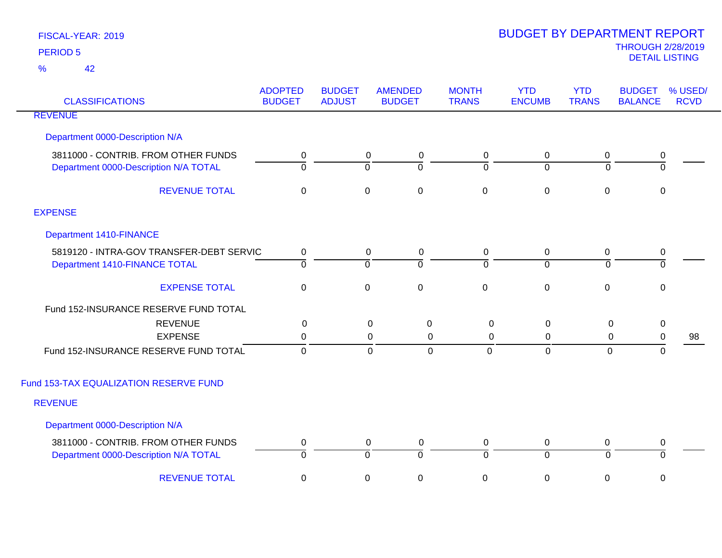| <b>CLASSIFICATIONS</b>                                                       | <b>ADOPTED</b><br><b>BUDGET</b> | <b>BUDGET</b><br><b>ADJUST</b> | <b>AMENDED</b><br><b>BUDGET</b>    | <b>MONTH</b><br><b>TRANS</b> | <b>YTD</b><br><b>ENCUMB</b> | <b>YTD</b><br><b>TRANS</b> | <b>BUDGET</b><br><b>BALANCE</b>          | % USED/<br><b>RCVD</b> |
|------------------------------------------------------------------------------|---------------------------------|--------------------------------|------------------------------------|------------------------------|-----------------------------|----------------------------|------------------------------------------|------------------------|
| <b>REVENUE</b>                                                               |                                 |                                |                                    |                              |                             |                            |                                          |                        |
| Department 0000-Description N/A                                              |                                 |                                |                                    |                              |                             |                            |                                          |                        |
| 3811000 - CONTRIB. FROM OTHER FUNDS<br>Department 0000-Description N/A TOTAL | 0<br>$\overline{0}$             | $\overline{0}$                 | 0<br>0<br>$\overline{0}$           | 0<br>ō                       | 0<br>$\overline{0}$         | 0<br>$\Omega$              | $\mathbf 0$<br>$\overline{\mathfrak{o}}$ |                        |
| <b>REVENUE TOTAL</b>                                                         | $\mathbf 0$                     | $\mathbf 0$                    | $\mathbf 0$                        | $\mathbf 0$                  | $\boldsymbol{0}$            | $\mathbf 0$                | $\mathbf 0$                              |                        |
| <b>EXPENSE</b>                                                               |                                 |                                |                                    |                              |                             |                            |                                          |                        |
| Department 1410-FINANCE                                                      |                                 |                                |                                    |                              |                             |                            |                                          |                        |
| 5819120 - INTRA-GOV TRANSFER-DEBT SERVIC<br>Department 1410-FINANCE TOTAL    | $\mathbf 0$<br>$\overline{0}$   | $\overline{0}$                 | 0<br>$\mathbf 0$<br>$\overline{0}$ | $\mathbf 0$<br>ō             | 0<br>$\overline{0}$         | $\mathbf 0$<br>$\mathbf 0$ | $\mathbf 0$<br>$\overline{0}$            |                        |
| <b>EXPENSE TOTAL</b>                                                         | $\boldsymbol{0}$                | $\mathbf 0$                    | $\mathsf 0$                        | $\pmb{0}$                    | $\pmb{0}$                   | $\mathbf 0$                | $\mathbf 0$                              |                        |
| Fund 152-INSURANCE RESERVE FUND TOTAL                                        |                                 |                                |                                    |                              |                             |                            |                                          |                        |
| <b>REVENUE</b>                                                               | 0                               |                                | 0<br>0                             | $\mathsf 0$                  | $\mathbf 0$                 | $\mathbf 0$                | $\mathbf 0$                              |                        |
| <b>EXPENSE</b>                                                               | 0                               |                                | 0<br>$\mathbf 0$                   | $\mathsf 0$                  | 0                           | 0                          | $\mathbf 0$                              | 98                     |
| Fund 152-INSURANCE RESERVE FUND TOTAL                                        | $\overline{0}$                  |                                | $\mathbf 0$<br>$\mathbf 0$         | $\mathbf{0}$                 | $\overline{0}$              | 0                          | $\mathbf 0$                              |                        |
| Fund 153-TAX EQUALIZATION RESERVE FUND                                       |                                 |                                |                                    |                              |                             |                            |                                          |                        |
| <b>REVENUE</b>                                                               |                                 |                                |                                    |                              |                             |                            |                                          |                        |
| Department 0000-Description N/A                                              |                                 |                                |                                    |                              |                             |                            |                                          |                        |
| 3811000 - CONTRIB. FROM OTHER FUNDS                                          | $\mathbf 0$                     |                                | $\mathbf 0$<br>$\mathbf 0$         | 0                            | 0                           | $\mathbf 0$                | 0                                        |                        |
| Department 0000-Description N/A TOTAL                                        | 0                               | ō                              | $\overline{0}$                     | $\overline{0}$               | $\overline{0}$              | $\Omega$                   | 0                                        |                        |
| <b>REVENUE TOTAL</b>                                                         | 0                               | $\mathbf 0$                    | $\pmb{0}$                          | $\,0\,$                      | $\pmb{0}$                   | 0                          | 0                                        |                        |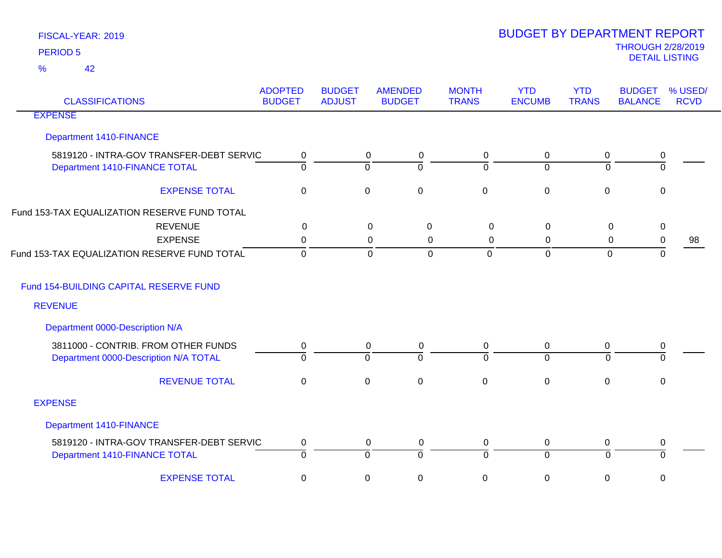42 %

| <b>CLASSIFICATIONS</b>                                                    | <b>ADOPTED</b><br><b>BUDGET</b> | <b>BUDGET</b><br><b>ADJUST</b> | <b>AMENDED</b><br><b>BUDGET</b>         | <b>MONTH</b><br><b>TRANS</b> | <b>YTD</b><br><b>ENCUMB</b> | <b>YTD</b><br><b>TRANS</b>  | <b>BUDGET</b><br><b>BALANCE</b> | % USED/<br><b>RCVD</b> |
|---------------------------------------------------------------------------|---------------------------------|--------------------------------|-----------------------------------------|------------------------------|-----------------------------|-----------------------------|---------------------------------|------------------------|
| <b>EXPENSE</b>                                                            |                                 |                                |                                         |                              |                             |                             |                                 |                        |
| <b>Department 1410-FINANCE</b>                                            |                                 |                                |                                         |                              |                             |                             |                                 |                        |
| 5819120 - INTRA-GOV TRANSFER-DEBT SERVIC<br>Department 1410-FINANCE TOTAL | 0<br>$\overline{\mathfrak{o}}$  |                                | $\mathbf 0$<br>0<br>$\overline{0}$<br>0 | 0<br>$\Omega$                | $\mathbf 0$<br>$\Omega$     | $\pmb{0}$<br>$\overline{0}$ | 0<br>ō                          |                        |
| <b>EXPENSE TOTAL</b>                                                      | $\mathbf 0$                     |                                | $\pmb{0}$<br>$\pmb{0}$                  | $\mathsf 0$                  | $\mathbf 0$                 | $\pmb{0}$                   | $\boldsymbol{0}$                |                        |
| Fund 153-TAX EQUALIZATION RESERVE FUND TOTAL                              |                                 |                                |                                         |                              |                             |                             |                                 |                        |
| <b>REVENUE</b>                                                            | 0                               |                                | 0<br>0                                  | $\mathbf 0$                  | 0                           | 0                           | $\pmb{0}$                       |                        |
| <b>EXPENSE</b>                                                            | 0                               |                                | 0<br>0                                  | 0                            | 0                           | 0                           | 0                               | 98                     |
| Fund 153-TAX EQUALIZATION RESERVE FUND TOTAL                              | $\mathbf{0}$                    |                                | $\mathbf 0$<br>$\Omega$                 | $\mathbf{0}$                 | $\overline{0}$              | $\mathbf{0}$                | 0                               |                        |
| Fund 154-BUILDING CAPITAL RESERVE FUND                                    |                                 |                                |                                         |                              |                             |                             |                                 |                        |
| <b>REVENUE</b>                                                            |                                 |                                |                                         |                              |                             |                             |                                 |                        |
| Department 0000-Description N/A                                           |                                 |                                |                                         |                              |                             |                             |                                 |                        |
| 3811000 - CONTRIB. FROM OTHER FUNDS                                       | 0                               |                                | 0<br>0                                  | 0                            | $\mathbf 0$                 | 0                           | 0                               |                        |
| Department 0000-Description N/A TOTAL                                     | $\overline{0}$                  |                                | $\mathbf 0$<br>$\Omega$                 | $\Omega$                     | $\overline{0}$              | $\Omega$                    | $\Omega$                        |                        |
| <b>REVENUE TOTAL</b>                                                      | $\mathbf 0$                     |                                | $\mathbf 0$<br>$\pmb{0}$                | $\mathbf 0$                  | $\mathbf 0$                 | $\pmb{0}$                   | 0                               |                        |
| <b>EXPENSE</b>                                                            |                                 |                                |                                         |                              |                             |                             |                                 |                        |
| <b>Department 1410-FINANCE</b>                                            |                                 |                                |                                         |                              |                             |                             |                                 |                        |
| 5819120 - INTRA-GOV TRANSFER-DEBT SERVIC                                  | 0                               |                                | $\mathbf 0$<br>0                        | 0                            | $\mathbf 0$                 | $\mathbf 0$                 | 0                               |                        |
| Department 1410-FINANCE TOTAL                                             | $\overline{0}$                  |                                | $\overline{0}$<br>ō                     | $\overline{0}$               | $\overline{0}$              | $\overline{0}$              | ō                               |                        |
| <b>EXPENSE TOTAL</b>                                                      | $\mathbf 0$                     |                                | $\mathbf 0$<br>0                        | 0                            | 0                           | 0                           | 0                               |                        |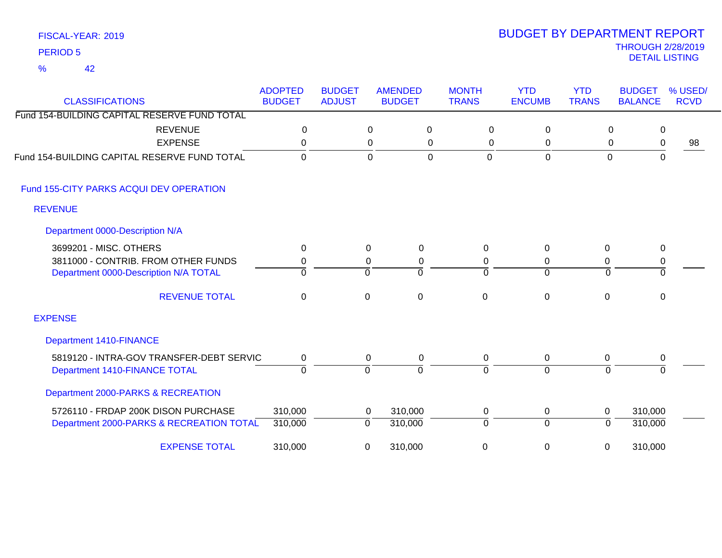### FISCAL-YEAR: 2019 42 %

| <b>CLASSIFICATIONS</b>                       | <b>ADOPTED</b><br><b>BUDGET</b> | <b>BUDGET</b><br><b>ADJUST</b> | <b>AMENDED</b><br><b>BUDGET</b> | <b>MONTH</b><br><b>TRANS</b> | <b>YTD</b><br><b>ENCUMB</b> | <b>YTD</b><br><b>TRANS</b> | <b>BUDGET</b><br><b>BALANCE</b> | % USED/<br><b>RCVD</b> |
|----------------------------------------------|---------------------------------|--------------------------------|---------------------------------|------------------------------|-----------------------------|----------------------------|---------------------------------|------------------------|
| Fund 154-BUILDING CAPITAL RESERVE FUND TOTAL |                                 |                                |                                 |                              |                             |                            |                                 |                        |
| <b>REVENUE</b>                               | $\mathbf 0$                     |                                | $\mathbf 0$<br>0                | $\mathbf 0$                  | $\Omega$                    | 0                          | 0                               |                        |
| <b>EXPENSE</b>                               | 0                               |                                | 0<br>0                          | 0                            | 0                           | 0                          | 0                               | 98                     |
| Fund 154-BUILDING CAPITAL RESERVE FUND TOTAL | $\Omega$                        |                                | $\Omega$<br>$\overline{0}$      | $\overline{0}$               | $\mathbf 0$                 | $\overline{0}$             | $\mathbf 0$                     |                        |
| Fund 155-CITY PARKS ACQUI DEV OPERATION      |                                 |                                |                                 |                              |                             |                            |                                 |                        |
| <b>REVENUE</b>                               |                                 |                                |                                 |                              |                             |                            |                                 |                        |
| Department 0000-Description N/A              |                                 |                                |                                 |                              |                             |                            |                                 |                        |
| 3699201 - MISC. OTHERS                       | 0                               | 0                              | $\Omega$                        | $\Omega$                     | $\mathbf{0}$                | $\Omega$                   | 0                               |                        |
| 3811000 - CONTRIB. FROM OTHER FUNDS          | 0                               | $\pmb{0}$                      | 0                               | 0                            | 0                           | 0                          | $\,0\,$                         |                        |
| Department 0000-Description N/A TOTAL        | $\Omega$                        | 0                              | $\Omega$                        | $\Omega$                     | $\mathbf 0$                 | $\Omega$                   | $\mathbf 0$                     |                        |
| <b>REVENUE TOTAL</b>                         | $\mathbf 0$                     | 0                              | $\mathbf 0$                     | $\mathbf 0$                  | $\mathbf 0$                 | $\overline{0}$             | 0                               |                        |
| <b>EXPENSE</b>                               |                                 |                                |                                 |                              |                             |                            |                                 |                        |
| <b>Department 1410-FINANCE</b>               |                                 |                                |                                 |                              |                             |                            |                                 |                        |
| 5819120 - INTRA-GOV TRANSFER-DEBT SERVIC     | 0                               | 0                              | 0                               | 0                            | 0                           | 0                          | 0                               |                        |
| Department 1410-FINANCE TOTAL                | $\overline{0}$                  | ō                              | $\Omega$                        | $\Omega$                     | $\overline{0}$              | 0                          | $\Omega$                        |                        |
| Department 2000-PARKS & RECREATION           |                                 |                                |                                 |                              |                             |                            |                                 |                        |
| 5726110 - FRDAP 200K DISON PURCHASE          | 310,000                         | $\mathbf 0$                    | 310,000                         | 0                            | $\mathbf 0$                 | $\mathbf 0$                | 310,000                         |                        |
| Department 2000-PARKS & RECREATION TOTAL     | 310,000                         | $\mathbf 0$                    | 310,000                         | $\Omega$                     | $\Omega$                    | 0                          | 310,000                         |                        |
| <b>EXPENSE TOTAL</b>                         | 310,000                         | 0                              | 310,000                         | 0                            | $\pmb{0}$                   | 0                          | 310,000                         |                        |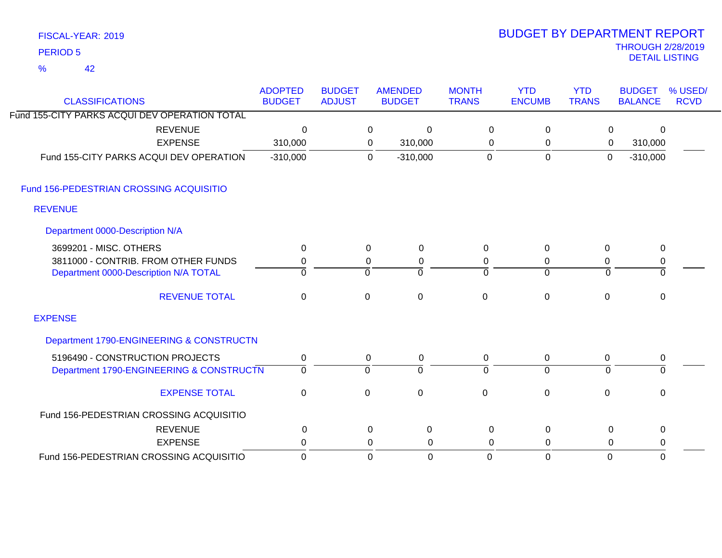| FISCAL-YEAR: 2019 |
|-------------------|
| <b>PERIOD 5</b>   |

# THROUGH 2/28/2019 DETAIL LISTING PERIOD <sup>5</sup> BUDGET BY DEPARTMENT REPORT

| <b>CLASSIFICATIONS</b>                        | <b>ADOPTED</b><br><b>BUDGET</b> | <b>BUDGET</b><br><b>ADJUST</b> |                     | <b>AMENDED</b><br><b>BUDGET</b> | <b>MONTH</b><br><b>TRANS</b> | <b>YTD</b><br><b>ENCUMB</b> | <b>YTD</b><br><b>TRANS</b> | <b>BUDGET</b><br><b>BALANCE</b> | % USED/<br><b>RCVD</b> |
|-----------------------------------------------|---------------------------------|--------------------------------|---------------------|---------------------------------|------------------------------|-----------------------------|----------------------------|---------------------------------|------------------------|
| Fund 155-CITY PARKS ACQUI DEV OPERATION TOTAL |                                 |                                |                     |                                 |                              |                             |                            |                                 |                        |
| <b>REVENUE</b>                                | 0                               |                                | $\mathbf 0$         | 0                               | $\mathbf 0$                  | 0                           | 0                          | $\Omega$                        |                        |
| <b>EXPENSE</b>                                | 310,000                         |                                | 0                   | 310,000                         | 0                            | $\mathbf{0}$                | 0                          | 310,000                         |                        |
| Fund 155-CITY PARKS ACQUI DEV OPERATION       | $-310,000$                      |                                | $\mathbf 0$         | $-310,000$                      | $\mathbf 0$                  | $\mathbf 0$                 | $\mathbf 0$                | $-310,000$                      |                        |
| Fund 156-PEDESTRIAN CROSSING ACQUISITIO       |                                 |                                |                     |                                 |                              |                             |                            |                                 |                        |
| <b>REVENUE</b>                                |                                 |                                |                     |                                 |                              |                             |                            |                                 |                        |
| Department 0000-Description N/A               |                                 |                                |                     |                                 |                              |                             |                            |                                 |                        |
| 3699201 - MISC. OTHERS                        | 0                               |                                | $\mathbf 0$         | 0                               | $\mathbf{0}$                 | 0                           | 0                          | $\mathbf 0$                     |                        |
| 3811000 - CONTRIB. FROM OTHER FUNDS           | 0                               |                                | 0                   | 0                               | 0                            | 0                           | 0                          | $\pmb{0}$                       |                        |
| Department 0000-Description N/A TOTAL         | $\Omega$                        |                                | $\Omega$            | $\Omega$                        | $\Omega$                     | $\Omega$                    | $\Omega$                   | $\Omega$                        |                        |
| <b>REVENUE TOTAL</b>                          | $\mathbf 0$                     |                                | $\mathsf{O}\xspace$ | $\mathbf 0$                     | $\mathbf 0$                  | $\mathbf 0$                 | $\mathbf 0$                | $\mathbf 0$                     |                        |
| <b>EXPENSE</b>                                |                                 |                                |                     |                                 |                              |                             |                            |                                 |                        |
| Department 1790-ENGINEERING & CONSTRUCTN      |                                 |                                |                     |                                 |                              |                             |                            |                                 |                        |
| 5196490 - CONSTRUCTION PROJECTS               | 0                               |                                | $\mathbf 0$         | 0                               | 0                            | 0                           | $\mathbf 0$                | $\mathbf 0$                     |                        |
| Department 1790-ENGINEERING & CONSTRUCTN      | $\Omega$                        |                                | $\mathbf 0$         | $\Omega$                        | $\Omega$                     | $\overline{0}$              | $\Omega$                   | $\Omega$                        |                        |
| <b>EXPENSE TOTAL</b>                          | $\overline{0}$                  |                                | $\mathbf 0$         | $\mathbf 0$                     | $\Omega$                     | $\overline{0}$              | $\mathbf 0$                | 0                               |                        |
| Fund 156-PEDESTRIAN CROSSING ACQUISITIO       |                                 |                                |                     |                                 |                              |                             |                            |                                 |                        |
| <b>REVENUE</b>                                | 0                               |                                | $\mathbf 0$         | 0                               | 0                            | 0                           | 0                          | 0                               |                        |
| <b>EXPENSE</b>                                | 0                               |                                | $\mathbf 0$         | 0                               | $\mathbf 0$                  | 0                           | 0                          | $\mathbf 0$                     |                        |
| Fund 156-PEDESTRIAN CROSSING ACQUISITIO       | $\overline{0}$                  |                                | $\overline{0}$      | $\mathbf 0$                     | $\Omega$                     | $\mathbf 0$                 | $\overline{0}$             | $\mathbf{0}$                    |                        |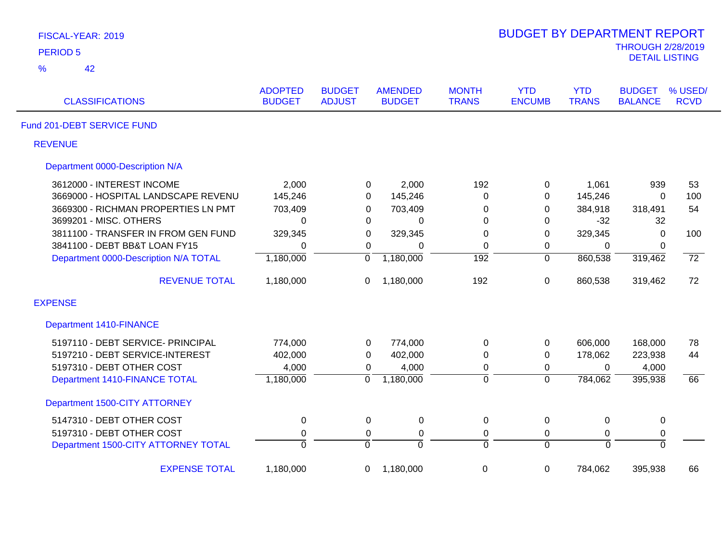| FISCAL-YEAR: 2019                     |                                 |                                |                                 |                              | <b>BUDGET BY DEPARTMENT REPORT</b> |                            |                                                   |                        |
|---------------------------------------|---------------------------------|--------------------------------|---------------------------------|------------------------------|------------------------------------|----------------------------|---------------------------------------------------|------------------------|
| <b>PERIOD 5</b>                       |                                 |                                |                                 |                              |                                    |                            | <b>THROUGH 2/28/2019</b><br><b>DETAIL LISTING</b> |                        |
| %<br>42                               |                                 |                                |                                 |                              |                                    |                            |                                                   |                        |
| <b>CLASSIFICATIONS</b>                | <b>ADOPTED</b><br><b>BUDGET</b> | <b>BUDGET</b><br><b>ADJUST</b> | <b>AMENDED</b><br><b>BUDGET</b> | <b>MONTH</b><br><b>TRANS</b> | <b>YTD</b><br><b>ENCUMB</b>        | <b>YTD</b><br><b>TRANS</b> | <b>BUDGET</b><br><b>BALANCE</b>                   | % USED/<br><b>RCVD</b> |
| Fund 201-DEBT SERVICE FUND            |                                 |                                |                                 |                              |                                    |                            |                                                   |                        |
| <b>REVENUE</b>                        |                                 |                                |                                 |                              |                                    |                            |                                                   |                        |
| Department 0000-Description N/A       |                                 |                                |                                 |                              |                                    |                            |                                                   |                        |
| 3612000 - INTEREST INCOME             | 2,000                           | 0                              | 2,000                           | 192                          | 0                                  | 1,061                      | 939                                               | 53                     |
| 3669000 - HOSPITAL LANDSCAPE REVENU   | 145,246                         | 0                              | 145,246                         | 0                            | 0                                  | 145,246                    | $\Omega$                                          | 100                    |
| 3669300 - RICHMAN PROPERTIES LN PMT   | 703,409                         | 0                              | 703,409                         | 0                            | 0                                  | 384,918                    | 318,491                                           | 54                     |
| 3699201 - MISC. OTHERS                | $\Omega$                        | $\mathbf 0$                    | 0                               | 0                            | 0                                  | $-32$                      | 32                                                |                        |
| 3811100 - TRANSFER IN FROM GEN FUND   | 329,345                         | 0                              | 329,345                         | 0                            | 0                                  | 329,345                    | $\mathbf 0$                                       | 100                    |
| 3841100 - DEBT BB&T LOAN FY15         | 0                               | $\mathbf 0$                    | $\Omega$                        | 0                            | 0                                  | 0                          | 0                                                 |                        |
| Department 0000-Description N/A TOTAL | 1,180,000                       | $\overline{0}$                 | 1,180,000                       | $\overline{192}$             | $\overline{0}$                     | 860,538                    | 319,462                                           | $\overline{72}$        |
| <b>REVENUE TOTAL</b>                  | 1,180,000                       | 0                              | 1,180,000                       | 192                          | $\boldsymbol{0}$                   | 860,538                    | 319,462                                           | 72                     |
| <b>EXPENSE</b>                        |                                 |                                |                                 |                              |                                    |                            |                                                   |                        |
| <b>Department 1410-FINANCE</b>        |                                 |                                |                                 |                              |                                    |                            |                                                   |                        |
| 5197110 - DEBT SERVICE- PRINCIPAL     | 774,000                         | 0                              | 774,000                         | 0                            | 0                                  | 606,000                    | 168,000                                           | 78                     |
| 5197210 - DEBT SERVICE-INTEREST       | 402,000                         | $\mathbf 0$                    | 402,000                         | 0                            | $\pmb{0}$                          | 178,062                    | 223,938                                           | 44                     |
| 5197310 - DEBT OTHER COST             | 4,000                           | 0                              | 4,000                           | 0                            | 0                                  | $\mathbf 0$                | 4,000                                             |                        |
| Department 1410-FINANCE TOTAL         | 1,180,000                       | $\mathbf 0$                    | 1,180,000                       | $\overline{0}$               | $\overline{0}$                     | 784,062                    | 395,938                                           | 66                     |
| Department 1500-CITY ATTORNEY         |                                 |                                |                                 |                              |                                    |                            |                                                   |                        |
| 5147310 - DEBT OTHER COST             | $\mathbf 0$                     | 0                              | 0                               | 0                            | $\mathbf 0$                        | $\mathbf 0$                | $\mathbf 0$                                       |                        |
| 5197310 - DEBT OTHER COST             | $\pmb{0}$                       | 0                              | $\pmb{0}$                       | $\pmb{0}$                    | 0                                  | $\pmb{0}$                  | $\pmb{0}$                                         |                        |
| Department 1500-CITY ATTORNEY TOTAL   | $\overline{0}$                  | $\overline{0}$                 | $\overline{0}$                  | $\overline{0}$               | $\Omega$                           | $\overline{0}$             | $\overline{0}$                                    |                        |
| <b>EXPENSE TOTAL</b>                  | 1,180,000                       | 0                              | 1,180,000                       | $\pmb{0}$                    | $\boldsymbol{0}$                   | 784,062                    | 395,938                                           | 66                     |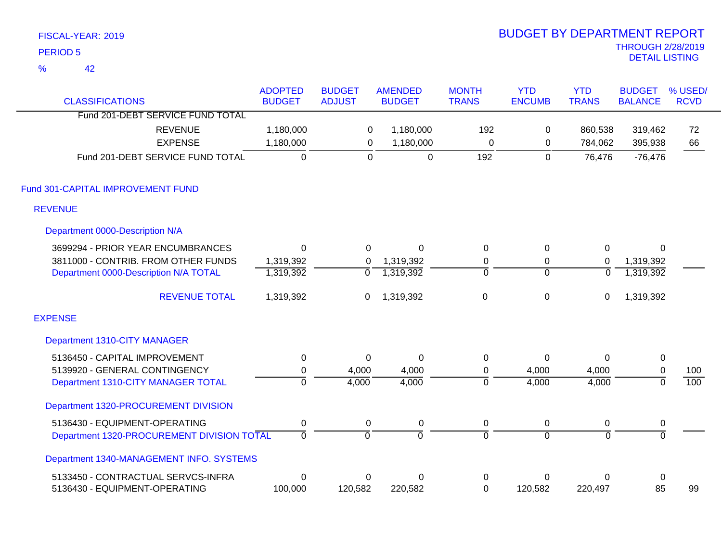|                 | FISCAL-YEAR: 2019                          |                  |                |                |                | <b>BUDGET BY DEPARTMENT REPORT</b> |                |                          |             |
|-----------------|--------------------------------------------|------------------|----------------|----------------|----------------|------------------------------------|----------------|--------------------------|-------------|
| <b>PERIOD 5</b> |                                            |                  |                |                |                |                                    |                | <b>THROUGH 2/28/2019</b> |             |
| $\frac{9}{6}$   | 42                                         |                  |                |                |                |                                    |                | <b>DETAIL LISTING</b>    |             |
|                 |                                            | <b>ADOPTED</b>   | <b>BUDGET</b>  | <b>AMENDED</b> | <b>MONTH</b>   | <b>YTD</b>                         | <b>YTD</b>     | <b>BUDGET</b>            | % USED/     |
|                 | <b>CLASSIFICATIONS</b>                     | <b>BUDGET</b>    | <b>ADJUST</b>  | <b>BUDGET</b>  | <b>TRANS</b>   | <b>ENCUMB</b>                      | <b>TRANS</b>   | <b>BALANCE</b>           | <b>RCVD</b> |
|                 | Fund 201-DEBT SERVICE FUND TOTAL           |                  |                |                |                |                                    |                |                          |             |
|                 | <b>REVENUE</b>                             | 1,180,000        | 0              | 1,180,000      | 192            | 0                                  | 860,538        | 319,462                  | 72          |
|                 | <b>EXPENSE</b>                             | 1,180,000        | $\mathsf 0$    | 1,180,000      | $\mathbf 0$    | $\mathbf 0$                        | 784,062        | 395,938                  | 66          |
|                 | Fund 201-DEBT SERVICE FUND TOTAL           | $\overline{0}$   | $\overline{0}$ | $\mathbf 0$    | 192            | $\overline{0}$                     | 76,476         | $-76,476$                |             |
|                 | Fund 301-CAPITAL IMPROVEMENT FUND          |                  |                |                |                |                                    |                |                          |             |
| <b>REVENUE</b>  |                                            |                  |                |                |                |                                    |                |                          |             |
|                 | Department 0000-Description N/A            |                  |                |                |                |                                    |                |                          |             |
|                 | 3699294 - PRIOR YEAR ENCUMBRANCES          | $\mathbf 0$      | 0              | $\mathbf 0$    | $\mathbf 0$    | 0                                  | $\pmb{0}$      | 0                        |             |
|                 | 3811000 - CONTRIB. FROM OTHER FUNDS        | 1,319,392        | 0              | 1,319,392      | 0              | 0                                  | $\mathbf 0$    | 1,319,392                |             |
|                 | Department 0000-Description N/A TOTAL      | 1,319,392        | $\overline{0}$ | 1,319,392      | $\overline{0}$ | $\overline{0}$                     | $\overline{0}$ | 1,319,392                |             |
|                 | <b>REVENUE TOTAL</b>                       | 1,319,392        | 0              | 1,319,392      | $\mathsf 0$    | 0                                  | 0              | 1,319,392                |             |
| <b>EXPENSE</b>  |                                            |                  |                |                |                |                                    |                |                          |             |
|                 | Department 1310-CITY MANAGER               |                  |                |                |                |                                    |                |                          |             |
|                 | 5136450 - CAPITAL IMPROVEMENT              | $\pmb{0}$        | $\overline{0}$ | $\mathbf 0$    | $\pmb{0}$      | 0                                  | $\mathbf 0$    | $\pmb{0}$                |             |
|                 | 5139920 - GENERAL CONTINGENCY              | 0                | 4,000          | 4,000          | $\pmb{0}$      | 4,000                              | 4,000          | $\pmb{0}$                | 100         |
|                 | Department 1310-CITY MANAGER TOTAL         | $\overline{0}$   | 4,000          | 4,000          | $\overline{0}$ | 4,000                              | 4,000          | $\overline{0}$           | 100         |
|                 | Department 1320-PROCUREMENT DIVISION       |                  |                |                |                |                                    |                |                          |             |
|                 | 5136430 - EQUIPMENT-OPERATING              | $\boldsymbol{0}$ | 0              | 0              | $\pmb{0}$      | 0                                  | 0              | 0                        |             |
|                 | Department 1320-PROCUREMENT DIVISION TOTAL | $\overline{0}$   | $\overline{0}$ | 0              | ō              | $\overline{0}$                     | $\overline{0}$ | $\overline{0}$           |             |
|                 | Department 1340-MANAGEMENT INFO. SYSTEMS   |                  |                |                |                |                                    |                |                          |             |
|                 | 5133450 - CONTRACTUAL SERVCS-INFRA         | $\mathbf 0$      | $\pmb{0}$      | $\mathbf 0$    | 0              | 0                                  | $\mathbf 0$    | $\pmb{0}$                |             |
|                 | 5136430 - EQUIPMENT-OPERATING              | 100,000          | 120,582        | 220,582        | $\mathbf 0$    | 120,582                            | 220,497        | 85                       | 99          |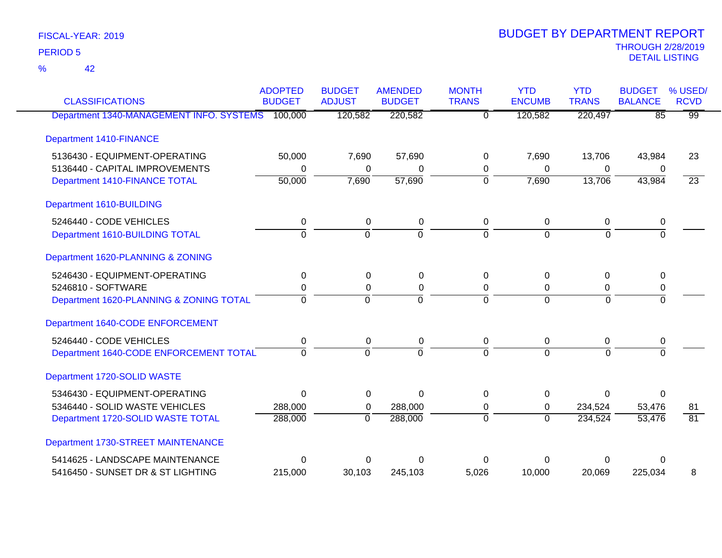42 %

| <b>CLASSIFICATIONS</b>                           | <b>ADOPTED</b><br><b>BUDGET</b> | <b>BUDGET</b><br><b>ADJUST</b> | <b>AMENDED</b><br><b>BUDGET</b> | <b>MONTH</b><br><b>TRANS</b> | <b>YTD</b><br><b>ENCUMB</b> | <b>YTD</b><br><b>TRANS</b> | <b>BUDGET</b><br><b>BALANCE</b> | % USED/<br><b>RCVD</b> |
|--------------------------------------------------|---------------------------------|--------------------------------|---------------------------------|------------------------------|-----------------------------|----------------------------|---------------------------------|------------------------|
| Department 1340-MANAGEMENT INFO. SYSTEMS 100,000 |                                 | 120,582                        | 220,582                         | $\overline{0}$               | 120,582                     | 220,497                    | $\overline{85}$                 | $\overline{99}$        |
| <b>Department 1410-FINANCE</b>                   |                                 |                                |                                 |                              |                             |                            |                                 |                        |
| 5136430 - EQUIPMENT-OPERATING                    | 50,000                          | 7,690                          | 57,690                          | 0                            | 7,690                       | 13,706                     | 43,984                          | 23                     |
| 5136440 - CAPITAL IMPROVEMENTS                   | 0                               | 0                              | 0                               | 0                            | 0                           | 0                          | 0                               |                        |
| Department 1410-FINANCE TOTAL                    | 50,000                          | 7,690                          | 57,690                          | $\overline{0}$               | 7,690                       | 13,706                     | 43,984                          | $\overline{23}$        |
| Department 1610-BUILDING                         |                                 |                                |                                 |                              |                             |                            |                                 |                        |
| 5246440 - CODE VEHICLES                          | $\mathbf 0$                     | $\mathbf 0$                    | $\pmb{0}$                       | 0                            | 0                           | 0                          | 0                               |                        |
| Department 1610-BUILDING TOTAL                   | $\overline{0}$                  | $\overline{0}$                 | $\overline{0}$                  | $\overline{0}$               | $\overline{0}$              | $\Omega$                   | $\overline{0}$                  |                        |
| Department 1620-PLANNING & ZONING                |                                 |                                |                                 |                              |                             |                            |                                 |                        |
| 5246430 - EQUIPMENT-OPERATING                    | 0                               | 0                              | $\mathbf 0$                     | $\Omega$                     | $\Omega$                    | 0                          | 0                               |                        |
| 5246810 - SOFTWARE                               | 0                               | 0                              | 0                               | 0                            | $\Omega$                    | 0                          | 0                               |                        |
| Department 1620-PLANNING & ZONING TOTAL          | $\Omega$                        | $\overline{0}$                 | $\overline{0}$                  | $\overline{0}$               | $\Omega$                    | $\overline{0}$             | $\overline{0}$                  |                        |
| Department 1640-CODE ENFORCEMENT                 |                                 |                                |                                 |                              |                             |                            |                                 |                        |
| 5246440 - CODE VEHICLES                          | 0                               | $\mathbf 0$                    | 0                               | $\overline{0}$               | 0                           | 0                          | $\pmb{0}$                       |                        |
| Department 1640-CODE ENFORCEMENT TOTAL           | $\Omega$                        | $\Omega$                       | $\overline{0}$                  | $\Omega$                     | $\Omega$                    | $\Omega$                   | $\Omega$                        |                        |
| Department 1720-SOLID WASTE                      |                                 |                                |                                 |                              |                             |                            |                                 |                        |
| 5346430 - EQUIPMENT-OPERATING                    | 0                               | 0                              | 0                               | 0                            | 0                           | 0                          | $\Omega$                        |                        |
| 5346440 - SOLID WASTE VEHICLES                   | 288,000                         | 0                              | 288,000                         | 0                            | $\mathbf 0$                 | 234,524                    | 53,476                          | 81                     |
| Department 1720-SOLID WASTE TOTAL                | 288,000                         | $\overline{0}$                 | 288,000                         | $\overline{0}$               | $\overline{0}$              | 234,524                    | 53,476                          | $\overline{81}$        |
| Department 1730-STREET MAINTENANCE               |                                 |                                |                                 |                              |                             |                            |                                 |                        |
| 5414625 - LANDSCAPE MAINTENANCE                  | 0                               | 0                              | $\Omega$                        | U                            | U                           | 0                          | ∩                               |                        |
| 5416450 - SUNSET DR & ST LIGHTING                | 215,000                         | 30,103                         | 245,103                         | 5,026                        | 10,000                      | 20,069                     | 225,034                         | 8                      |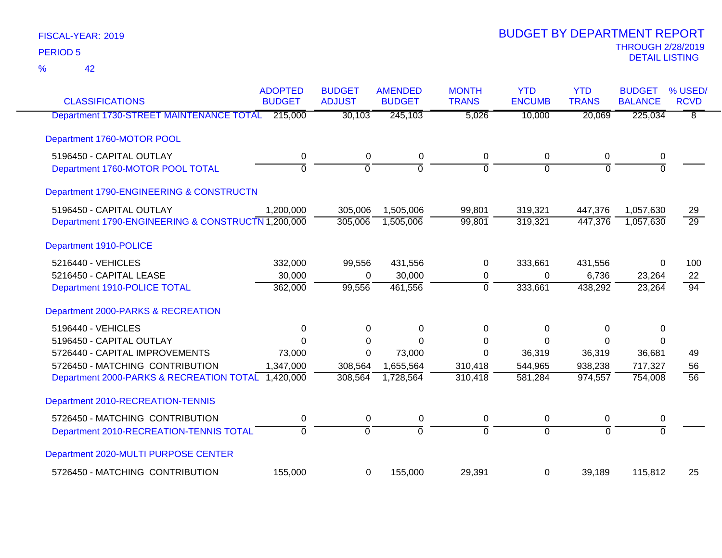| <b>CLASSIFICATIONS</b>                             | <b>ADOPTED</b><br><b>BUDGET</b> | <b>BUDGET</b><br><b>ADJUST</b> | <b>AMENDED</b><br><b>BUDGET</b> | <b>MONTH</b><br><b>TRANS</b> | <b>YTD</b><br><b>ENCUMB</b> | <b>YTD</b><br><b>TRANS</b> | <b>BUDGET</b><br><b>BALANCE</b> | % USED/<br><b>RCVD</b> |
|----------------------------------------------------|---------------------------------|--------------------------------|---------------------------------|------------------------------|-----------------------------|----------------------------|---------------------------------|------------------------|
| Department 1730-STREET MAINTENANCE TOTAL           | 215,000                         | 30,103                         | 245,103                         | 5,026                        | 10,000                      | 20,069                     | 225,034                         | $\overline{8}$         |
|                                                    |                                 |                                |                                 |                              |                             |                            |                                 |                        |
| Department 1760-MOTOR POOL                         |                                 |                                |                                 |                              |                             |                            |                                 |                        |
| 5196450 - CAPITAL OUTLAY                           | $\pmb{0}$                       | $\boldsymbol{0}$               | $\pmb{0}$                       | $\pmb{0}$                    | 0                           | 0                          | 0                               |                        |
| Department 1760-MOTOR POOL TOTAL                   | $\overline{0}$                  | $\mathbf 0$                    | $\mathbf 0$                     | $\mathbf 0$                  | $\mathbf 0$                 | $\Omega$                   | $\overline{0}$                  |                        |
| Department 1790-ENGINEERING & CONSTRUCTN           |                                 |                                |                                 |                              |                             |                            |                                 |                        |
| 5196450 - CAPITAL OUTLAY                           | 1,200,000                       | 305,006                        | 1,505,006                       | 99,801                       | 319,321                     | 447,376                    | 1,057,630                       | 29                     |
| Department 1790-ENGINEERING & CONSTRUCTN 1,200,000 |                                 | 305,006                        | 1,505,006                       | 99,801                       | 319,321                     | 447,376                    | 1,057,630                       | $\overline{29}$        |
| Department 1910-POLICE                             |                                 |                                |                                 |                              |                             |                            |                                 |                        |
| 5216440 - VEHICLES                                 | 332,000                         | 99,556                         | 431,556                         | 0                            | 333,661                     | 431,556                    | 0                               | 100                    |
| 5216450 - CAPITAL LEASE                            | 30,000                          | $\Omega$                       | 30,000                          | 0                            | 0                           | 6,736                      | 23,264                          | 22                     |
| Department 1910-POLICE TOTAL                       | 362,000                         | 99,556                         | 461,556                         | $\Omega$                     | 333,661                     | 438,292                    | 23,264                          | 94                     |
| Department 2000-PARKS & RECREATION                 |                                 |                                |                                 |                              |                             |                            |                                 |                        |
| 5196440 - VEHICLES                                 | $\mathbf 0$                     | $\Omega$                       | $\Omega$                        | $\Omega$                     | 0                           | 0                          | $\Omega$                        |                        |
| 5196450 - CAPITAL OUTLAY                           | $\Omega$                        | 0                              | $\Omega$                        | 0                            | 0                           | 0                          | 0                               |                        |
| 5726440 - CAPITAL IMPROVEMENTS                     | 73,000                          | 0                              | 73,000                          | $\Omega$                     | 36,319                      | 36,319                     | 36,681                          | 49                     |
| 5726450 - MATCHING CONTRIBUTION                    | 1,347,000                       | 308,564                        | 1,655,564                       | 310,418                      | 544,965                     | 938,238                    | 717,327                         | 56                     |
| Department 2000-PARKS & RECREATION TOTAL 1,420,000 |                                 | 308,564                        | 1,728,564                       | 310,418                      | 581,284                     | 974,557                    | 754,008                         | $\overline{56}$        |
| Department 2010-RECREATION-TENNIS                  |                                 |                                |                                 |                              |                             |                            |                                 |                        |
| 5726450 - MATCHING CONTRIBUTION                    | 0                               | 0                              | 0                               | 0                            | 0                           | 0                          | 0                               |                        |
| Department 2010-RECREATION-TENNIS TOTAL            | $\overline{0}$                  | $\overline{0}$                 | $\overline{0}$                  | $\overline{0}$               | $\overline{0}$              | $\overline{0}$             | $\overline{0}$                  |                        |
| Department 2020-MULTI PURPOSE CENTER               |                                 |                                |                                 |                              |                             |                            |                                 |                        |
| 5726450 - MATCHING CONTRIBUTION                    | 155,000                         | 0                              | 155,000                         | 29,391                       | 0                           | 39,189                     | 115,812                         | 25                     |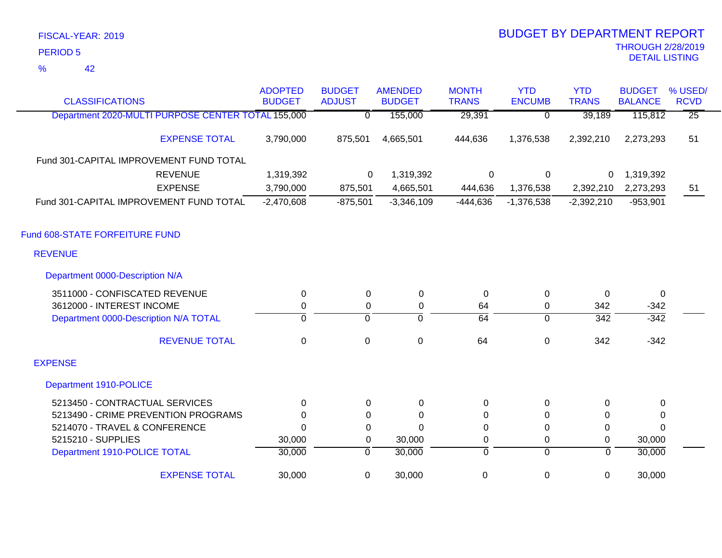42 %

| <b>CLASSIFICATIONS</b>                             | <b>ADOPTED</b><br><b>BUDGET</b> | <b>BUDGET</b><br><b>ADJUST</b> | <b>AMENDED</b><br><b>BUDGET</b> | <b>MONTH</b><br><b>TRANS</b> | <b>YTD</b><br><b>ENCUMB</b> | <b>YTD</b><br><b>TRANS</b> | <b>BUDGET</b><br><b>BALANCE</b> | % USED/<br><b>RCVD</b> |
|----------------------------------------------------|---------------------------------|--------------------------------|---------------------------------|------------------------------|-----------------------------|----------------------------|---------------------------------|------------------------|
| Department 2020-MULTI PURPOSE CENTER TOTAL 155,000 |                                 | $\overline{0}$                 | 155,000                         | 29,391                       | $\overline{0}$              | 39,189                     | 115,812                         | $\overline{25}$        |
| <b>EXPENSE TOTAL</b>                               | 3,790,000                       | 875,501                        | 4,665,501                       | 444,636                      | 1,376,538                   | 2,392,210                  | 2,273,293                       | 51                     |
| Fund 301-CAPITAL IMPROVEMENT FUND TOTAL            |                                 |                                |                                 |                              |                             |                            |                                 |                        |
| <b>REVENUE</b>                                     | 1,319,392                       | $\Omega$                       | 1,319,392                       | $\mathbf 0$                  | 0                           | 0                          | 1,319,392                       |                        |
| <b>EXPENSE</b>                                     | 3,790,000                       | 875,501                        | 4,665,501                       | 444,636                      | 1,376,538                   | 2,392,210                  | 2,273,293                       | 51                     |
| Fund 301-CAPITAL IMPROVEMENT FUND TOTAL            | $-2,470,608$                    | $-875,501$                     | $-3,346,109$                    | $-444,636$                   | $-1,376,538$                | $-2,392,210$               | $-953,901$                      |                        |
| Fund 608-STATE FORFEITURE FUND                     |                                 |                                |                                 |                              |                             |                            |                                 |                        |
| <b>REVENUE</b>                                     |                                 |                                |                                 |                              |                             |                            |                                 |                        |
| Department 0000-Description N/A                    |                                 |                                |                                 |                              |                             |                            |                                 |                        |
| 3511000 - CONFISCATED REVENUE                      | 0                               | 0                              | $\mathbf 0$                     | 0                            | $\mathbf 0$                 | $\Omega$                   | 0                               |                        |
| 3612000 - INTEREST INCOME                          | $\mathbf 0$                     | 0                              | $\mathbf 0$                     | 64                           | $\pmb{0}$                   | 342                        | $-342$                          |                        |
| Department 0000-Description N/A TOTAL              | $\overline{0}$                  | $\overline{0}$                 | ō                               | $\overline{64}$              | $\overline{0}$              | $\overline{342}$           | $-342$                          |                        |
| <b>REVENUE TOTAL</b>                               | 0                               | $\mathbf 0$                    | $\boldsymbol{0}$                | 64                           | $\pmb{0}$                   | 342                        | $-342$                          |                        |
| <b>EXPENSE</b>                                     |                                 |                                |                                 |                              |                             |                            |                                 |                        |
| Department 1910-POLICE                             |                                 |                                |                                 |                              |                             |                            |                                 |                        |
| 5213450 - CONTRACTUAL SERVICES                     | $\mathbf{0}$                    | 0                              | 0                               | 0                            | $\mathbf 0$                 | $\Omega$                   | 0                               |                        |
| 5213490 - CRIME PREVENTION PROGRAMS                | $\Omega$                        | 0                              | $\Omega$                        | 0                            | $\Omega$                    | 0                          | 0                               |                        |
| 5214070 - TRAVEL & CONFERENCE                      | $\Omega$                        | 0                              | $\Omega$                        | 0                            | $\mathbf 0$                 | $\Omega$                   | $\Omega$                        |                        |
| 5215210 - SUPPLIES                                 | 30,000                          | 0                              | 30,000                          | 0                            | $\pmb{0}$                   | 0                          | 30,000                          |                        |
| Department 1910-POLICE TOTAL                       | 30,000                          | $\overline{0}$                 | 30,000                          | 0                            | $\overline{0}$              | $\overline{0}$             | 30,000                          |                        |
| <b>EXPENSE TOTAL</b>                               | 30,000                          | $\mathbf 0$                    | 30,000                          | 0                            | $\pmb{0}$                   | $\mathbf 0$                | 30,000                          |                        |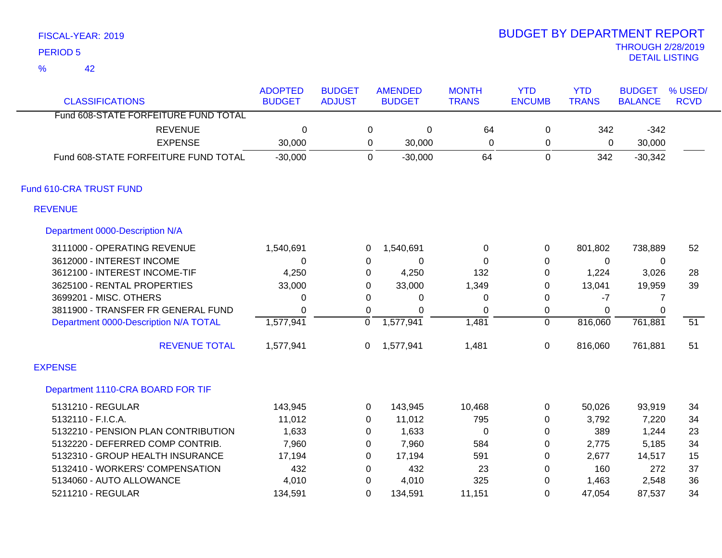42 %

| <b>CLASSIFICATIONS</b>                | <b>ADOPTED</b><br><b>BUDGET</b> | <b>BUDGET</b><br><b>ADJUST</b> |                | <b>AMENDED</b><br><b>BUDGET</b> | <b>MONTH</b><br><b>TRANS</b> | <b>YTD</b><br><b>ENCUMB</b> | <b>YTD</b><br><b>TRANS</b> | <b>BUDGET</b><br><b>BALANCE</b> | % USED/<br><b>RCVD</b> |
|---------------------------------------|---------------------------------|--------------------------------|----------------|---------------------------------|------------------------------|-----------------------------|----------------------------|---------------------------------|------------------------|
| Fund 608-STATE FORFEITURE FUND TOTAL  |                                 |                                |                |                                 |                              |                             |                            |                                 |                        |
| <b>REVENUE</b>                        | $\mathbf 0$                     |                                | 0              | $\pmb{0}$                       | 64                           | 0                           | 342                        | $-342$                          |                        |
| <b>EXPENSE</b>                        | 30,000                          |                                | 0              | 30,000                          | $\Omega$                     | 0                           | 0                          | 30,000                          |                        |
| Fund 608-STATE FORFEITURE FUND TOTAL  | $-30,000$                       |                                | $\Omega$       | $-30,000$                       | 64                           | 0                           | 342                        | $-30,342$                       |                        |
| Fund 610-CRA TRUST FUND               |                                 |                                |                |                                 |                              |                             |                            |                                 |                        |
| <b>REVENUE</b>                        |                                 |                                |                |                                 |                              |                             |                            |                                 |                        |
| Department 0000-Description N/A       |                                 |                                |                |                                 |                              |                             |                            |                                 |                        |
| 3111000 - OPERATING REVENUE           | 1,540,691                       |                                | 0              | 1,540,691                       | 0                            | 0                           | 801,802                    | 738,889                         | 52                     |
| 3612000 - INTEREST INCOME             | 0                               |                                | 0              | 0                               | $\Omega$                     | $\pmb{0}$                   | 0                          | 0                               |                        |
| 3612100 - INTEREST INCOME-TIF         | 4,250                           |                                | 0              | 4,250                           | 132                          | 0                           | 1,224                      | 3,026                           | 28                     |
| 3625100 - RENTAL PROPERTIES           | 33,000                          |                                | $\Omega$       | 33,000                          | 1,349                        | $\Omega$                    | 13,041                     | 19,959                          | 39                     |
| 3699201 - MISC. OTHERS                | 0                               |                                | $\Omega$       | 0                               | 0                            | 0                           | $-7$                       | 7                               |                        |
| 3811900 - TRANSFER FR GENERAL FUND    | $\Omega$                        |                                | $\Omega$       | $\Omega$                        | $\Omega$                     | 0                           | $\Omega$                   | $\Omega$                        |                        |
| Department 0000-Description N/A TOTAL | 1,577,941                       |                                | $\overline{0}$ | 1,577,941                       | 1,481                        | $\overline{0}$              | 816,060                    | 761,881                         | $\overline{51}$        |
| <b>REVENUE TOTAL</b>                  | 1,577,941                       |                                | 0              | 1,577,941                       | 1,481                        | 0                           | 816,060                    | 761,881                         | 51                     |
| <b>EXPENSE</b>                        |                                 |                                |                |                                 |                              |                             |                            |                                 |                        |
| Department 1110-CRA BOARD FOR TIF     |                                 |                                |                |                                 |                              |                             |                            |                                 |                        |
| 5131210 - REGULAR                     | 143,945                         |                                | 0              | 143,945                         | 10,468                       | 0                           | 50,026                     | 93,919                          | 34                     |
| 5132110 - F.I.C.A.                    | 11,012                          |                                | 0              | 11,012                          | 795                          | 0                           | 3,792                      | 7,220                           | 34                     |
| 5132210 - PENSION PLAN CONTRIBUTION   | 1,633                           |                                | 0              | 1,633                           | $\pmb{0}$                    | $\pmb{0}$                   | 389                        | 1,244                           | 23                     |
| 5132220 - DEFERRED COMP CONTRIB.      | 7,960                           |                                | 0              | 7,960                           | 584                          | $\pmb{0}$                   | 2,775                      | 5,185                           | 34                     |
| 5132310 - GROUP HEALTH INSURANCE      | 17,194                          |                                | 0              | 17,194                          | 591                          | 0                           | 2,677                      | 14,517                          | 15                     |
| 5132410 - WORKERS' COMPENSATION       | 432                             |                                | 0              | 432                             | 23                           | $\Omega$                    | 160                        | 272                             | 37                     |
| 5134060 - AUTO ALLOWANCE              | 4,010                           |                                | 0              | 4,010                           | 325                          | 0                           | 1,463                      | 2,548                           | 36                     |
| 5211210 - REGULAR                     | 134,591                         |                                | $\Omega$       | 134,591                         | 11,151                       | $\Omega$                    | 47,054                     | 87,537                          | 34                     |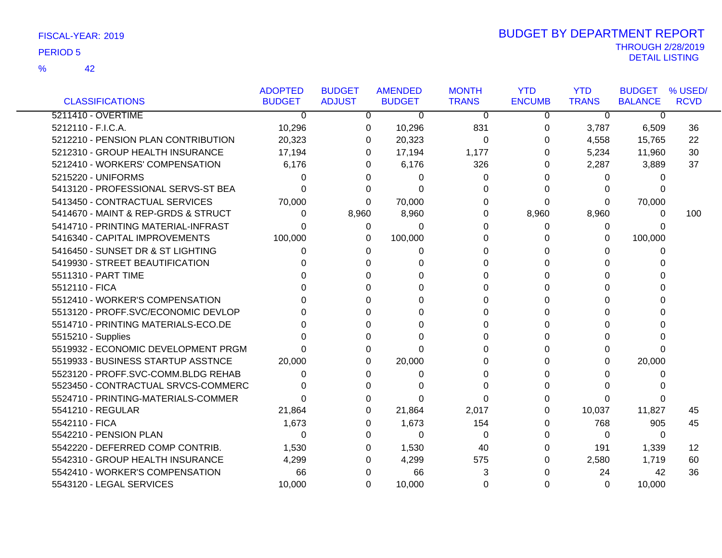|                                     | <b>ADOPTED</b> | <b>BUDGET</b> | <b>AMENDED</b> | <b>MONTH</b> | <b>YTD</b>    | <b>YTD</b>   | <b>BUDGET</b>  | % USED/     |
|-------------------------------------|----------------|---------------|----------------|--------------|---------------|--------------|----------------|-------------|
| <b>CLASSIFICATIONS</b>              | <b>BUDGET</b>  | <b>ADJUST</b> | <b>BUDGET</b>  | <b>TRANS</b> | <b>ENCUMB</b> | <b>TRANS</b> | <b>BALANCE</b> | <b>RCVD</b> |
| 5211410 - OVERTIME                  | 0              | 0             | $\mathbf 0$    | 0            | 0             | $\mathbf 0$  | 0              |             |
| 5212110 - F.I.C.A.                  | 10,296         | 0             | 10,296         | 831          | 0             | 3,787        | 6,509          | 36          |
| 5212210 - PENSION PLAN CONTRIBUTION | 20,323         | 0             | 20,323         | 0            | $\Omega$      | 4,558        | 15,765         | 22          |
| 5212310 - GROUP HEALTH INSURANCE    | 17,194         | 0             | 17,194         | 1,177        | 0             | 5,234        | 11,960         | 30          |
| 5212410 - WORKERS' COMPENSATION     | 6,176          | 0             | 6,176          | 326          | 0             | 2,287        | 3,889          | 37          |
| 5215220 - UNIFORMS                  | 0              | $\Omega$      | 0              | 0            | 0             | 0            | 0              |             |
| 5413120 - PROFESSIONAL SERVS-ST BEA | O              |               | 0              | 0            | 0             | 0            | 0              |             |
| 5413450 - CONTRACTUAL SERVICES      | 70,000         | 0             | 70,000         | 0            | $\Omega$      | $\Omega$     | 70,000         |             |
| 5414670 - MAINT & REP-GRDS & STRUCT | 0              | 8,960         | 8,960          | 0            | 8,960         | 8,960        | 0              | 100         |
| 5414710 - PRINTING MATERIAL-INFRAST | 0              | 0             | 0              | 0            | 0             | 0            | 0              |             |
| 5416340 - CAPITAL IMPROVEMENTS      | 100,000        | 0             | 100,000        | 0            | $\Omega$      | 0            | 100,000        |             |
| 5416450 - SUNSET DR & ST LIGHTING   | 0              | 0             | 0              | 0            | $\Omega$      | 0            | 0              |             |
| 5419930 - STREET BEAUTIFICATION     |                | 0             |                | 0            | 0             | 0            | $\Omega$       |             |
| 5511310 - PART TIME                 |                |               | U              | 0            | $\Omega$      | 0            | $\Omega$       |             |
| 5512110 - FICA                      |                |               | U              | 0            | $\Omega$      | $\Omega$     | $\Omega$       |             |
| 5512410 - WORKER'S COMPENSATION     |                |               |                | 0            | 0             | 0            | 0              |             |
| 5513120 - PROFF.SVC/ECONOMIC DEVLOP |                |               |                | 0            | $\Omega$      | 0            | U              |             |
| 5514710 - PRINTING MATERIALS-ECO.DE |                |               |                | 0            | $\Omega$      | 0            | U              |             |
| 5515210 - Supplies                  |                |               | O              | 0            | $\Omega$      | 0            | $\Omega$       |             |
| 5519932 - ECONOMIC DEVELOPMENT PRGM | O.             | 0             | U              | 0            | $\Omega$      | 0            | $\Omega$       |             |
| 5519933 - BUSINESS STARTUP ASSTNCE  | 20,000         | 0             | 20,000         | 0            | $\Omega$      | $\Omega$     | 20,000         |             |
| 5523120 - PROFF.SVC-COMM.BLDG REHAB | 0              | 0             | 0              | 0            | $\Omega$      | 0            | 0              |             |
| 5523450 - CONTRACTUAL SRVCS-COMMERC | O              | $\Omega$      |                | 0            | $\Omega$      | $\Omega$     | <sup>0</sup>   |             |
| 5524710 - PRINTING-MATERIALS-COMMER | 0              |               | O              | 0            | 0             | 0            | 0              |             |
| 5541210 - REGULAR                   | 21,864         | $\Omega$      | 21,864         | 2,017        | 0             | 10,037       | 11,827         | 45          |
| 5542110 - FICA                      | 1,673          | 0             | 1,673          | 154          | $\Omega$      | 768          | 905            | 45          |
| 5542210 - PENSION PLAN              | 0              | 0             | $\Omega$       | 0            | $\Omega$      | $\Omega$     | 0              |             |
| 5542220 - DEFERRED COMP CONTRIB.    | 1,530          | 0             | 1,530          | 40           | 0             | 191          | 1,339          | 12          |
| 5542310 - GROUP HEALTH INSURANCE    | 4,299          | 0             | 4,299          | 575          | 0             | 2,580        | 1,719          | 60          |
| 5542410 - WORKER'S COMPENSATION     | 66             | 0             | 66             | 3            | 0             | 24           | 42             | 36          |
| 5543120 - LEGAL SERVICES            | 10,000         | 0             | 10,000         | 0            | 0             | $\Omega$     | 10,000         |             |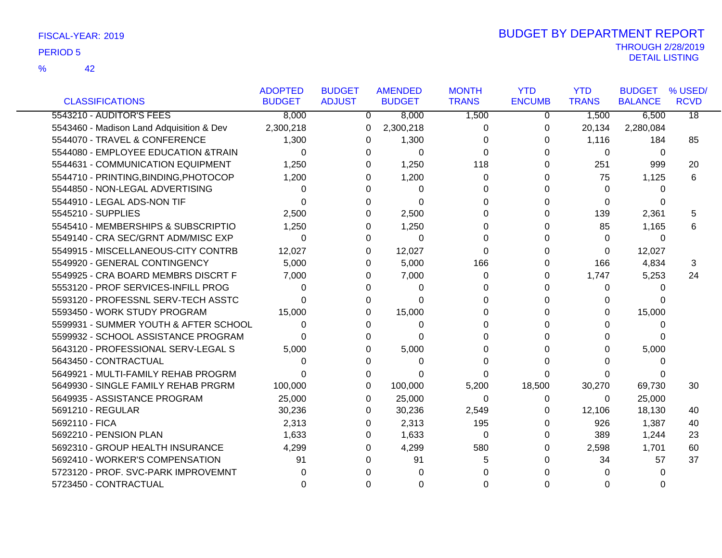|                                          | <b>ADOPTED</b> | <b>BUDGET</b> | <b>AMENDED</b> | <b>MONTH</b> | <b>YTD</b>    | <b>YTD</b>   | <b>BUDGET</b>  | % USED/         |
|------------------------------------------|----------------|---------------|----------------|--------------|---------------|--------------|----------------|-----------------|
| <b>CLASSIFICATIONS</b>                   | <b>BUDGET</b>  | <b>ADJUST</b> | <b>BUDGET</b>  | <b>TRANS</b> | <b>ENCUMB</b> | <b>TRANS</b> | <b>BALANCE</b> | <b>RCVD</b>     |
| 5543210 - AUDITOR'S FEES                 | 8,000          | 0             | 8,000          | 1,500        | 0             | 1,500        | 6,500          | $\overline{18}$ |
| 5543460 - Madison Land Adquisition & Dev | 2,300,218      | $\Omega$      | 2,300,218      | 0            | 0             | 20,134       | 2,280,084      |                 |
| 5544070 - TRAVEL & CONFERENCE            | 1,300          | 0             | 1,300          | $\Omega$     | 0             | 1,116        | 184            | 85              |
| 5544080 - EMPLOYEE EDUCATION &TRAIN      | 0              | 0             | 0              | $\Omega$     | 0             | 0            | 0              |                 |
| 5544631 - COMMUNICATION EQUIPMENT        | 1,250          | 0             | 1,250          | 118          | 0             | 251          | 999            | 20              |
| 5544710 - PRINTING, BINDING, PHOTOCOP    | 1,200          | 0             | 1,200          | $\Omega$     | 0             | 75           | 1,125          | 6               |
| 5544850 - NON-LEGAL ADVERTISING          | 0              | 0             | 0              | 0            | 0             | 0            | 0              |                 |
| 5544910 - LEGAL ADS-NON TIF              | $\Omega$       | $\Omega$      | $\Omega$       | $\Omega$     | 0             | $\Omega$     | 0              |                 |
| 5545210 - SUPPLIES                       | 2,500          | 0             | 2,500          | 0            | 0             | 139          | 2,361          | 5               |
| 5545410 - MEMBERSHIPS & SUBSCRIPTIO      | 1,250          | 0             | 1,250          | 0            | 0             | 85           | 1,165          | 6               |
| 5549140 - CRA SEC/GRNT ADM/MISC EXP      | $\Omega$       | 0             | 0              | $\Omega$     | 0             | $\Omega$     | $\Omega$       |                 |
| 5549915 - MISCELLANEOUS-CITY CONTRB      | 12,027         | 0             | 12,027         | $\Omega$     | 0             | 0            | 12,027         |                 |
| 5549920 - GENERAL CONTINGENCY            | 5,000          | 0             | 5,000          | 166          | 0             | 166          | 4,834          | 3               |
| 5549925 - CRA BOARD MEMBRS DISCRT F      | 7,000          | 0             | 7,000          | $\Omega$     | 0             | 1,747        | 5,253          | 24              |
| 5553120 - PROF SERVICES-INFILL PROG      | 0              | 0             | 0              | 0            | 0             | 0            | 0              |                 |
| 5593120 - PROFESSNL SERV-TECH ASSTC      | 0              | 0             | 0              | $\Omega$     | 0             | 0            | 0              |                 |
| 5593450 - WORK STUDY PROGRAM             | 15,000         | 0             | 15,000         | 0            | 0             | 0            | 15,000         |                 |
| 5599931 - SUMMER YOUTH & AFTER SCHOOL    | $\Omega$       | 0             | 0              | 0            |               | 0            | 0              |                 |
| 5599932 - SCHOOL ASSISTANCE PROGRAM      | 0              | 0             | 0              | 0            | 0             | 0            | 0              |                 |
| 5643120 - PROFESSIONAL SERV-LEGAL S      | 5,000          | $\Omega$      | 5,000          | $\Omega$     | 0             | $\Omega$     | 5,000          |                 |
| 5643450 - CONTRACTUAL                    | 0              | 0             | 0              | $\Omega$     | 0             | 0            | 0              |                 |
| 5649921 - MULTI-FAMILY REHAB PROGRM      |                | 0             | 0              | 0            | 0             | 0            |                |                 |
| 5649930 - SINGLE FAMILY REHAB PRGRM      | 100,000        | $\Omega$      | 100,000        | 5,200        | 18,500        | 30,270       | 69,730         | 30              |
| 5649935 - ASSISTANCE PROGRAM             | 25,000         | 0             | 25,000         | 0            | 0             | 0            | 25,000         |                 |
| 5691210 - REGULAR                        | 30,236         | 0             | 30,236         | 2,549        | 0             | 12,106       | 18,130         | 40              |
| 5692110 - FICA                           | 2,313          | 0             | 2,313          | 195          | 0             | 926          | 1,387          | 40              |
| 5692210 - PENSION PLAN                   | 1,633          | $\Omega$      | 1,633          | 0            | 0             | 389          | 1,244          | 23              |
| 5692310 - GROUP HEALTH INSURANCE         | 4,299          | 0             | 4,299          | 580          | 0             | 2,598        | 1,701          | 60              |
| 5692410 - WORKER'S COMPENSATION          | 91             | $\Omega$      | 91             | 5            | U             | 34           | 57             | 37              |
| 5723120 - PROF. SVC-PARK IMPROVEMNT      |                |               |                | 0            |               | 0            | 0              |                 |
| 5723450 - CONTRACTUAL                    |                | $\Omega$      | 0              | $\Omega$     | 0             | $\Omega$     | 0              |                 |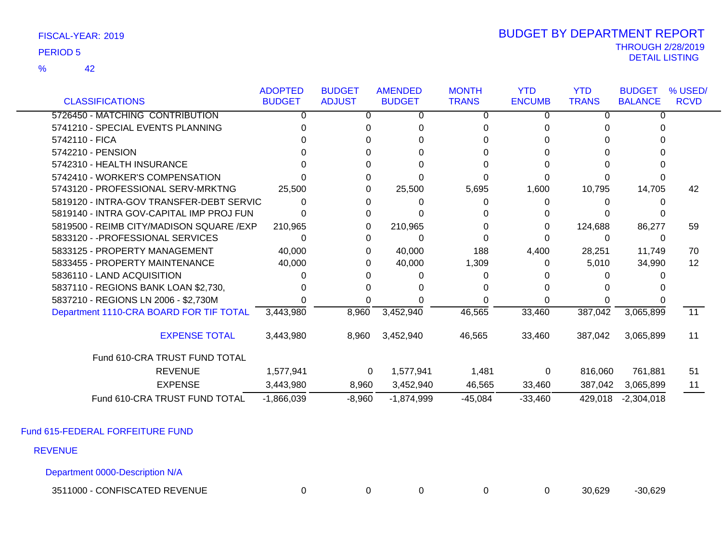42 %

### THROUGH 2/28/2019<br>DETAIL LISTING DETAIL LISTING PERIOD <sup>5</sup> BUDGET BY DEPARTMENT REPORT

|                                           | <b>ADOPTED</b> | <b>BUDGET</b> | <b>AMENDED</b> | <b>MONTH</b> | <b>YTD</b>    | <b>YTD</b>   | <b>BUDGET</b>  | % USED/     |
|-------------------------------------------|----------------|---------------|----------------|--------------|---------------|--------------|----------------|-------------|
| <b>CLASSIFICATIONS</b>                    | <b>BUDGET</b>  | <b>ADJUST</b> | <b>BUDGET</b>  | <b>TRANS</b> | <b>ENCUMB</b> | <b>TRANS</b> | <b>BALANCE</b> | <b>RCVD</b> |
| 5726450 - MATCHING CONTRIBUTION           | 0              | 0             | 0              | 0            | 0             | 0            | 0              |             |
| 5741210 - SPECIAL EVENTS PLANNING         |                |               |                |              |               |              |                |             |
| 5742110 - FICA                            |                |               |                |              |               |              |                |             |
| 5742210 - PENSION                         |                |               |                |              |               |              |                |             |
| 5742310 - HEALTH INSURANCE                |                |               |                |              |               |              |                |             |
| 5742410 - WORKER'S COMPENSATION           |                | U             |                |              |               |              |                |             |
| 5743120 - PROFESSIONAL SERV-MRKTNG        | 25,500         | 0             | 25,500         | 5,695        | 1,600         | 10,795       | 14,705         | 42          |
| 5819120 - INTRA-GOV TRANSFER-DEBT SERVIC  |                |               |                | $\Omega$     | 0             |              |                |             |
| 5819140 - INTRA GOV-CAPITAL IMP PROJ FUN  |                | 0             |                |              |               |              |                |             |
| 5819500 - REIMB CITY/MADISON SQUARE / EXP | 210,965        | 0             | 210,965        | 0            | 0             | 124,688      | 86,277         | 59          |
| 5833120 - - PROFESSIONAL SERVICES         |                | 0             | 0              |              | O             | 0            | 0              |             |
| 5833125 - PROPERTY MANAGEMENT             | 40,000         | 0             | 40,000         | 188          | 4,400         | 28,251       | 11,749         | 70          |
| 5833455 - PROPERTY MAINTENANCE            | 40,000         | 0             | 40,000         | 1,309        | 0             | 5,010        | 34,990         | 12          |
| 5836110 - LAND ACQUISITION                |                |               |                |              |               |              |                |             |
| 5837110 - REGIONS BANK LOAN \$2,730,      |                |               |                |              |               |              |                |             |
| 5837210 - REGIONS LN 2006 - \$2,730M      |                |               |                |              |               |              |                |             |
| Department 1110-CRA BOARD FOR TIF TOTAL   | 3,443,980      | 8,960         | 3,452,940      | 46,565       | 33,460        | 387,042      | 3,065,899      | 11          |
| <b>EXPENSE TOTAL</b>                      | 3,443,980      | 8,960         | 3,452,940      | 46,565       | 33,460        | 387,042      | 3,065,899      | 11          |
| Fund 610-CRA TRUST FUND TOTAL             |                |               |                |              |               |              |                |             |
| <b>REVENUE</b>                            | 1,577,941      | 0             | 1,577,941      | 1,481        | 0             | 816,060      | 761,881        | 51          |
| <b>EXPENSE</b>                            | 3,443,980      | 8,960         | 3,452,940      | 46,565       | 33,460        | 387,042      | 3,065,899      | 11          |
| Fund 610-CRA TRUST FUND TOTAL             | $-1,866,039$   | $-8,960$      | $-1,874,999$   | $-45,084$    | $-33,460$     | 429,018      | $-2,304,018$   |             |

Fund 615-FEDERAL FORFEITURE FUND

REVENUE

Department 0000-Description N/A

3511000 - CONFISCATED REVENUE 0 0 0 0 0 30,629 -30,629